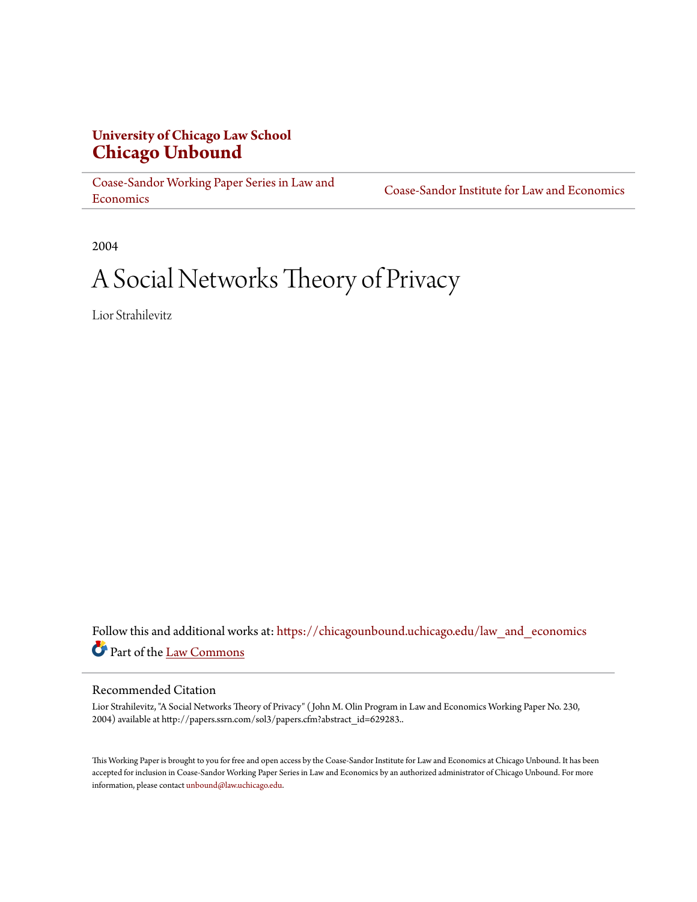# **University of Chicago Law School [Chicago Unbound](https://chicagounbound.uchicago.edu?utm_source=chicagounbound.uchicago.edu%2Flaw_and_economics%2F16&utm_medium=PDF&utm_campaign=PDFCoverPages)**

[Coase-Sandor Working Paper Series in Law and](https://chicagounbound.uchicago.edu/law_and_economics?utm_source=chicagounbound.uchicago.edu%2Flaw_and_economics%2F16&utm_medium=PDF&utm_campaign=PDFCoverPages) [Economics](https://chicagounbound.uchicago.edu/law_and_economics?utm_source=chicagounbound.uchicago.edu%2Flaw_and_economics%2F16&utm_medium=PDF&utm_campaign=PDFCoverPages)

[Coase-Sandor Institute for Law and Economics](https://chicagounbound.uchicago.edu/coase_sandor_institute?utm_source=chicagounbound.uchicago.edu%2Flaw_and_economics%2F16&utm_medium=PDF&utm_campaign=PDFCoverPages)

2004

# A Social Networks Theory of Privacy

Lior Strahilevitz

Follow this and additional works at: [https://chicagounbound.uchicago.edu/law\\_and\\_economics](https://chicagounbound.uchicago.edu/law_and_economics?utm_source=chicagounbound.uchicago.edu%2Flaw_and_economics%2F16&utm_medium=PDF&utm_campaign=PDFCoverPages) Part of the [Law Commons](http://network.bepress.com/hgg/discipline/578?utm_source=chicagounbound.uchicago.edu%2Flaw_and_economics%2F16&utm_medium=PDF&utm_campaign=PDFCoverPages)

#### Recommended Citation

Lior Strahilevitz, "A Social Networks Theory of Privacy" ( John M. Olin Program in Law and Economics Working Paper No. 230, 2004) available at http://papers.ssrn.com/sol3/papers.cfm?abstract\_id=629283..

This Working Paper is brought to you for free and open access by the Coase-Sandor Institute for Law and Economics at Chicago Unbound. It has been accepted for inclusion in Coase-Sandor Working Paper Series in Law and Economics by an authorized administrator of Chicago Unbound. For more information, please contact [unbound@law.uchicago.edu.](mailto:unbound@law.uchicago.edu)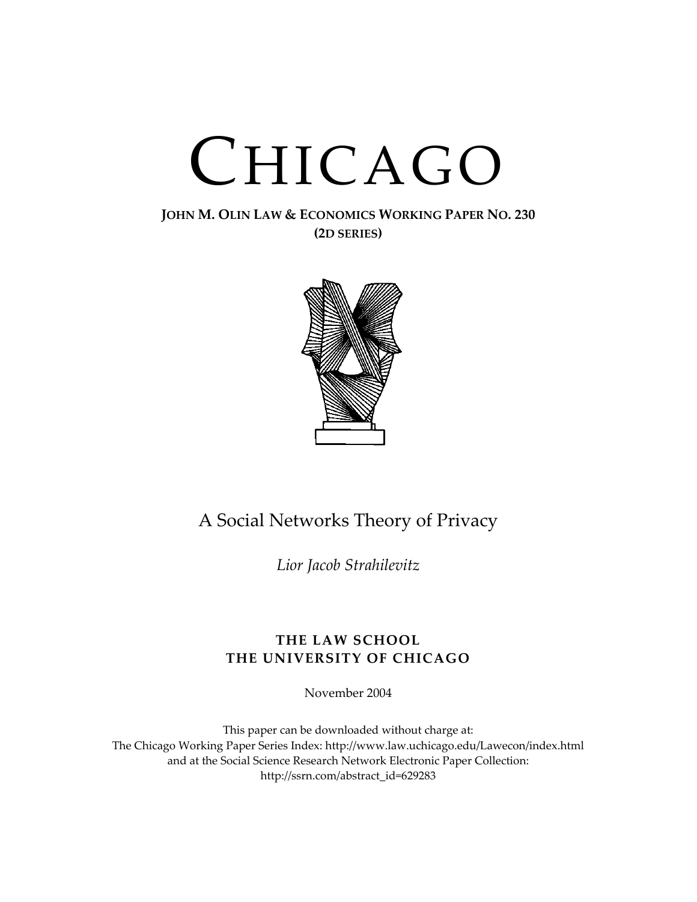# CHICAGO

### **JOHN M. OLIN LAW & ECONOMICS WORKING PAPER NO. 230 (2D SERIES)**



# A Social Networks Theory of Privacy

*Lior Jacob Strahilevitz*

## **THE LAW SCHOOL THE UNIVERSITY OF CHICAGO**

November 2004

This paper can be downloaded without charge at: The Chicago Working Paper Series Index: <http://www.law.uchicago.edu/Lawecon/index.html> and at the Social Science Research Network Electronic Paper Collection: [http://ssrn.com/abstract\\_id=629283](http://papers.ssrn.com/sol3/search.taf)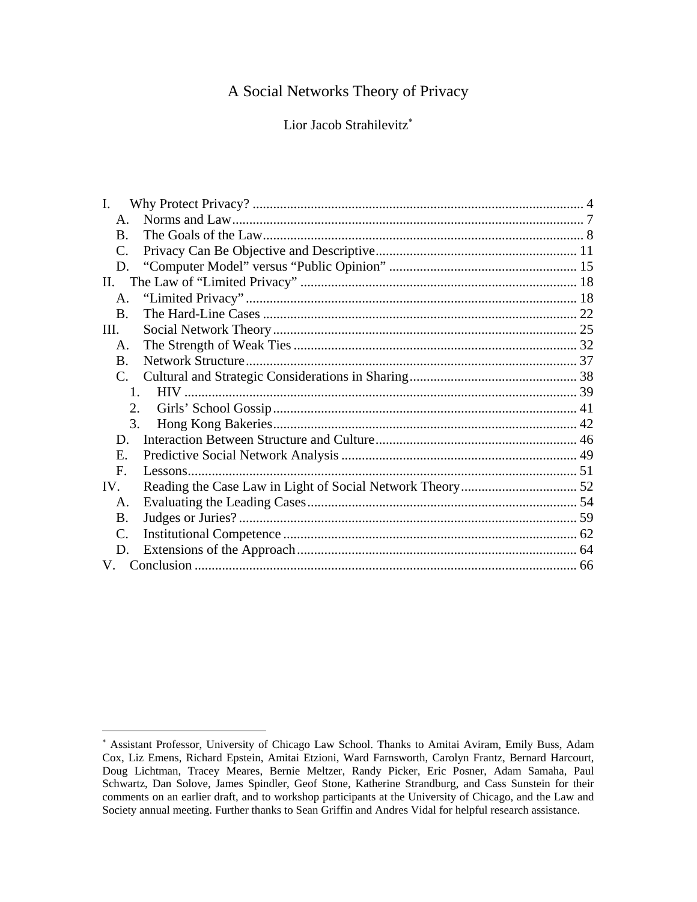# A Social Networks Theory of Privacy

Lior Jacob Strahilevitz<sup>\*</sup>

| L.                    |  |  |
|-----------------------|--|--|
| $\mathsf{A}$ .        |  |  |
| $\bf{B}$              |  |  |
| $\mathcal{C}_{\cdot}$ |  |  |
| D.                    |  |  |
| II.                   |  |  |
| A.                    |  |  |
| $\bf{B}$ .            |  |  |
| III.                  |  |  |
| A.                    |  |  |
| $\bf{B}$              |  |  |
| $\mathbf{C}$ .        |  |  |
| 1.                    |  |  |
| 2.                    |  |  |
| 3.                    |  |  |
| D.                    |  |  |
| Е.                    |  |  |
| $\mathbf{F}$          |  |  |
| IV.                   |  |  |
| A.                    |  |  |
| Β.                    |  |  |
| $\mathcal{C}$ .       |  |  |
| D.                    |  |  |
| $V_{\perp}$           |  |  |

<span id="page-2-0"></span><sup>∗</sup> Assistant Professor, University of Chicago Law School. Thanks to Amitai Aviram, Emily Buss, Adam Cox, Liz Emens, Richard Epstein, Amitai Etzioni, Ward Farnsworth, Carolyn Frantz, Bernard Harcourt, Doug Lichtman, Tracey Meares, Bernie Meltzer, Randy Picker, Eric Posner, Adam Samaha, Paul Schwartz, Dan Solove, James Spindler, Geof Stone, Katherine Strandburg, and Cass Sunstein for their comments on an earlier draft, and to workshop participants at the University of Chicago, and the Law and Society annual meeting. Further thanks to Sean Griffin and Andres Vidal for helpful research assistance.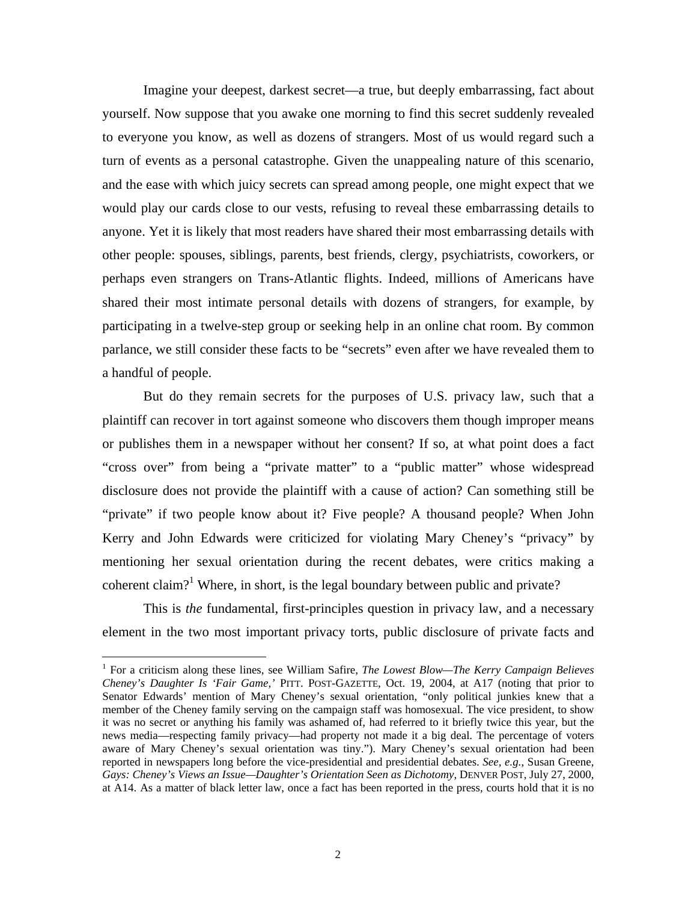<span id="page-3-0"></span>Imagine your deepest, darkest secret—a true, but deeply embarrassing, fact about yourself. Now suppose that you awake one morning to find this secret suddenly revealed to everyone you know, as well as dozens of strangers. Most of us would regard such a turn of events as a personal catastrophe. Given the unappealing nature of this scenario, and the ease with which juicy secrets can spread among people, one might expect that we would play our cards close to our vests, refusing to reveal these embarrassing details to anyone. Yet it is likely that most readers have shared their most embarrassing details with other people: spouses, siblings, parents, best friends, clergy, psychiatrists, coworkers, or perhaps even strangers on Trans-Atlantic flights. Indeed, millions of Americans have shared their most intimate personal details with dozens of strangers, for example, by participating in a twelve-step group or seeking help in an online chat room. By common parlance, we still consider these facts to be "secrets" even after we have revealed them to a handful of people.

But do they remain secrets for the purposes of U.S. privacy law, such that a plaintiff can recover in tort against someone who discovers them though improper means or publishes them in a newspaper without her consent? If so, at what point does a fact "cross over" from being a "private matter" to a "public matter" whose widespread disclosure does not provide the plaintiff with a cause of action? Can something still be "private" if two people know about it? Five people? A thousand people? When John Kerry and John Edwards were criticized for violating Mary Cheney's "privacy" by mentioning her sexual orientation during the recent debates, were critics making a coherent claim?<sup>[1](#page-3-0)</sup> Where, in short, is the legal boundary between public and private?

This is *the* fundamental, first-principles question in privacy law, and a necessary element in the two most important privacy torts, public disclosure of private facts and

<sup>&</sup>lt;sup>1</sup> For a criticism along these lines, see William Safire, *The Lowest Blow—The Kerry Campaign Believes Cheney's Daughter Is 'Fair Game*,*'* PITT. POST-GAZETTE, Oct. 19, 2004, at A17 (noting that prior to Senator Edwards' mention of Mary Cheney's sexual orientation, "only political junkies knew that a member of the Cheney family serving on the campaign staff was homosexual. The vice president, to show it was no secret or anything his family was ashamed of, had referred to it briefly twice this year, but the news media—respecting family privacy—had property not made it a big deal. The percentage of voters aware of Mary Cheney's sexual orientation was tiny."). Mary Cheney's sexual orientation had been reported in newspapers long before the vice-presidential and presidential debates. *See, e.g.*, Susan Greene, *Gays: Cheney's Views an Issue—Daughter's Orientation Seen as Dichotomy*, DENVER POST, July 27, 2000, at A14. As a matter of black letter law, once a fact has been reported in the press, courts hold that it is no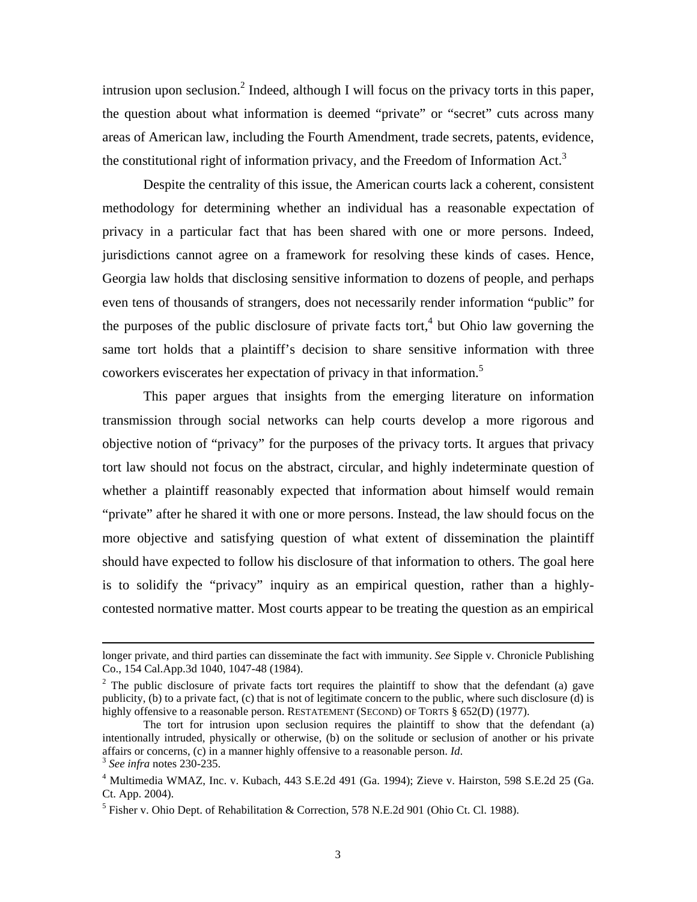intrusion upon seclusion.<sup>[2](#page-4-0)</sup> Indeed, although I will focus on the privacy torts in this paper, the question about what information is deemed "private" or "secret" cuts across many areas of American law, including the Fourth Amendment, trade secrets, patents, evidence, the constitutional right of information privacy, and the Freedom of Information Act.<sup>[3](#page-4-1)</sup>

Despite the centrality of this issue, the American courts lack a coherent, consistent methodology for determining whether an individual has a reasonable expectation of privacy in a particular fact that has been shared with one or more persons. Indeed, jurisdictions cannot agree on a framework for resolving these kinds of cases. Hence, Georgia law holds that disclosing sensitive information to dozens of people, and perhaps even tens of thousands of strangers, does not necessarily render information "public" for the purposes of the public disclosure of private facts tort,<sup>4</sup> but Ohio law governing the same tort holds that a plaintiff's decision to share sensitive information with three coworkers eviscerates her expectation of privacy in that information.<sup>[5](#page-4-3)</sup>

This paper argues that insights from the emerging literature on information transmission through social networks can help courts develop a more rigorous and objective notion of "privacy" for the purposes of the privacy torts. It argues that privacy tort law should not focus on the abstract, circular, and highly indeterminate question of whether a plaintiff reasonably expected that information about himself would remain "private" after he shared it with one or more persons. Instead, the law should focus on the more objective and satisfying question of what extent of dissemination the plaintiff should have expected to follow his disclosure of that information to others. The goal here is to solidify the "privacy" inquiry as an empirical question, rather than a highlycontested normative matter. Most courts appear to be treating the question as an empirical

longer private, and third parties can disseminate the fact with immunity. *See* Sipple v. Chronicle Publishing Co., 154 Cal.App.3d 1040, 1047-48 (1984). 2

<span id="page-4-0"></span><sup>&</sup>lt;sup>2</sup> The public disclosure of private facts tort requires the plaintiff to show that the defendant (a) gave publicity, (b) to a private fact, (c) that is not of legitimate concern to the public, where such disclosure (d) is highly offensive to a reasonable person. RESTATEMENT (SECOND) OF TORTS § 652(D) (1977).

The tort for intrusion upon seclusion requires the plaintiff to show that the defendant (a) intentionally intruded, physically or otherwise, (b) on the solitude or seclusion of another or his private affairs or concerns, (c) in a manner highly offensive to a reasonable person. *Id*. 3 *See infra* notes 230-235.

<span id="page-4-2"></span><span id="page-4-1"></span> $<sup>4</sup>$  Multimedia WMAZ, Inc. v. Kubach, 443 S.E.2d 491 (Ga. 1994); Zieve v. Hairston, 598 S.E.2d 25 (Ga.</sup> Ct. App. 2004).

<span id="page-4-3"></span><sup>&</sup>lt;sup>5</sup> Fisher v. Ohio Dept. of Rehabilitation & Correction, 578 N.E.2d 901 (Ohio Ct. Cl. 1988).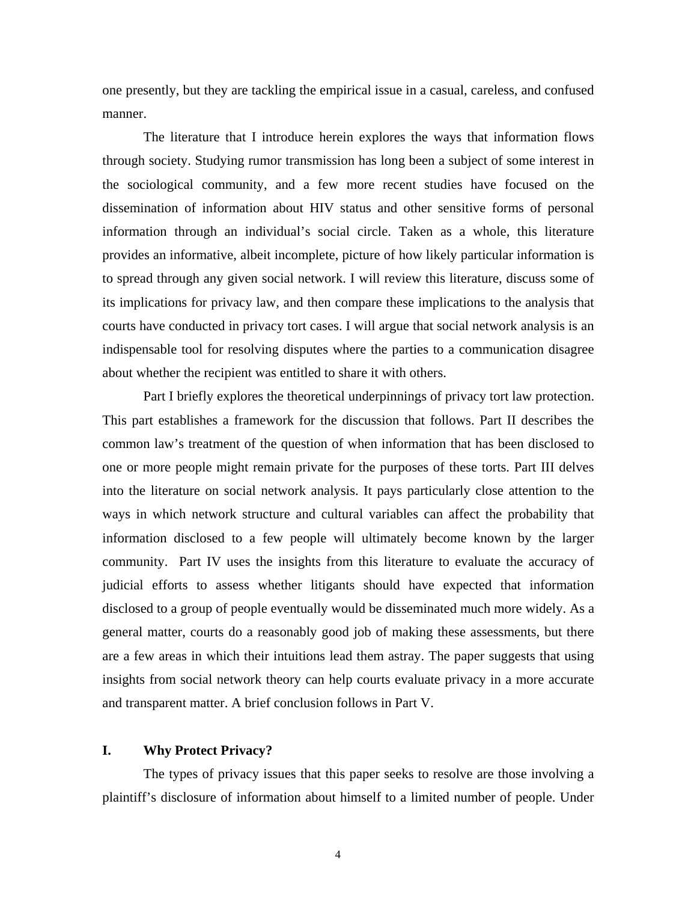<span id="page-5-0"></span>one presently, but they are tackling the empirical issue in a casual, careless, and confused manner.

The literature that I introduce herein explores the ways that information flows through society. Studying rumor transmission has long been a subject of some interest in the sociological community, and a few more recent studies have focused on the dissemination of information about HIV status and other sensitive forms of personal information through an individual's social circle. Taken as a whole, this literature provides an informative, albeit incomplete, picture of how likely particular information is to spread through any given social network. I will review this literature, discuss some of its implications for privacy law, and then compare these implications to the analysis that courts have conducted in privacy tort cases. I will argue that social network analysis is an indispensable tool for resolving disputes where the parties to a communication disagree about whether the recipient was entitled to share it with others.

Part I briefly explores the theoretical underpinnings of privacy tort law protection. This part establishes a framework for the discussion that follows. Part II describes the common law's treatment of the question of when information that has been disclosed to one or more people might remain private for the purposes of these torts. Part III delves into the literature on social network analysis. It pays particularly close attention to the ways in which network structure and cultural variables can affect the probability that information disclosed to a few people will ultimately become known by the larger community. Part IV uses the insights from this literature to evaluate the accuracy of judicial efforts to assess whether litigants should have expected that information disclosed to a group of people eventually would be disseminated much more widely. As a general matter, courts do a reasonably good job of making these assessments, but there are a few areas in which their intuitions lead them astray. The paper suggests that using insights from social network theory can help courts evaluate privacy in a more accurate and transparent matter. A brief conclusion follows in Part V.

#### **I. Why Protect Privacy?**

The types of privacy issues that this paper seeks to resolve are those involving a plaintiff's disclosure of information about himself to a limited number of people. Under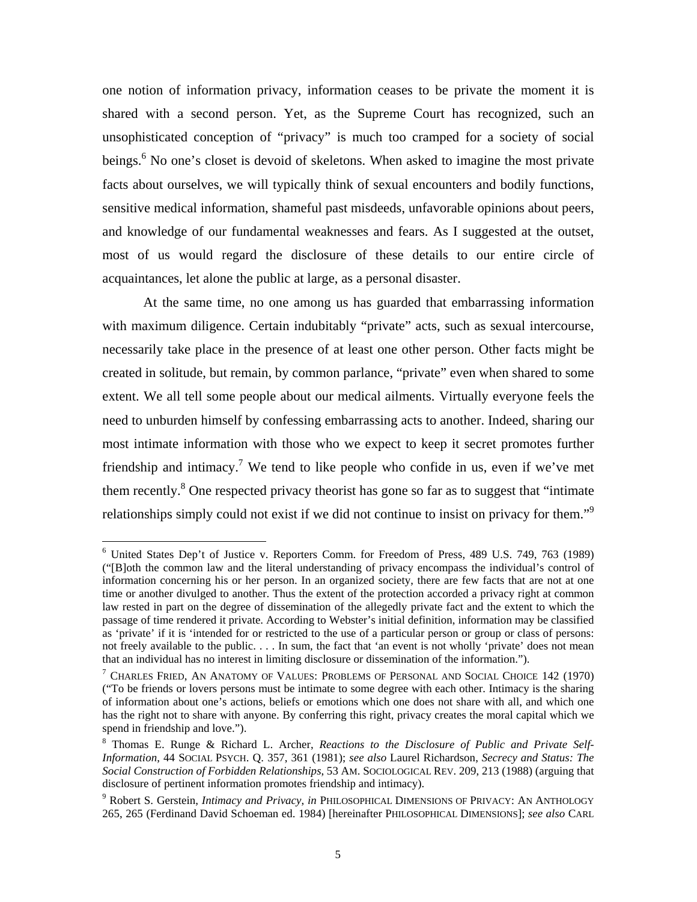<span id="page-6-3"></span>one notion of information privacy, information ceases to be private the moment it is shared with a second person. Yet, as the Supreme Court has recognized, such an unsophisticated conception of "privacy" is much too cramped for a society of social beings.<sup>[6](#page-6-0)</sup> No one's closet is devoid of skeletons. When asked to imagine the most private facts about ourselves, we will typically think of sexual encounters and bodily functions, sensitive medical information, shameful past misdeeds, unfavorable opinions about peers, and knowledge of our fundamental weaknesses and fears. As I suggested at the outset, most of us would regard the disclosure of these details to our entire circle of acquaintances, let alone the public at large, as a personal disaster.

At the same time, no one among us has guarded that embarrassing information with maximum diligence. Certain indubitably "private" acts, such as sexual intercourse, necessarily take place in the presence of at least one other person. Other facts might be created in solitude, but remain, by common parlance, "private" even when shared to some extent. We all tell some people about our medical ailments. Virtually everyone feels the need to unburden himself by confessing embarrassing acts to another. Indeed, sharing our most intimate information with those who we expect to keep it secret promotes further friendship and intimacy.<sup>7</sup> We tend to like people who confide in us, even if we've met them recently. $8$  One respected privacy theorist has gone so far as to suggest that "intimate" relationships simply could not exist if we did not continue to insist on privacy for them.<sup> $\mathfrak{g}$ </sup>

<span id="page-6-0"></span><sup>6</sup> United States Dep't of Justice v. Reporters Comm. for Freedom of Press, 489 U.S. 749, 763 (1989) ("[B]oth the common law and the literal understanding of privacy encompass the individual's control of information concerning his or her person. In an organized society, there are few facts that are not at one time or another divulged to another. Thus the extent of the protection accorded a privacy right at common law rested in part on the degree of dissemination of the allegedly private fact and the extent to which the passage of time rendered it private. According to Webster's initial definition, information may be classified as 'private' if it is 'intended for or restricted to the use of a particular person or group or class of persons: not freely available to the public. . . . In sum, the fact that 'an event is not wholly 'private' does not mean that an individual has no interest in limiting disclosure or dissemination of the information."). 7

<span id="page-6-1"></span> $^7$  Charles Fried, An Anatomy of Values: Problems of Personal and Social Choice 142 (1970) ("To be friends or lovers persons must be intimate to some degree with each other. Intimacy is the sharing of information about one's actions, beliefs or emotions which one does not share with all, and which one has the right not to share with anyone. By conferring this right, privacy creates the moral capital which we spend in friendship and love.").

<span id="page-6-2"></span><sup>8</sup> Thomas E. Runge & Richard L. Archer, *Reactions to the Disclosure of Public and Private Self-Information*, 44 SOCIAL PSYCH. Q. 357, 361 (1981); *see also* Laurel Richardson, *Secrecy and Status: The Social Construction of Forbidden Relationships*, 53 AM. SOCIOLOGICAL REV. 209, 213 (1988) (arguing that disclosure of pertinent information promotes friendship and intimacy).

<sup>9</sup> Robert S. Gerstein, *Intimacy and Privacy*, *in* PHILOSOPHICAL DIMENSIONS OF PRIVACY: AN ANTHOLOGY 265, 265 (Ferdinand David Schoeman ed. 1984) [hereinafter PHILOSOPHICAL DIMENSIONS]; *see also* CARL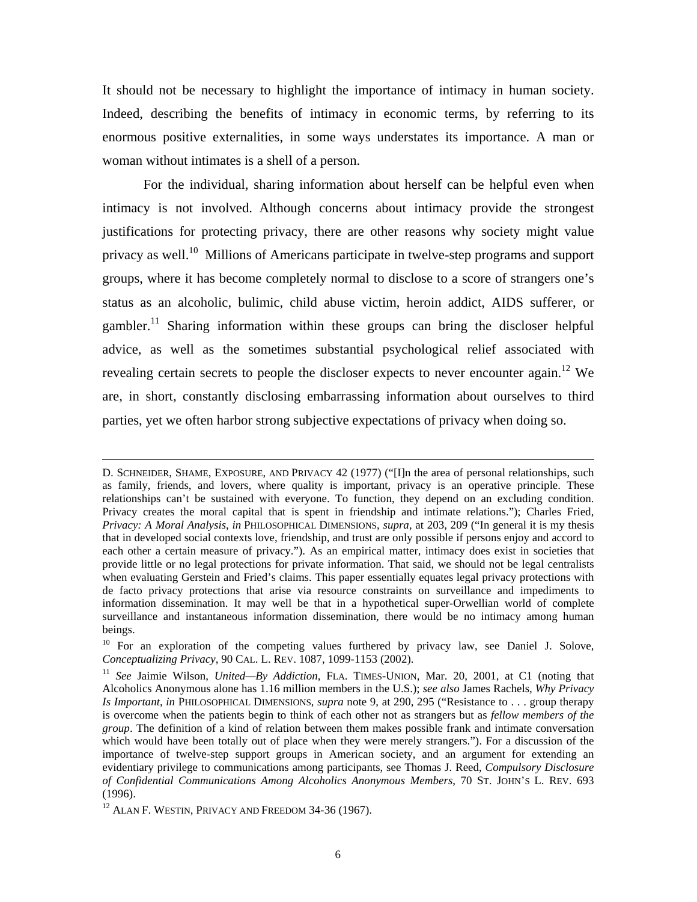It should not be necessary to highlight the importance of intimacy in human society. Indeed, describing the benefits of intimacy in economic terms, by referring to its enormous positive externalities, in some ways understates its importance. A man or woman without intimates is a shell of a person.

For the individual, sharing information about herself can be helpful even when intimacy is not involved. Although concerns about intimacy provide the strongest justifications for protecting privacy, there are other reasons why society might value privacy as well.<sup>10</sup> Millions of Americans participate in twelve-step programs and support groups, where it has become completely normal to disclose to a score of strangers one's status as an alcoholic, bulimic, child abuse victim, heroin addict, AIDS sufferer, or gambler.<sup>11</sup> Sharing information within these groups can bring the discloser helpful advice, as well as the sometimes substantial psychological relief associated with revealing certain secrets to people the discloser expects to never encounter again.<sup>12</sup> We are, in short, constantly disclosing embarrassing information about ourselves to third parties, yet we often harbor strong subjective expectations of privacy when doing so.

D. SCHNEIDER, SHAME, EXPOSURE, AND PRIVACY 42 (1977) ("[I]n the area of personal relationships, such as family, friends, and lovers, where quality is important, privacy is an operative principle. These relationships can't be sustained with everyone. To function, they depend on an excluding condition. Privacy creates the moral capital that is spent in friendship and intimate relations."); Charles Fried, *Privacy: A Moral Analysis*, *in* PHILOSOPHICAL DIMENSIONS, *supra*, at 203, 209 ("In general it is my thesis that in developed social contexts love, friendship, and trust are only possible if persons enjoy and accord to each other a certain measure of privacy."). As an empirical matter, intimacy does exist in societies that provide little or no legal protections for private information. That said, we should not be legal centralists when evaluating Gerstein and Fried's claims. This paper essentially equates legal privacy protections with de facto privacy protections that arise via resource constraints on surveillance and impediments to information dissemination. It may well be that in a hypothetical super-Orwellian world of complete surveillance and instantaneous information dissemination, there would be no intimacy among human beings.<br><sup>10</sup> For an exploration of the competing values furthered by privacy law, see Daniel J. Solove,

<span id="page-7-0"></span>*Conceptualizing Privacy*, 90 CAL. L. REV. 1087, 1099-1153 (2002).

<span id="page-7-1"></span><sup>11</sup> *See* Jaimie Wilson, *United—By Addiction*, FLA. TIMES-UNION, Mar. 20, 2001, at C1 (noting that Alcoholics Anonymous alone has 1.16 million members in the U.S.); *see also* James Rachels, *Why Privacy Is Important*, *in* PHILOSOPHICAL DIMENSIONS, *supra* note 9, at 290, 295 ("Resistance to . . . group therapy is overcome when the patients begin to think of each other not as strangers but as *fellow members of the group*. The definition of a kind of relation between them makes possible frank and intimate conversation which would have been totally out of place when they were merely strangers."). For a discussion of the importance of twelve-step support groups in American society, and an argument for extending an evidentiary privilege to communications among participants, see Thomas J. Reed, *Compulsory Disclosure of Confidential Communications Among Alcoholics Anonymous Members*, 70 ST. JOHN'S L. REV. 693 (1996).

<span id="page-7-2"></span><sup>&</sup>lt;sup>12</sup> ALAN F. WESTIN, PRIVACY AND FREEDOM 34-36 (1967).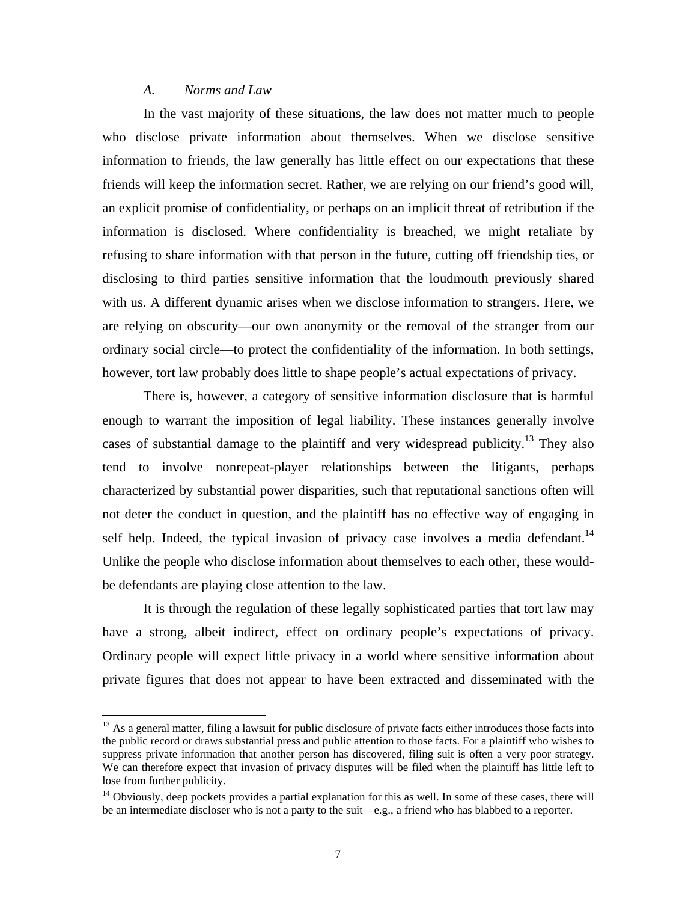#### *A. Norms and Law*

<u>.</u>

<span id="page-8-0"></span>In the vast majority of these situations, the law does not matter much to people who disclose private information about themselves. When we disclose sensitive information to friends, the law generally has little effect on our expectations that these friends will keep the information secret. Rather, we are relying on our friend's good will, an explicit promise of confidentiality, or perhaps on an implicit threat of retribution if the information is disclosed. Where confidentiality is breached, we might retaliate by refusing to share information with that person in the future, cutting off friendship ties, or disclosing to third parties sensitive information that the loudmouth previously shared with us. A different dynamic arises when we disclose information to strangers. Here, we are relying on obscurity—our own anonymity or the removal of the stranger from our ordinary social circle—to protect the confidentiality of the information. In both settings, however, tort law probably does little to shape people's actual expectations of privacy.

There is, however, a category of sensitive information disclosure that is harmful enough to warrant the imposition of legal liability. These instances generally involve cases of substantial damage to the plaintiff and very widespread publicity.<sup>13</sup> They also tend to involve nonrepeat-player relationships between the litigants, perhaps characterized by substantial power disparities, such that reputational sanctions often will not deter the conduct in question, and the plaintiff has no effective way of engaging in self help. Indeed, the typical invasion of privacy case involves a media defendant.<sup>14</sup> Unlike the people who disclose information about themselves to each other, these wouldbe defendants are playing close attention to the law.

It is through the regulation of these legally sophisticated parties that tort law may have a strong, albeit indirect, effect on ordinary people's expectations of privacy. Ordinary people will expect little privacy in a world where sensitive information about private figures that does not appear to have been extracted and disseminated with the

<span id="page-8-1"></span> $13$  As a general matter, filing a lawsuit for public disclosure of private facts either introduces those facts into the public record or draws substantial press and public attention to those facts. For a plaintiff who wishes to suppress private information that another person has discovered, filing suit is often a very poor strategy. We can therefore expect that invasion of privacy disputes will be filed when the plaintiff has little left to lose from further publicity.<br><sup>14</sup> Obviously, deep pockets provides a partial explanation for this as well. In some of these cases, there will

<span id="page-8-2"></span>be an intermediate discloser who is not a party to the suit—e.g., a friend who has blabbed to a reporter.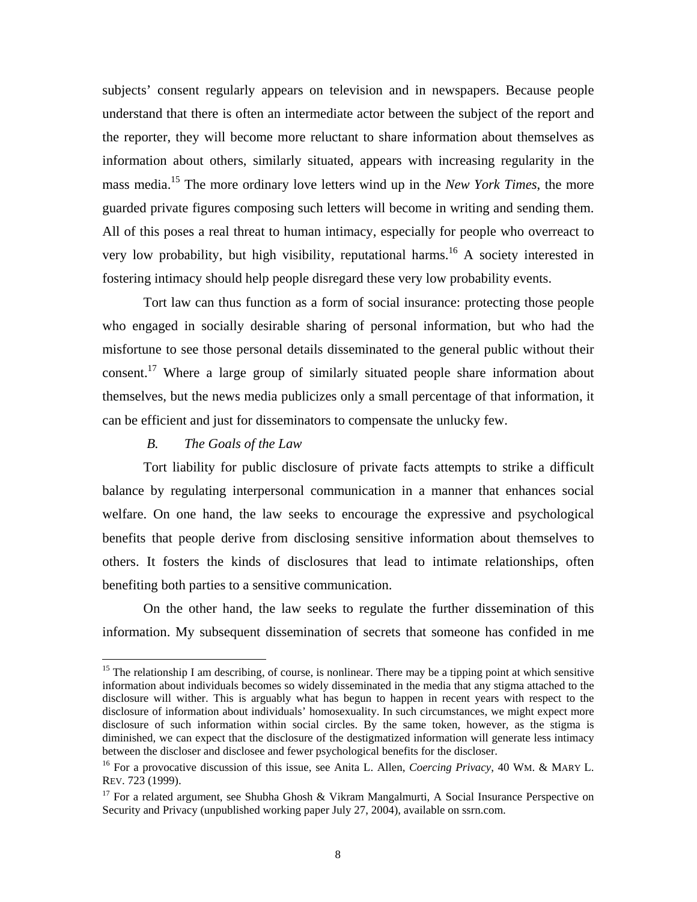<span id="page-9-0"></span>subjects' consent regularly appears on television and in newspapers. Because people understand that there is often an intermediate actor between the subject of the report and the reporter, they will become more reluctant to share information about themselves as information about others, similarly situated, appears with increasing regularity in the mass media. [15](#page-9-1) The more ordinary love letters wind up in the *New York Times*, the more guarded private figures composing such letters will become in writing and sending them. All of this poses a real threat to human intimacy, especially for people who overreact to very low probability, but high visibility, reputational harms.<sup>16</sup> A society interested in fostering intimacy should help people disregard these very low probability events.

Tort law can thus function as a form of social insurance: protecting those people who engaged in socially desirable sharing of personal information, but who had the misfortune to see those personal details disseminated to the general public without their consent.<sup>17</sup> Where a large group of similarly situated people share information about themselves, but the news media publicizes only a small percentage of that information, it can be efficient and just for disseminators to compensate the unlucky few.

#### *B. The Goals of the Law*

 $\overline{a}$ 

Tort liability for public disclosure of private facts attempts to strike a difficult balance by regulating interpersonal communication in a manner that enhances social welfare. On one hand, the law seeks to encourage the expressive and psychological benefits that people derive from disclosing sensitive information about themselves to others. It fosters the kinds of disclosures that lead to intimate relationships, often benefiting both parties to a sensitive communication.

On the other hand, the law seeks to regulate the further dissemination of this information. My subsequent dissemination of secrets that someone has confided in me

<span id="page-9-1"></span><sup>&</sup>lt;sup>15</sup> The relationship I am describing, of course, is nonlinear. There may be a tipping point at which sensitive information about individuals becomes so widely disseminated in the media that any stigma attached to the disclosure will wither. This is arguably what has begun to happen in recent years with respect to the disclosure of information about individuals' homosexuality. In such circumstances, we might expect more disclosure of such information within social circles. By the same token, however, as the stigma is diminished, we can expect that the disclosure of the destigmatized information will generate less intimacy between the discloser and disclosee and fewer psychological benefits for the discloser.<br><sup>16</sup> For a provocative discussion of this issue, see Anita L. Allen, *Coercing Privacy*, 40 WM. & MARY L.

<span id="page-9-2"></span>REV. 723 (1999).

<span id="page-9-3"></span><sup>&</sup>lt;sup>17</sup> For a related argument, see Shubha Ghosh & Vikram Mangalmurti, A Social Insurance Perspective on Security and Privacy (unpublished working paper July 27, 2004), available on ssrn.com.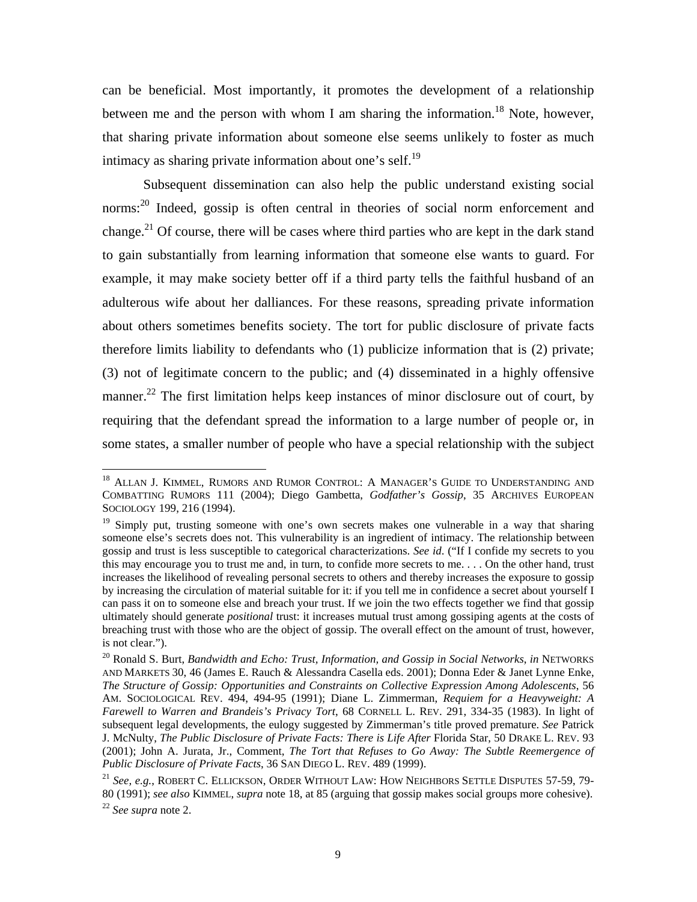can be beneficial. Most importantly, it promotes the development of a relationship between me and the person with whom I am sharing the information.<sup>18</sup> Note, however, that sharing private information about someone else seems unlikely to foster as much intimacy as sharing private information about one's self.<sup>19</sup>

Subsequent dissemination can also help the public understand existing social norms:<sup>20</sup> Indeed, gossip is often central in theories of social norm enforcement and change.<sup>21</sup> Of course, there will be cases where third parties who are kept in the dark stand to gain substantially from learning information that someone else wants to guard. For example, it may make society better off if a third party tells the faithful husband of an adulterous wife about her dalliances. For these reasons, spreading private information about others sometimes benefits society. The tort for public disclosure of private facts therefore limits liability to defendants who (1) publicize information that is (2) private; (3) not of legitimate concern to the public; and (4) disseminated in a highly offensive manner.<sup>22</sup> The first limitation helps keep instances of minor disclosure out of court, by requiring that the defendant spread the information to a large number of people or, in some states, a smaller number of people who have a special relationship with the subject

 $\overline{a}$ 

<span id="page-10-0"></span><sup>&</sup>lt;sup>18</sup> ALLAN J. KIMMEL, RUMORS AND RUMOR CONTROL: A MANAGER'S GUIDE TO UNDERSTANDING AND COMBATTING RUMORS 111 (2004); Diego Gambetta, *Godfather's Gossip*, 35 ARCHIVES EUROPEAN SOCIOLOGY 199, 216 (1994).

<span id="page-10-1"></span><sup>&</sup>lt;sup>19</sup> Simply put, trusting someone with one's own secrets makes one vulnerable in a way that sharing someone else's secrets does not. This vulnerability is an ingredient of intimacy. The relationship between gossip and trust is less susceptible to categorical characterizations. *See id*. ("If I confide my secrets to you this may encourage you to trust me and, in turn, to confide more secrets to me. . . . On the other hand, trust increases the likelihood of revealing personal secrets to others and thereby increases the exposure to gossip by increasing the circulation of material suitable for it: if you tell me in confidence a secret about yourself I can pass it on to someone else and breach your trust. If we join the two effects together we find that gossip ultimately should generate *positional* trust: it increases mutual trust among gossiping agents at the costs of breaching trust with those who are the object of gossip. The overall effect on the amount of trust, however, is not clear.").

<span id="page-10-2"></span><sup>20</sup> Ronald S. Burt, *Bandwidth and Echo: Trust, Information, and Gossip in Social Networks*, *in* NETWORKS AND MARKETS 30, 46 (James E. Rauch & Alessandra Casella eds. 2001); Donna Eder & Janet Lynne Enke, *The Structure of Gossip: Opportunities and Constraints on Collective Expression Among Adolescents*, 56 AM. SOCIOLOGICAL REV. 494, 494-95 (1991); Diane L. Zimmerman, *Requiem for a Heavyweight: A Farewell to Warren and Brandeis's Privacy Tort*, 68 CORNELL L. REV. 291, 334-35 (1983). In light of subsequent legal developments, the eulogy suggested by Zimmerman's title proved premature. *See* Patrick J. McNulty, *The Public Disclosure of Private Facts: There is Life After* Florida Star, 50 DRAKE L. REV. 93 (2001); John A. Jurata, Jr., Comment, *The Tort that Refuses to Go Away: The Subtle Reemergence of Public Disclosure of Private Facts*, 36 SAN DIEGO L. REV. 489 (1999).

<span id="page-10-4"></span><span id="page-10-3"></span><sup>21</sup> *See, e.g.*, ROBERT C. ELLICKSON, ORDER WITHOUT LAW: HOW NEIGHBORS SETTLE DISPUTES 57-59, 79- 80 (1991); *see also* KIMMEL, *supra* note 18, at 85 (arguing that gossip makes social groups more cohesive). 22 *See supra* note 2.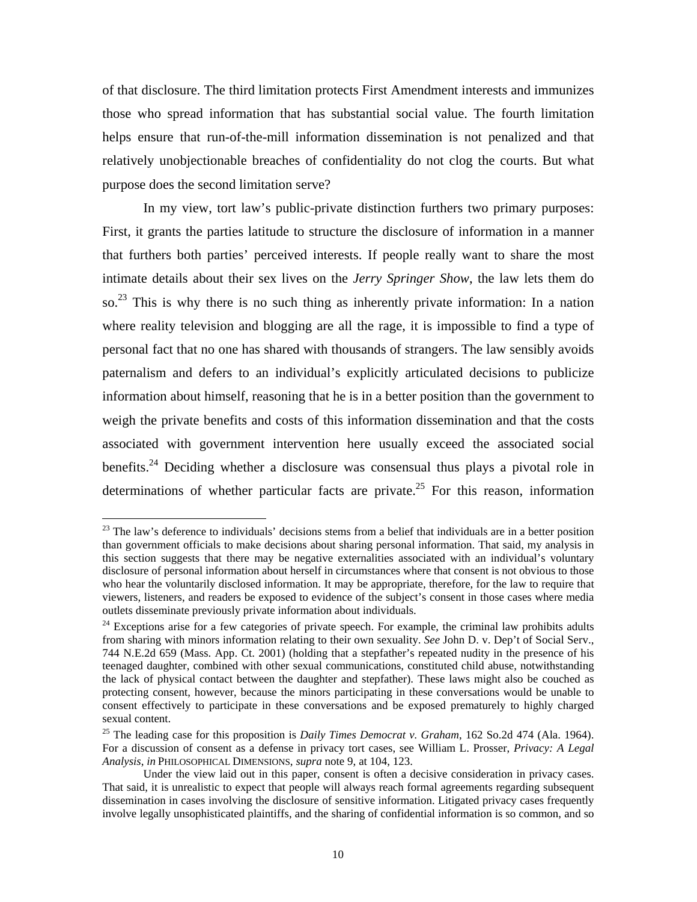<span id="page-11-2"></span>of that disclosure. The third limitation protects First Amendment interests and immunizes those who spread information that has substantial social value. The fourth limitation helps ensure that run-of-the-mill information dissemination is not penalized and that relatively unobjectionable breaches of confidentiality do not clog the courts. But what purpose does the second limitation serve?

In my view, tort law's public-private distinction furthers two primary purposes: First, it grants the parties latitude to structure the disclosure of information in a manner that furthers both parties' perceived interests. If people really want to share the most intimate details about their sex lives on the *Jerry Springer Show*, the law lets them do so.<sup>23</sup> This is why there is no such thing as inherently private information: In a nation where reality television and blogging are all the rage, it is impossible to find a type of personal fact that no one has shared with thousands of strangers. The law sensibly avoids paternalism and defers to an individual's explicitly articulated decisions to publicize information about himself, reasoning that he is in a better position than the government to weigh the private benefits and costs of this information dissemination and that the costs associated with government intervention here usually exceed the associated social benefits.<sup>24</sup> Deciding whether a disclosure was consensual thus plays a pivotal role in determinations of whether particular facts are private.<sup>25</sup> For this reason, information

<span id="page-11-0"></span><sup>&</sup>lt;sup>23</sup> The law's deference to individuals' decisions stems from a belief that individuals are in a better position than government officials to make decisions about sharing personal information. That said, my analysis in this section suggests that there may be negative externalities associated with an individual's voluntary disclosure of personal information about herself in circumstances where that consent is not obvious to those who hear the voluntarily disclosed information. It may be appropriate, therefore, for the law to require that viewers, listeners, and readers be exposed to evidence of the subject's consent in those cases where media outlets disseminate previously private information about individuals. 24 Exceptions arise for a few categories of private speech. For example, the criminal law prohibits adults

<span id="page-11-1"></span>from sharing with minors information relating to their own sexuality. *See* John D. v. Dep't of Social Serv., 744 N.E.2d 659 (Mass. App. Ct. 2001) (holding that a stepfather's repeated nudity in the presence of his teenaged daughter, combined with other sexual communications, constituted child abuse, notwithstanding the lack of physical contact between the daughter and stepfather). These laws might also be couched as protecting consent, however, because the minors participating in these conversations would be unable to consent effectively to participate in these conversations and be exposed prematurely to highly charged sexual content.<br><sup>25</sup> The leading case for this proposition is *Daily Times Democrat v. Graham*, 162 So.2d 474 (Ala. 1964).

For a discussion of consent as a defense in privacy tort cases, see William L. Prosser, *Privacy: A Legal Analysis*, *in* PHILOSOPHICAL DIMENSIONS, *supra* note 9, at 104, 123.

Under the view laid out in this paper, consent is often a decisive consideration in privacy cases. That said, it is unrealistic to expect that people will always reach formal agreements regarding subsequent dissemination in cases involving the disclosure of sensitive information. Litigated privacy cases frequently involve legally unsophisticated plaintiffs, and the sharing of confidential information is so common, and so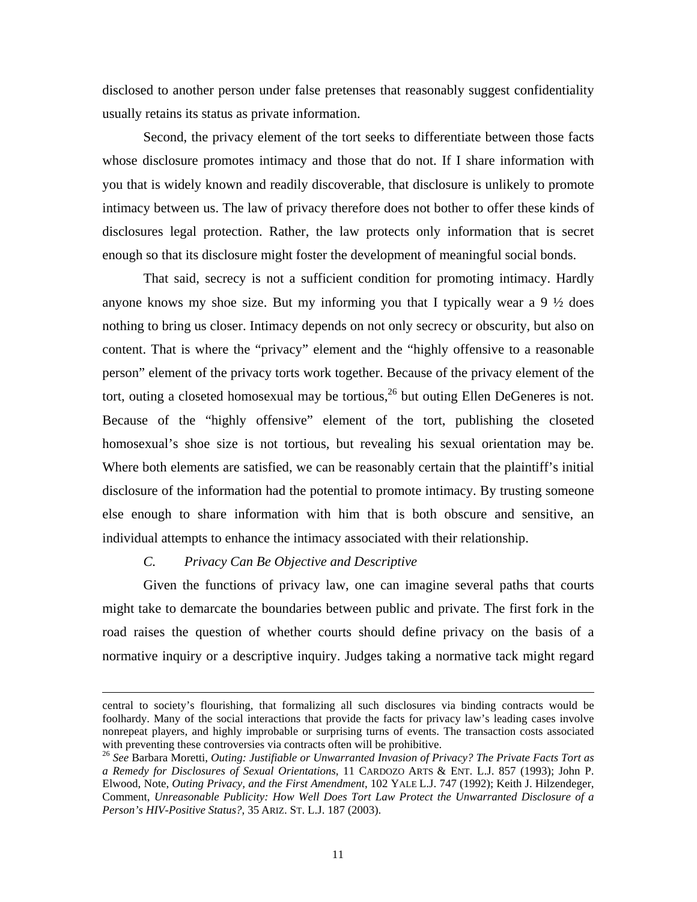<span id="page-12-0"></span>disclosed to another person under false pretenses that reasonably suggest confidentiality usually retains its status as private information.

Second, the privacy element of the tort seeks to differentiate between those facts whose disclosure promotes intimacy and those that do not. If I share information with you that is widely known and readily discoverable, that disclosure is unlikely to promote intimacy between us. The law of privacy therefore does not bother to offer these kinds of disclosures legal protection. Rather, the law protects only information that is secret enough so that its disclosure might foster the development of meaningful social bonds.

That said, secrecy is not a sufficient condition for promoting intimacy. Hardly anyone knows my shoe size. But my informing you that I typically wear a  $9\frac{1}{2}$  does nothing to bring us closer. Intimacy depends on not only secrecy or obscurity, but also on content. That is where the "privacy" element and the "highly offensive to a reasonable person" element of the privacy torts work together. Because of the privacy element of the tort, outing a closeted homosexual may be tortious,<sup>26</sup> but outing Ellen DeGeneres is not. Because of the "highly offensive" element of the tort, publishing the closeted homosexual's shoe size is not tortious, but revealing his sexual orientation may be. Where both elements are satisfied, we can be reasonably certain that the plaintiff's initial disclosure of the information had the potential to promote intimacy. By trusting someone else enough to share information with him that is both obscure and sensitive, an individual attempts to enhance the intimacy associated with their relationship.

#### *C. Privacy Can Be Objective and Descriptive*

Given the functions of privacy law, one can imagine several paths that courts might take to demarcate the boundaries between public and private. The first fork in the road raises the question of whether courts should define privacy on the basis of a normative inquiry or a descriptive inquiry. Judges taking a normative tack might regard

central to society's flourishing, that formalizing all such disclosures via binding contracts would be foolhardy. Many of the social interactions that provide the facts for privacy law's leading cases involve nonrepeat players, and highly improbable or surprising turns of events. The transaction costs associated with preventing these controversies via contracts often will be prohibitive.<br><sup>26</sup> See Barbara Moretti, *Outing: Justifiable or Unwarranted Invasion of Privacy? The Private Facts Tort as* 

<span id="page-12-1"></span>*a Remedy for Disclosures of Sexual Orientations*, 11 CARDOZO ARTS & ENT. L.J. 857 (1993); John P. Elwood, Note, *Outing Privacy, and the First Amendment*, 102 YALE L.J. 747 (1992); Keith J. Hilzendeger, Comment, *Unreasonable Publicity: How Well Does Tort Law Protect the Unwarranted Disclosure of a Person's HIV-Positive Status?*, 35 ARIZ. ST. L.J. 187 (2003).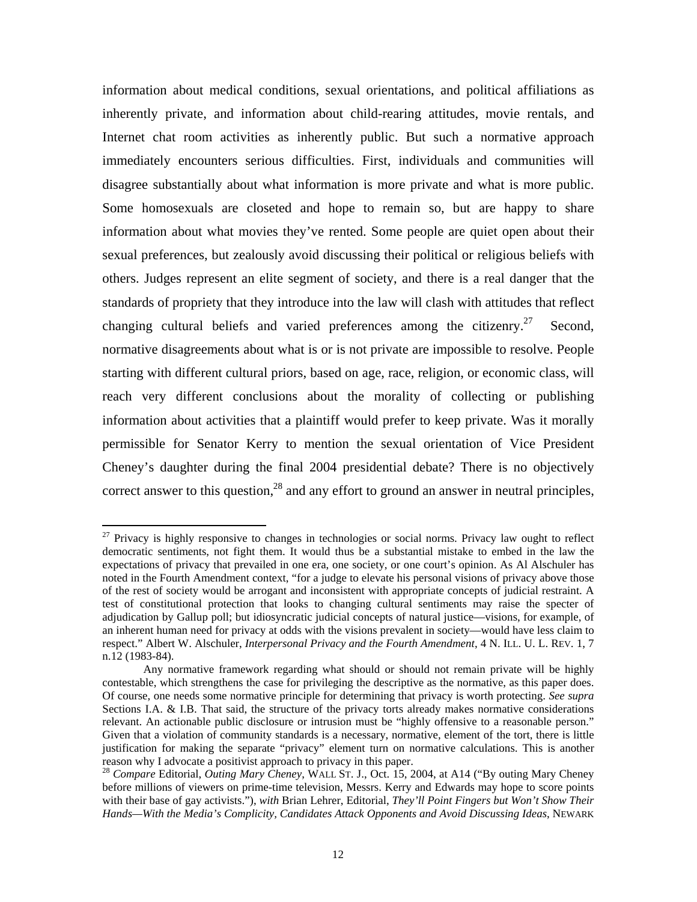<span id="page-13-1"></span>information about medical conditions, sexual orientations, and political affiliations as inherently private, and information about child-rearing attitudes, movie rentals, and Internet chat room activities as inherently public. But such a normative approach immediately encounters serious difficulties. First, individuals and communities will disagree substantially about what information is more private and what is more public. Some homosexuals are closeted and hope to remain so, but are happy to share information about what movies they've rented. Some people are quiet open about their sexual preferences, but zealously avoid discussing their political or religious beliefs with others. Judges represent an elite segment of society, and there is a real danger that the standards of propriety that they introduce into the law will clash with attitudes that reflect changing cultural beliefs and varied preferences among the citizenry.<sup>27</sup> Second, normative disagreements about what is or is not private are impossible to resolve. People starting with different cultural priors, based on age, race, religion, or economic class, will reach very different conclusions about the morality of collecting or publishing information about activities that a plaintiff would prefer to keep private. Was it morally permissible for Senator Kerry to mention the sexual orientation of Vice President Cheney's daughter during the final 2004 presidential debate? There is no objectively correct answer to this question, $^{28}$  and any effort to ground an answer in neutral principles,

 $\overline{a}$ 

<span id="page-13-0"></span> $27$  Privacy is highly responsive to changes in technologies or social norms. Privacy law ought to reflect democratic sentiments, not fight them. It would thus be a substantial mistake to embed in the law the expectations of privacy that prevailed in one era, one society, or one court's opinion. As Al Alschuler has noted in the Fourth Amendment context, "for a judge to elevate his personal visions of privacy above those of the rest of society would be arrogant and inconsistent with appropriate concepts of judicial restraint. A test of constitutional protection that looks to changing cultural sentiments may raise the specter of adjudication by Gallup poll; but idiosyncratic judicial concepts of natural justice—visions, for example, of an inherent human need for privacy at odds with the visions prevalent in society—would have less claim to respect." Albert W. Alschuler, *Interpersonal Privacy and the Fourth Amendment*, 4 N. ILL. U. L. REV. 1, 7 n.12 (1983-84).

Any normative framework regarding what should or should not remain private will be highly contestable, which strengthens the case for privileging the descriptive as the normative, as this paper does. Of course, one needs some normative principle for determining that privacy is worth protecting. *See supra*  Sections I.A. & I.B. That said, the structure of the privacy torts already makes normative considerations relevant. An actionable public disclosure or intrusion must be "highly offensive to a reasonable person." Given that a violation of community standards is a necessary, normative, element of the tort, there is little justification for making the separate "privacy" element turn on normative calculations. This is another reason why I advocate a positivist approach to privacy in this paper. 28 *Compare* Editorial, *Outing Mary Cheney*, WALL ST. J., Oct. 15, 2004, at A14 ("By outing Mary Cheney

before millions of viewers on prime-time television, Messrs. Kerry and Edwards may hope to score points with their base of gay activists."), *with* Brian Lehrer, Editorial, *They'll Point Fingers but Won't Show Their Hands—With the Media's Complicity, Candidates Attack Opponents and Avoid Discussing Ideas*, NEWARK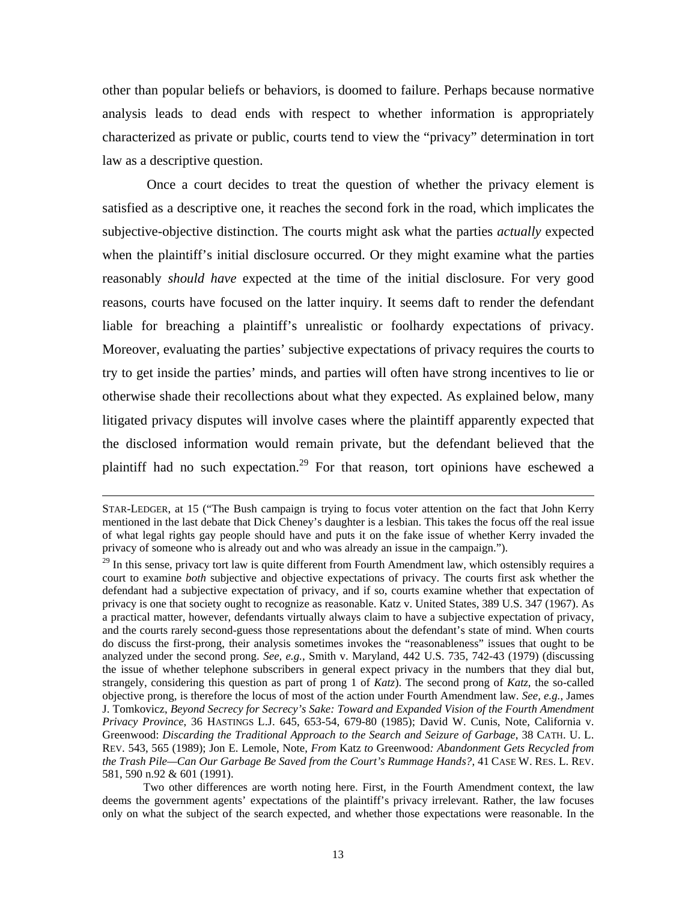<span id="page-14-0"></span>other than popular beliefs or behaviors, is doomed to failure. Perhaps because normative analysis leads to dead ends with respect to whether information is appropriately characterized as private or public, courts tend to view the "privacy" determination in tort law as a descriptive question.

Once a court decides to treat the question of whether the privacy element is satisfied as a descriptive one, it reaches the second fork in the road, which implicates the subjective-objective distinction. The courts might ask what the parties *actually* expected when the plaintiff's initial disclosure occurred. Or they might examine what the parties reasonably *should have* expected at the time of the initial disclosure. For very good reasons, courts have focused on the latter inquiry. It seems daft to render the defendant liable for breaching a plaintiff's unrealistic or foolhardy expectations of privacy. Moreover, evaluating the parties' subjective expectations of privacy requires the courts to try to get inside the parties' minds, and parties will often have strong incentives to lie or otherwise shade their recollections about what they expected. As explained below, many litigated privacy disputes will involve cases where the plaintiff apparently expected that the disclosed information would remain private, but the defendant believed that the plaintiff had no such expectation.<sup>29</sup> For that reason, tort opinions have eschewed a

STAR-LEDGER, at 15 ("The Bush campaign is trying to focus voter attention on the fact that John Kerry mentioned in the last debate that Dick Cheney's daughter is a lesbian. This takes the focus off the real issue of what legal rights gay people should have and puts it on the fake issue of whether Kerry invaded the privacy of someone who is already out and who was already an issue in the campaign.").

 $^{29}$  In this sense, privacy tort law is quite different from Fourth Amendment law, which ostensibly requires a court to examine *both* subjective and objective expectations of privacy. The courts first ask whether the defendant had a subjective expectation of privacy, and if so, courts examine whether that expectation of privacy is one that society ought to recognize as reasonable. Katz v. United States, 389 U.S. 347 (1967). As a practical matter, however, defendants virtually always claim to have a subjective expectation of privacy, and the courts rarely second-guess those representations about the defendant's state of mind. When courts do discuss the first-prong, their analysis sometimes invokes the "reasonableness" issues that ought to be analyzed under the second prong. *See, e.g.*, Smith v. Maryland, 442 U.S. 735, 742-43 (1979) (discussing the issue of whether telephone subscribers in general expect privacy in the numbers that they dial but, strangely, considering this question as part of prong 1 of *Katz*). The second prong of *Katz*, the so-called objective prong, is therefore the locus of most of the action under Fourth Amendment law. *See, e.g.*, James J. Tomkovicz, *Beyond Secrecy for Secrecy's Sake: Toward and Expanded Vision of the Fourth Amendment Privacy Province*, 36 HASTINGS L.J. 645, 653-54, 679-80 (1985); David W. Cunis, Note, California v. Greenwood: *Discarding the Traditional Approach to the Search and Seizure of Garbage*, 38 CATH. U. L. REV. 543, 565 (1989); Jon E. Lemole, Note, *From* Katz *to* Greenwood*: Abandonment Gets Recycled from the Trash Pile—Can Our Garbage Be Saved from the Court's Rummage Hands?*, 41 CASE W. RES. L. REV. 581, 590 n.92 & 601 (1991).

Two other differences are worth noting here. First, in the Fourth Amendment context, the law deems the government agents' expectations of the plaintiff's privacy irrelevant. Rather, the law focuses only on what the subject of the search expected, and whether those expectations were reasonable. In the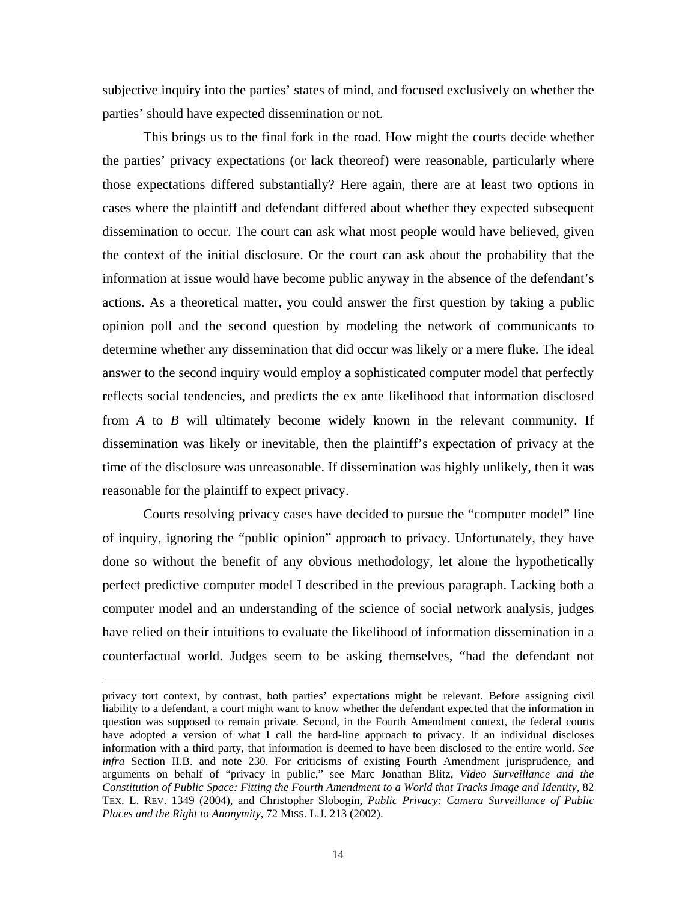subjective inquiry into the parties' states of mind, and focused exclusively on whether the parties' should have expected dissemination or not.

This brings us to the final fork in the road. How might the courts decide whether the parties' privacy expectations (or lack theoreof) were reasonable, particularly where those expectations differed substantially? Here again, there are at least two options in cases where the plaintiff and defendant differed about whether they expected subsequent dissemination to occur. The court can ask what most people would have believed, given the context of the initial disclosure. Or the court can ask about the probability that the information at issue would have become public anyway in the absence of the defendant's actions. As a theoretical matter, you could answer the first question by taking a public opinion poll and the second question by modeling the network of communicants to determine whether any dissemination that did occur was likely or a mere fluke. The ideal answer to the second inquiry would employ a sophisticated computer model that perfectly reflects social tendencies, and predicts the ex ante likelihood that information disclosed from *A* to *B* will ultimately become widely known in the relevant community. If dissemination was likely or inevitable, then the plaintiff's expectation of privacy at the time of the disclosure was unreasonable. If dissemination was highly unlikely, then it was reasonable for the plaintiff to expect privacy.

Courts resolving privacy cases have decided to pursue the "computer model" line of inquiry, ignoring the "public opinion" approach to privacy. Unfortunately, they have done so without the benefit of any obvious methodology, let alone the hypothetically perfect predictive computer model I described in the previous paragraph. Lacking both a computer model and an understanding of the science of social network analysis, judges have relied on their intuitions to evaluate the likelihood of information dissemination in a counterfactual world. Judges seem to be asking themselves, "had the defendant not

privacy tort context, by contrast, both parties' expectations might be relevant. Before assigning civil liability to a defendant, a court might want to know whether the defendant expected that the information in question was supposed to remain private. Second, in the Fourth Amendment context, the federal courts have adopted a version of what I call the hard-line approach to privacy. If an individual discloses information with a third party, that information is deemed to have been disclosed to the entire world. *See infra* Section II.B. and note 230. For criticisms of existing Fourth Amendment jurisprudence, and arguments on behalf of "privacy in public," see Marc Jonathan Blitz, *Video Surveillance and the Constitution of Public Space: Fitting the Fourth Amendment to a World that Tracks Image and Identity*, 82 TEX. L. REV. 1349 (2004), and Christopher Slobogin, *Public Privacy: Camera Surveillance of Public Places and the Right to Anonymity*, 72 MISS. L.J. 213 (2002).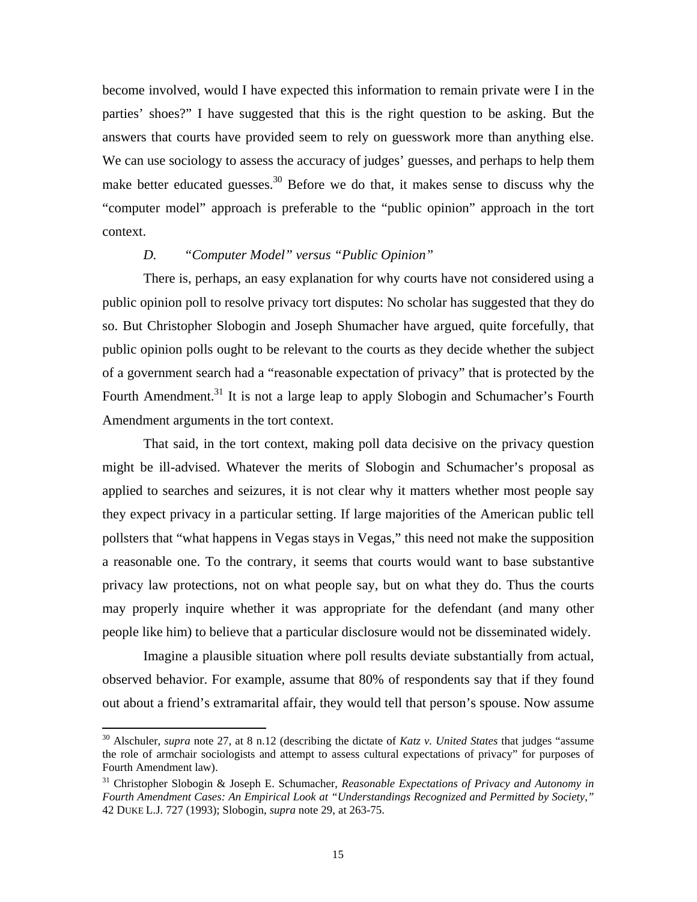<span id="page-16-0"></span>become involved, would I have expected this information to remain private were I in the parties' shoes?" I have suggested that this is the right question to be asking. But the answers that courts have provided seem to rely on guesswork more than anything else. We can use sociology to assess the accuracy of judges' guesses, and perhaps to help them make better educated guesses.<sup>30</sup> Before we do that, it makes sense to discuss why the "computer model" approach is preferable to the "public opinion" approach in the tort context.

#### *D. "Computer Model" versus "Public Opinion"*

There is, perhaps, an easy explanation for why courts have not considered using a public opinion poll to resolve privacy tort disputes: No scholar has suggested that they do so. But Christopher Slobogin and Joseph Shumacher have argued, quite forcefully, that public opinion polls ought to be relevant to the courts as they decide whether the subject of a government search had a "reasonable expectation of privacy" that is protected by the Fourth Amendment.<sup>31</sup> It is not a large leap to apply Slobogin and Schumacher's Fourth Amendment arguments in the tort context.

That said, in the tort context, making poll data decisive on the privacy question might be ill-advised. Whatever the merits of Slobogin and Schumacher's proposal as applied to searches and seizures, it is not clear why it matters whether most people say they expect privacy in a particular setting. If large majorities of the American public tell pollsters that "what happens in Vegas stays in Vegas," this need not make the supposition a reasonable one. To the contrary, it seems that courts would want to base substantive privacy law protections, not on what people say, but on what they do. Thus the courts may properly inquire whether it was appropriate for the defendant (and many other people like him) to believe that a particular disclosure would not be disseminated widely.

Imagine a plausible situation where poll results deviate substantially from actual, observed behavior. For example, assume that 80% of respondents say that if they found out about a friend's extramarital affair, they would tell that person's spouse. Now assume

<span id="page-16-1"></span><sup>30</sup> Alschuler, *supra* note 27, at 8 n.12 (describing the dictate of *Katz v. United States* that judges "assume the role of armchair sociologists and attempt to assess cultural expectations of privacy" for purposes of Fourth Amendment law).<br><sup>31</sup> Christopher Slobogin & Joseph E. Schumacher, *Reasonable Expectations of Privacy and Autonomy in* 

<span id="page-16-2"></span>*Fourth Amendment Cases: An Empirical Look at "Understandings Recognized and Permitted by Society*,*"*  42 DUKE L.J. 727 (1993); Slobogin, *supra* note 29, at 263-75.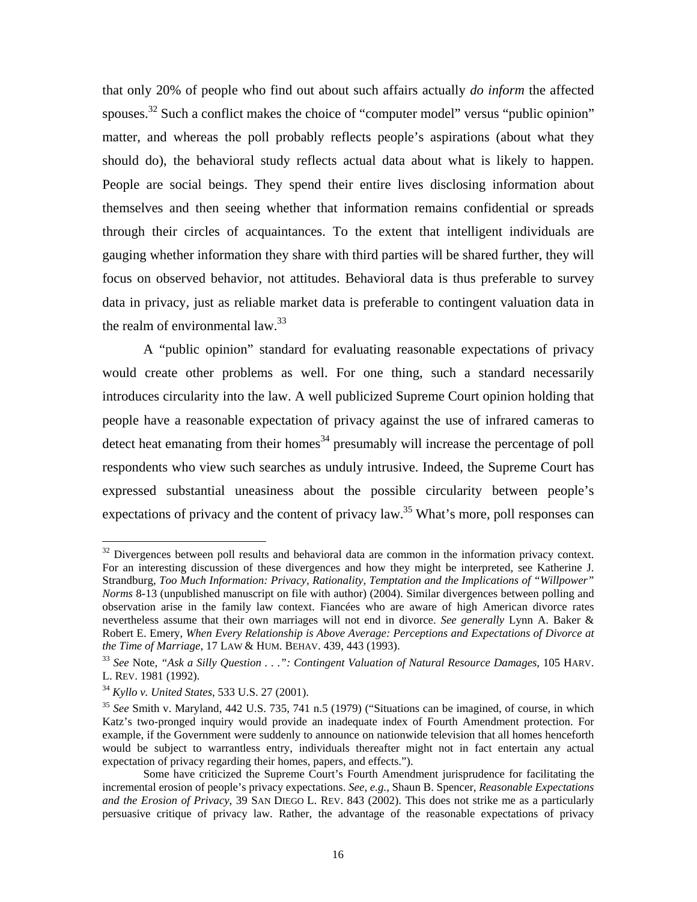<span id="page-17-3"></span>that only 20% of people who find out about such affairs actually *do inform* the affected spouses.<sup>32</sup> Such a conflict makes the choice of "computer model" versus "public opinion" matter, and whereas the poll probably reflects people's aspirations (about what they should do), the behavioral study reflects actual data about what is likely to happen. People are social beings. They spend their entire lives disclosing information about themselves and then seeing whether that information remains confidential or spreads through their circles of acquaintances. To the extent that intelligent individuals are gauging whether information they share with third parties will be shared further, they will focus on observed behavior, not attitudes. Behavioral data is thus preferable to survey data in privacy, just as reliable market data is preferable to contingent valuation data in the realm of environmental law. $^{33}$ 

A "public opinion" standard for evaluating reasonable expectations of privacy would create other problems as well. For one thing, such a standard necessarily introduces circularity into the law. A well publicized Supreme Court opinion holding that people have a reasonable expectation of privacy against the use of infrared cameras to detect heat emanating from their homes<sup>34</sup> presumably will increase the percentage of poll respondents who view such searches as unduly intrusive. Indeed, the Supreme Court has expressed substantial uneasiness about the possible circularity between people's expectations of privacy and the content of privacy  $law<sup>35</sup>$ . What's more, poll responses can

<span id="page-17-0"></span> $32$  Divergences between poll results and behavioral data are common in the information privacy context. For an interesting discussion of these divergences and how they might be interpreted, see Katherine J. Strandburg, *Too Much Information: Privacy, Rationality, Temptation and the Implications of "Willpower" Norms* 8-13 (unpublished manuscript on file with author) (2004). Similar divergences between polling and observation arise in the family law context. Fiancées who are aware of high American divorce rates nevertheless assume that their own marriages will not end in divorce. *See generally* Lynn A. Baker & Robert E. Emery, *When Every Relationship is Above Average: Perceptions and Expectations of Divorce at*

<span id="page-17-1"></span><sup>&</sup>lt;sup>33</sup> See Note, *"Ask a Silly Question . . .": Contingent Valuation of Natural Resource Damages, 105 HARV.* L. REV. 1981 (1992).<br><sup>34</sup> *Kyllo v. United States*, 533 U.S. 27 (2001).<br><sup>35</sup> *See* Smith v. Maryland, 442 U.S. 735, 741 n.5 (1979) ("Situations can be imagined, of course, in which

<span id="page-17-2"></span>

Katz's two-pronged inquiry would provide an inadequate index of Fourth Amendment protection. For example, if the Government were suddenly to announce on nationwide television that all homes henceforth would be subject to warrantless entry, individuals thereafter might not in fact entertain any actual expectation of privacy regarding their homes, papers, and effects.").

Some have criticized the Supreme Court's Fourth Amendment jurisprudence for facilitating the incremental erosion of people's privacy expectations. *See, e.g.*, Shaun B. Spencer, *Reasonable Expectations and the Erosion of Privacy*, 39 SAN DIEGO L. REV. 843 (2002). This does not strike me as a particularly persuasive critique of privacy law. Rather, the advantage of the reasonable expectations of privacy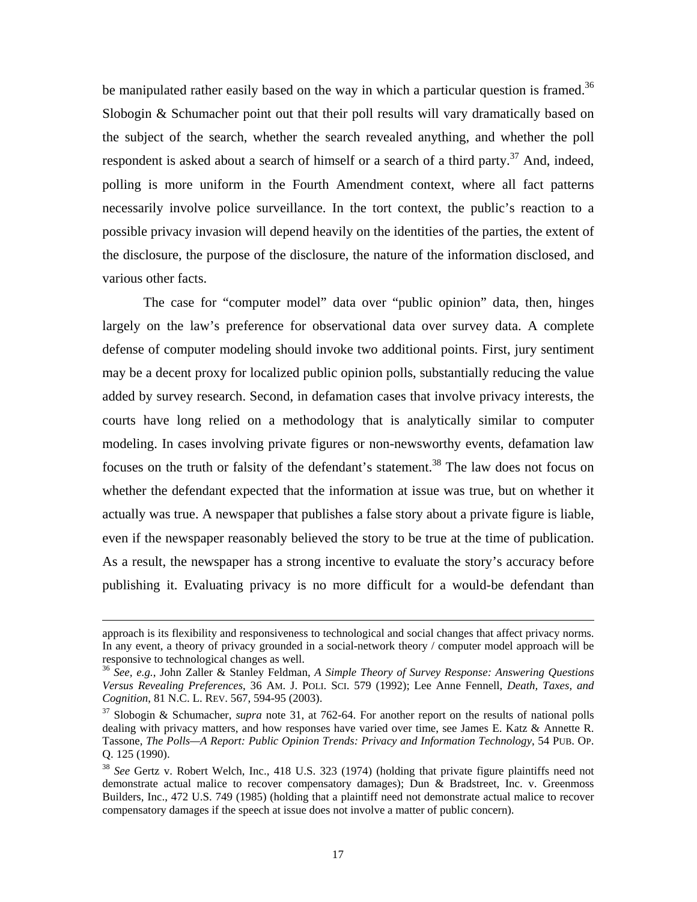be manipulated rather easily based on the way in which a particular question is framed.<sup>36</sup> Slobogin & Schumacher point out that their poll results will vary dramatically based on the subject of the search, whether the search revealed anything, and whether the poll respondent is asked about a search of himself or a search of a third party.<sup>37</sup> And, indeed, polling is more uniform in the Fourth Amendment context, where all fact patterns necessarily involve police surveillance. In the tort context, the public's reaction to a possible privacy invasion will depend heavily on the identities of the parties, the extent of the disclosure, the purpose of the disclosure, the nature of the information disclosed, and various other facts.

The case for "computer model" data over "public opinion" data, then, hinges largely on the law's preference for observational data over survey data. A complete defense of computer modeling should invoke two additional points. First, jury sentiment may be a decent proxy for localized public opinion polls, substantially reducing the value added by survey research. Second, in defamation cases that involve privacy interests, the courts have long relied on a methodology that is analytically similar to computer modeling. In cases involving private figures or non-newsworthy events, defamation law focuses on the truth or falsity of the defendant's statement.<sup>38</sup> The law does not focus on whether the defendant expected that the information at issue was true, but on whether it actually was true. A newspaper that publishes a false story about a private figure is liable, even if the newspaper reasonably believed the story to be true at the time of publication. As a result, the newspaper has a strong incentive to evaluate the story's accuracy before publishing it. Evaluating privacy is no more difficult for a would-be defendant than

approach is its flexibility and responsiveness to technological and social changes that affect privacy norms. In any event, a theory of privacy grounded in a social-network theory / computer model approach will be responsive to technological changes as well.<br><sup>36</sup> *See, e.g.*, John Zaller & Stanley Feldman, *A Simple Theory of Survey Response: Answering Questions* 

<span id="page-18-0"></span>*Versus Revealing Preferences*, 36 AM. J. POLI. SCI. 579 (1992); Lee Anne Fennell, *Death, Taxes, and Cognition*, 81 N.C. L. REV. 567, 594-95 (2003).

<span id="page-18-1"></span><sup>37</sup> Slobogin & Schumacher, *supra* note 31, at 762-64. For another report on the results of national polls dealing with privacy matters, and how responses have varied over time, see James E. Katz & Annette R. Tassone, *The Polls—A Report: Public Opinion Trends: Privacy and Information Technology*, 54 PUB. OP. Q. 125 (1990).

<span id="page-18-2"></span><sup>38</sup> *See* Gertz v. Robert Welch, Inc., 418 U.S. 323 (1974) (holding that private figure plaintiffs need not demonstrate actual malice to recover compensatory damages); Dun  $\&$  Bradstreet, Inc. v. Greenmoss Builders, Inc., 472 U.S. 749 (1985) (holding that a plaintiff need not demonstrate actual malice to recover compensatory damages if the speech at issue does not involve a matter of public concern).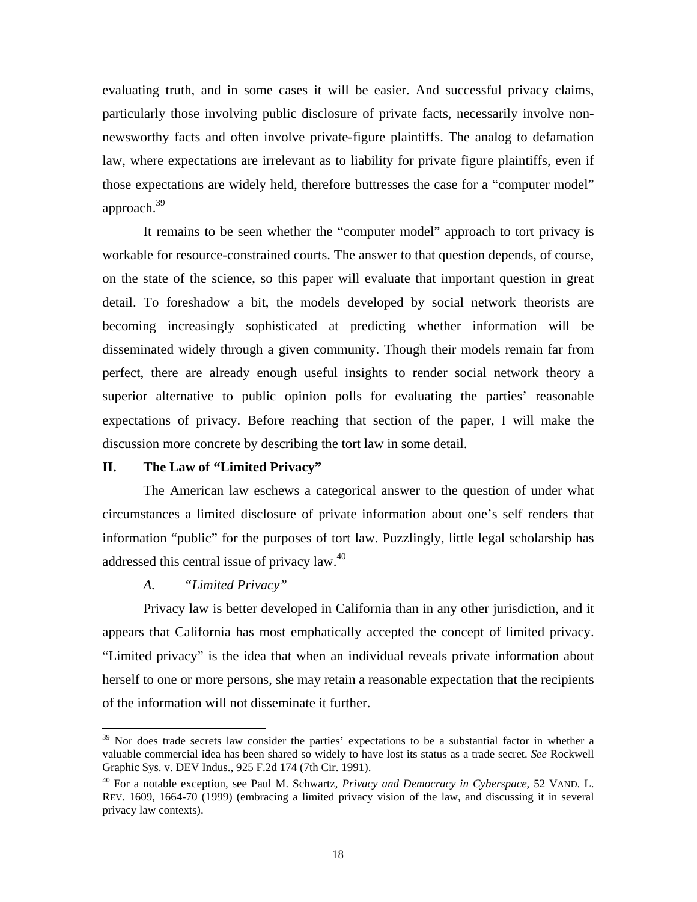<span id="page-19-0"></span>evaluating truth, and in some cases it will be easier. And successful privacy claims, particularly those involving public disclosure of private facts, necessarily involve nonnewsworthy facts and often involve private-figure plaintiffs. The analog to defamation law, where expectations are irrelevant as to liability for private figure plaintiffs, even if those expectations are widely held, therefore buttresses the case for a "computer model" approach[.39](#page-19-1) 

It remains to be seen whether the "computer model" approach to tort privacy is workable for resource-constrained courts. The answer to that question depends, of course, on the state of the science, so this paper will evaluate that important question in great detail. To foreshadow a bit, the models developed by social network theorists are becoming increasingly sophisticated at predicting whether information will be disseminated widely through a given community. Though their models remain far from perfect, there are already enough useful insights to render social network theory a superior alternative to public opinion polls for evaluating the parties' reasonable expectations of privacy. Before reaching that section of the paper, I will make the discussion more concrete by describing the tort law in some detail.

#### **II. The Law of "Limited Privacy"**

The American law eschews a categorical answer to the question of under what circumstances a limited disclosure of private information about one's self renders that information "public" for the purposes of tort law. Puzzlingly, little legal scholarship has addressed this central issue of privacy law.[40](#page-19-2) 

#### *A. "Limited Privacy"*

1

Privacy law is better developed in California than in any other jurisdiction, and it appears that California has most emphatically accepted the concept of limited privacy. "Limited privacy" is the idea that when an individual reveals private information about herself to one or more persons, she may retain a reasonable expectation that the recipients of the information will not disseminate it further.

<span id="page-19-1"></span> $39$  Nor does trade secrets law consider the parties' expectations to be a substantial factor in whether a valuable commercial idea has been shared so widely to have lost its status as a trade secret. *See* Rockwell Graphic Sys. v. DEV Indus., 925 F.2d 174 (7th Cir. 1991).

<span id="page-19-2"></span><sup>40</sup> For a notable exception, see Paul M. Schwartz, *Privacy and Democracy in Cyberspace*, 52 VAND. L. REV. 1609, 1664-70 (1999) (embracing a limited privacy vision of the law, and discussing it in several privacy law contexts).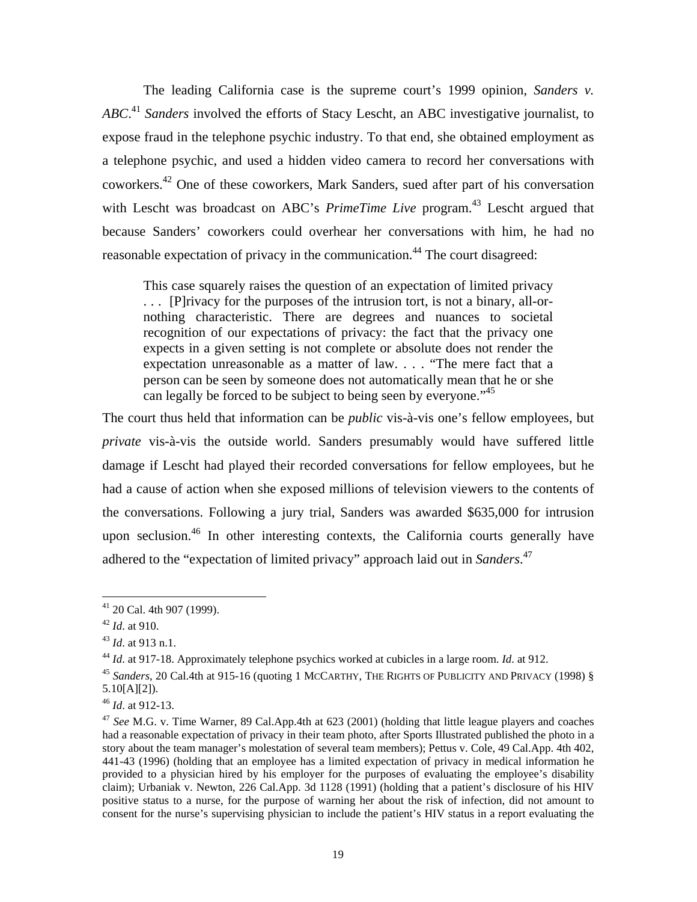<span id="page-20-6"></span>The leading California case is the supreme court's 1999 opinion, *Sanders v. ABC*. [41](#page-20-0) *Sanders* involved the efforts of Stacy Lescht, an ABC investigative journalist, to expose fraud in the telephone psychic industry. To that end, she obtained employment as a telephone psychic, and used a hidden video camera to record her conversations with coworkers[.42](#page-20-1) One of these coworkers, Mark Sanders, sued after part of his conversation with Lescht was broadcast on ABC's *PrimeTime Live* program. [43](#page-20-2) Lescht argued that because Sanders' coworkers could overhear her conversations with him, he had no reasonable expectation of privacy in the communication.<sup>44</sup> The court disagreed:

This case squarely raises the question of an expectation of limited privacy . . . [P]rivacy for the purposes of the intrusion tort, is not a binary, all-ornothing characteristic. There are degrees and nuances to societal recognition of our expectations of privacy: the fact that the privacy one expects in a given setting is not complete or absolute does not render the expectation unreasonable as a matter of law. . . . "The mere fact that a person can be seen by someone does not automatically mean that he or she can legally be forced to be subject to being seen by everyone.<sup>145</sup>

The court thus held that information can be *public* vis-à-vis one's fellow employees, but *private* vis-à-vis the outside world. Sanders presumably would have suffered little damage if Lescht had played their recorded conversations for fellow employees, but he had a cause of action when she exposed millions of television viewers to the contents of the conversations. Following a jury trial, Sanders was awarded \$635,000 for intrusion upon seclusion.<sup>46</sup> In other interesting contexts, the California courts generally have adhered to the "expectation of limited privacy" approach laid out in *Sanders*. [47](#page-20-6) 

<span id="page-20-0"></span> $41$  20 Cal. 4th 907 (1999).

<span id="page-20-1"></span>

<span id="page-20-3"></span><span id="page-20-2"></span>

<sup>42</sup> *Id.* at 910.<br><sup>43</sup> *Id.* at 913 n.1.<br><sup>44</sup> *Id.* at 917-18. Approximately telephone psychics worked at cubicles in a large room. *Id.* at 912.

<span id="page-20-4"></span><sup>45</sup> *Sanders*, 20 Cal.4th at 915-16 (quoting 1 MCCARTHY, THE RIGHTS OF PUBLICITY AND PRIVACY (1998) § 5.10[A][2]). 46 *Id*. at 912-13.

<span id="page-20-5"></span>

<sup>47</sup> *See* M.G. v. Time Warner, 89 Cal.App.4th at 623 (2001) (holding that little league players and coaches had a reasonable expectation of privacy in their team photo, after Sports Illustrated published the photo in a story about the team manager's molestation of several team members); Pettus v. Cole, 49 Cal.App. 4th 402, 441-43 (1996) (holding that an employee has a limited expectation of privacy in medical information he provided to a physician hired by his employer for the purposes of evaluating the employee's disability claim); Urbaniak v. Newton, 226 Cal.App. 3d 1128 (1991) (holding that a patient's disclosure of his HIV positive status to a nurse, for the purpose of warning her about the risk of infection, did not amount to consent for the nurse's supervising physician to include the patient's HIV status in a report evaluating the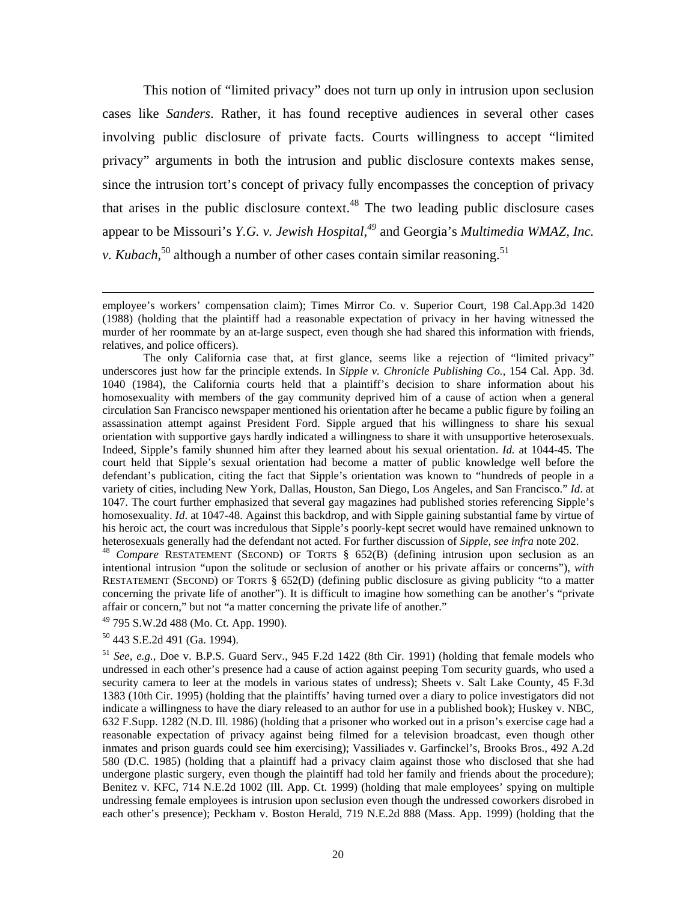<span id="page-21-3"></span>This notion of "limited privacy" does not turn up only in intrusion upon seclusion cases like *Sanders*. Rather, it has found receptive audiences in several other cases involving public disclosure of private facts. Courts willingness to accept "limited privacy" arguments in both the intrusion and public disclosure contexts makes sense, since the intrusion tort's concept of privacy fully encompasses the conception of privacy that arises in the public disclosure context. $48$  The two leading public disclosure cases appear to be Missouri's *Y.G. v. Jewish Hospital*, *[49](#page-21-1)* and Georgia's *Multimedia WMAZ, Inc. v. Kubach*,<sup>50</sup> although a number of other cases contain similar reasoning.<sup>51</sup>

<span id="page-21-0"></span>intentional intrusion "upon the solitude or seclusion of another or his private affairs or concerns"), *with* RESTATEMENT (SECOND) OF TORTS § 652(D) (defining public disclosure as giving publicity "to a matter concerning the private life of another"). It is difficult to imagine how something can be another's "private affair or concern," but not "a matter concerning the private life of another."

<span id="page-21-1"></span>49 795 S.W.2d 488 (Mo. Ct. App. 1990).

<span id="page-21-2"></span>50 443 S.E.2d 491 (Ga. 1994).

<sup>51</sup> *See, e.g.*, Doe v. B.P.S. Guard Serv., 945 F.2d 1422 (8th Cir. 1991) (holding that female models who undressed in each other's presence had a cause of action against peeping Tom security guards, who used a security camera to leer at the models in various states of undress); Sheets v. Salt Lake County, 45 F.3d 1383 (10th Cir. 1995) (holding that the plaintiffs' having turned over a diary to police investigators did not indicate a willingness to have the diary released to an author for use in a published book); Huskey v. NBC, 632 F.Supp. 1282 (N.D. Ill. 1986) (holding that a prisoner who worked out in a prison's exercise cage had a reasonable expectation of privacy against being filmed for a television broadcast, even though other inmates and prison guards could see him exercising); Vassiliades v. Garfinckel's, Brooks Bros., 492 A.2d 580 (D.C. 1985) (holding that a plaintiff had a privacy claim against those who disclosed that she had undergone plastic surgery, even though the plaintiff had told her family and friends about the procedure); Benitez v. KFC, 714 N.E.2d 1002 (Ill. App. Ct. 1999) (holding that male employees' spying on multiple undressing female employees is intrusion upon seclusion even though the undressed coworkers disrobed in each other's presence); Peckham v. Boston Herald, 719 N.E.2d 888 (Mass. App. 1999) (holding that the

employee's workers' compensation claim); Times Mirror Co. v. Superior Court, 198 Cal.App.3d 1420 (1988) (holding that the plaintiff had a reasonable expectation of privacy in her having witnessed the murder of her roommate by an at-large suspect, even though she had shared this information with friends, relatives, and police officers).

The only California case that, at first glance, seems like a rejection of "limited privacy" underscores just how far the principle extends. In *Sipple v. Chronicle Publishing Co.*, 154 Cal. App. 3d. 1040 (1984), the California courts held that a plaintiff's decision to share information about his homosexuality with members of the gay community deprived him of a cause of action when a general circulation San Francisco newspaper mentioned his orientation after he became a public figure by foiling an assassination attempt against President Ford. Sipple argued that his willingness to share his sexual orientation with supportive gays hardly indicated a willingness to share it with unsupportive heterosexuals. Indeed, Sipple's family shunned him after they learned about his sexual orientation. *Id.* at 1044-45. The court held that Sipple's sexual orientation had become a matter of public knowledge well before the defendant's publication, citing the fact that Sipple's orientation was known to "hundreds of people in a variety of cities, including New York, Dallas, Houston, San Diego, Los Angeles, and San Francisco." *Id*. at 1047. The court further emphasized that several gay magazines had published stories referencing Sipple's homosexuality. *Id*. at 1047-48. Against this backdrop, and with Sipple gaining substantial fame by virtue of his heroic act, the court was incredulous that Sipple's poorly-kept secret would have remained unknown to heterosexuals generally had the defendant not acted. For further discussion of *Sipple*, *see infra* note 202.<br><sup>48</sup> *Compare* RESTATEMENT (SECOND) OF TORTS § 652(B) (defining intrusion upon seclusion as an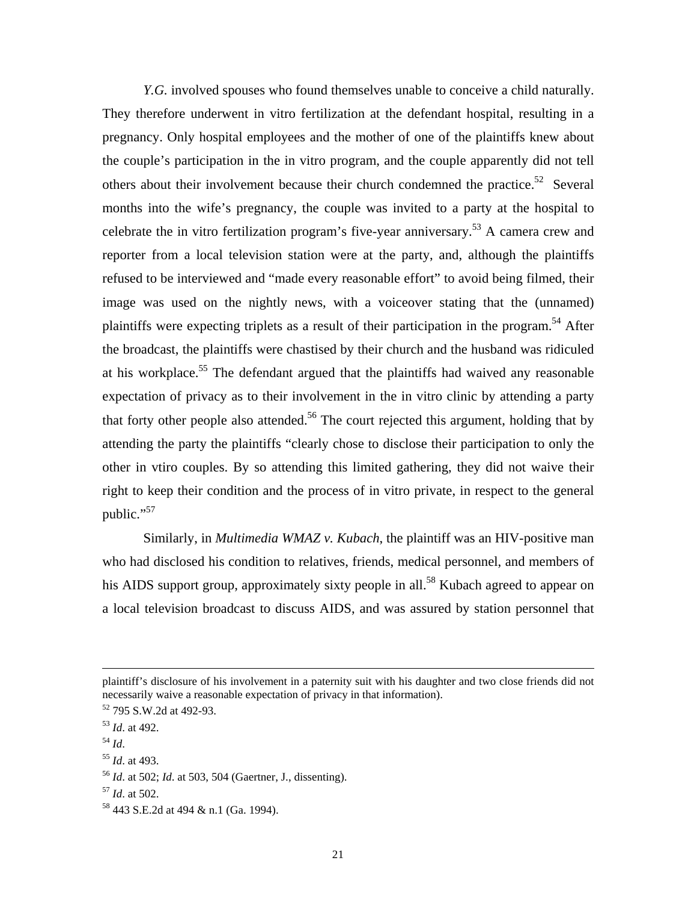*Y.G.* involved spouses who found themselves unable to conceive a child naturally. They therefore underwent in vitro fertilization at the defendant hospital, resulting in a pregnancy. Only hospital employees and the mother of one of the plaintiffs knew about the couple's participation in the in vitro program, and the couple apparently did not tell others about their involvement because their church condemned the practice.<sup>52</sup> Several months into the wife's pregnancy, the couple was invited to a party at the hospital to celebrate the in vitro fertilization program's five-year anniversary.[53](#page-22-1) A camera crew and reporter from a local television station were at the party, and, although the plaintiffs refused to be interviewed and "made every reasonable effort" to avoid being filmed, their image was used on the nightly news, with a voiceover stating that the (unnamed) plaintiffs were expecting triplets as a result of their participation in the program.<sup>54</sup> After the broadcast, the plaintiffs were chastised by their church and the husband was ridiculed at his workplace.<sup>55</sup> The defendant argued that the plaintiffs had waived any reasonable expectation of privacy as to their involvement in the in vitro clinic by attending a party that forty other people also attended.<sup>56</sup> The court rejected this argument, holding that by attending the party the plaintiffs "clearly chose to disclose their participation to only the other in vtiro couples. By so attending this limited gathering, they did not waive their right to keep their condition and the process of in vitro private, in respect to the general public."<sup>57</sup>

 Similarly, in *Multimedia WMAZ v. Kubach*, the plaintiff was an HIV-positive man who had disclosed his condition to relatives, friends, medical personnel, and members of his AIDS support group, approximately sixty people in all.<sup>58</sup> Kubach agreed to appear on a local television broadcast to discuss AIDS, and was assured by station personnel that

plaintiff's disclosure of his involvement in a paternity suit with his daughter and two close friends did not necessarily waive a reasonable expectation of privacy in that information).<br><sup>52</sup> 795 S.W.2d at 492-93.<br><sup>53</sup> *Id.* at 492.

<span id="page-22-0"></span>

<span id="page-22-1"></span>

<span id="page-22-3"></span>

<span id="page-22-2"></span><sup>54</sup> *Id*. 55 *Id*. at 493.

<span id="page-22-4"></span><sup>56</sup> *Id*. at 502; *Id*. at 503, 504 (Gaertner, J., dissenting).

<span id="page-22-6"></span><span id="page-22-5"></span>

<sup>57</sup> *Id*. at 502. 58 443 S.E.2d at 494 & n.1 (Ga. 1994).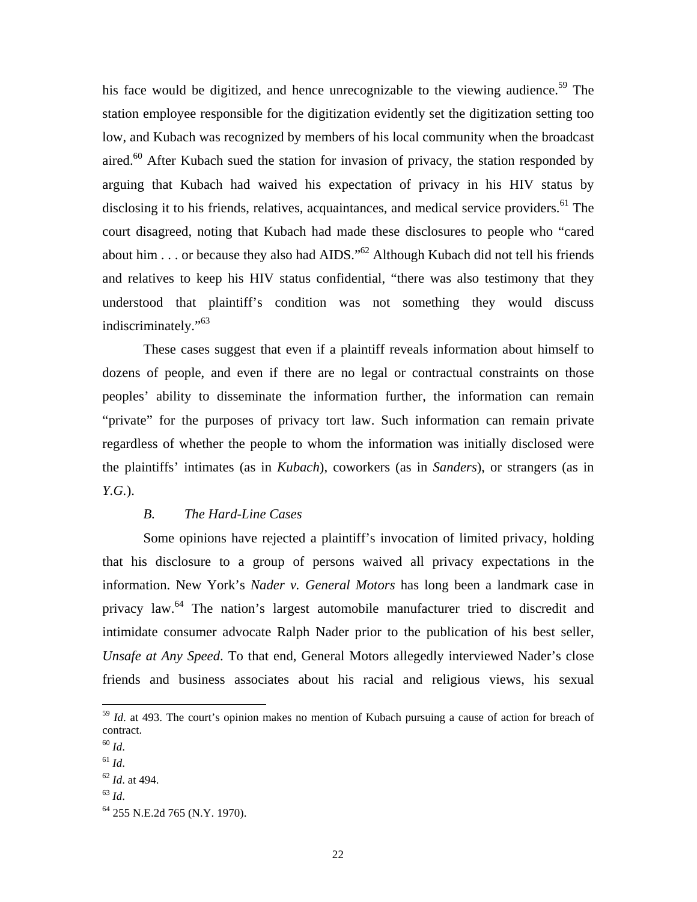<span id="page-23-0"></span>his face would be digitized, and hence unrecognizable to the viewing audience.<sup>59</sup> The station employee responsible for the digitization evidently set the digitization setting too low, and Kubach was recognized by members of his local community when the broadcast aired.<sup>60</sup> After Kubach sued the station for invasion of privacy, the station responded by arguing that Kubach had waived his expectation of privacy in his HIV status by disclosing it to his friends, relatives, acquaintances, and medical service providers.<sup>61</sup> The court disagreed, noting that Kubach had made these disclosures to people who "cared about him . . . or because they also had AIDS."<sup>62</sup> Although Kubach did not tell his friends and relatives to keep his HIV status confidential, "there was also testimony that they understood that plaintiff's condition was not something they would discuss indiscriminately."[63](#page-23-5) 

These cases suggest that even if a plaintiff reveals information about himself to dozens of people, and even if there are no legal or contractual constraints on those peoples' ability to disseminate the information further, the information can remain "private" for the purposes of privacy tort law. Such information can remain private regardless of whether the people to whom the information was initially disclosed were the plaintiffs' intimates (as in *Kubach*), coworkers (as in *Sanders*), or strangers (as in *Y.G.*).

#### *B. The Hard-Line Cases*

Some opinions have rejected a plaintiff's invocation of limited privacy, holding that his disclosure to a group of persons waived all privacy expectations in the information. New York's *Nader v. General Motors* has long been a landmark case in privacy law.[64](#page-23-6) The nation's largest automobile manufacturer tried to discredit and intimidate consumer advocate Ralph Nader prior to the publication of his best seller, *Unsafe at Any Speed*. To that end, General Motors allegedly interviewed Nader's close friends and business associates about his racial and religious views, his sexual

<span id="page-23-1"></span><sup>&</sup>lt;sup>59</sup> *Id.* at 493. The court's opinion makes no mention of Kubach pursuing a cause of action for breach of contract.

<span id="page-23-2"></span><sup>60</sup> *Id*. 61 *Id*.

<span id="page-23-3"></span>

<span id="page-23-4"></span><sup>62</sup> *Id*. at 494. 63 *Id*.

<span id="page-23-5"></span>

<span id="page-23-6"></span><sup>64 255</sup> N.E.2d 765 (N.Y. 1970).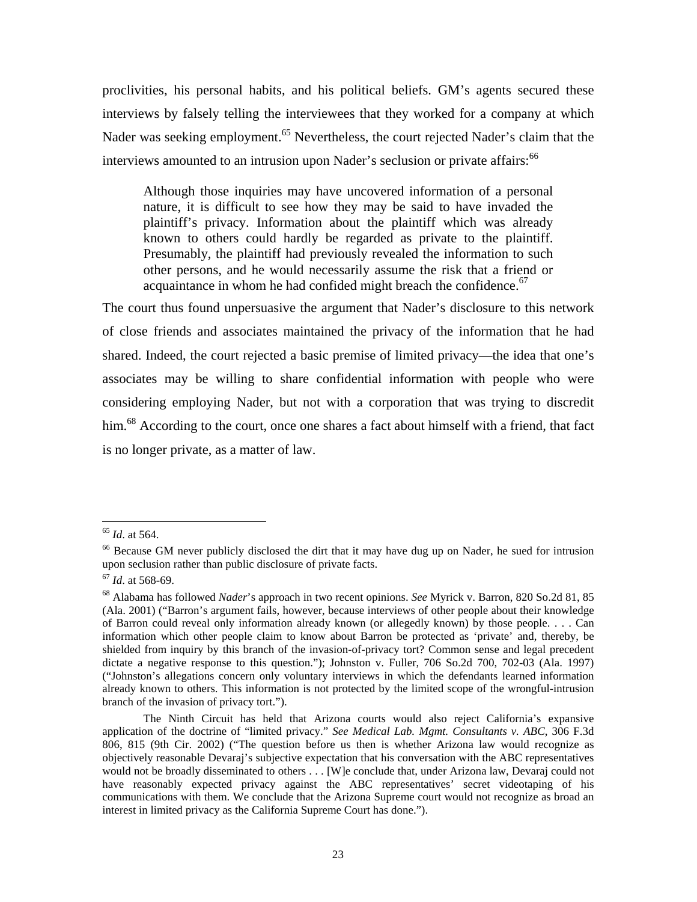proclivities, his personal habits, and his political beliefs. GM's agents secured these interviews by falsely telling the interviewees that they worked for a company at which Nader was seeking employment.<sup>65</sup> Nevertheless, the court rejected Nader's claim that the interviews amounted to an intrusion upon Nader's seclusion or private affairs:<sup>[66](#page-24-1)</sup>

Although those inquiries may have uncovered information of a personal nature, it is difficult to see how they may be said to have invaded the plaintiff's privacy. Information about the plaintiff which was already known to others could hardly be regarded as private to the plaintiff. Presumably, the plaintiff had previously revealed the information to such other persons, and he would necessarily assume the risk that a friend or acquaintance in whom he had confided might breach the confidence. $67$ 

The court thus found unpersuasive the argument that Nader's disclosure to this network of close friends and associates maintained the privacy of the information that he had shared. Indeed, the court rejected a basic premise of limited privacy—the idea that one's associates may be willing to share confidential information with people who were considering employing Nader, but not with a corporation that was trying to discredit him.<sup>68</sup> According to the court, once one shares a fact about himself with a friend, that fact is no longer private, as a matter of law.

<span id="page-24-0"></span> $^{65}$  *Id.* at 564.

<span id="page-24-1"></span><sup>&</sup>lt;sup>66</sup> Because GM never publicly disclosed the dirt that it may have dug up on Nader, he sued for intrusion upon seclusion rather than public disclosure of private facts. 67 *Id*. at 568-69.

<span id="page-24-2"></span>

<span id="page-24-3"></span><sup>68</sup> Alabama has followed *Nader*'s approach in two recent opinions. *See* Myrick v. Barron, 820 So.2d 81, 85 (Ala. 2001) ("Barron's argument fails, however, because interviews of other people about their knowledge of Barron could reveal only information already known (or allegedly known) by those people. . . . Can information which other people claim to know about Barron be protected as 'private' and, thereby, be shielded from inquiry by this branch of the invasion-of-privacy tort? Common sense and legal precedent dictate a negative response to this question."); Johnston v. Fuller, 706 So.2d 700, 702-03 (Ala. 1997) ("Johnston's allegations concern only voluntary interviews in which the defendants learned information already known to others. This information is not protected by the limited scope of the wrongful-intrusion branch of the invasion of privacy tort.").

The Ninth Circuit has held that Arizona courts would also reject California's expansive application of the doctrine of "limited privacy." *See Medical Lab. Mgmt. Consultants v. ABC*, 306 F.3d 806, 815 (9th Cir. 2002) ("The question before us then is whether Arizona law would recognize as objectively reasonable Devaraj's subjective expectation that his conversation with the ABC representatives would not be broadly disseminated to others . . . [W]e conclude that, under Arizona law, Devaraj could not have reasonably expected privacy against the ABC representatives' secret videotaping of his communications with them. We conclude that the Arizona Supreme court would not recognize as broad an interest in limited privacy as the California Supreme Court has done.").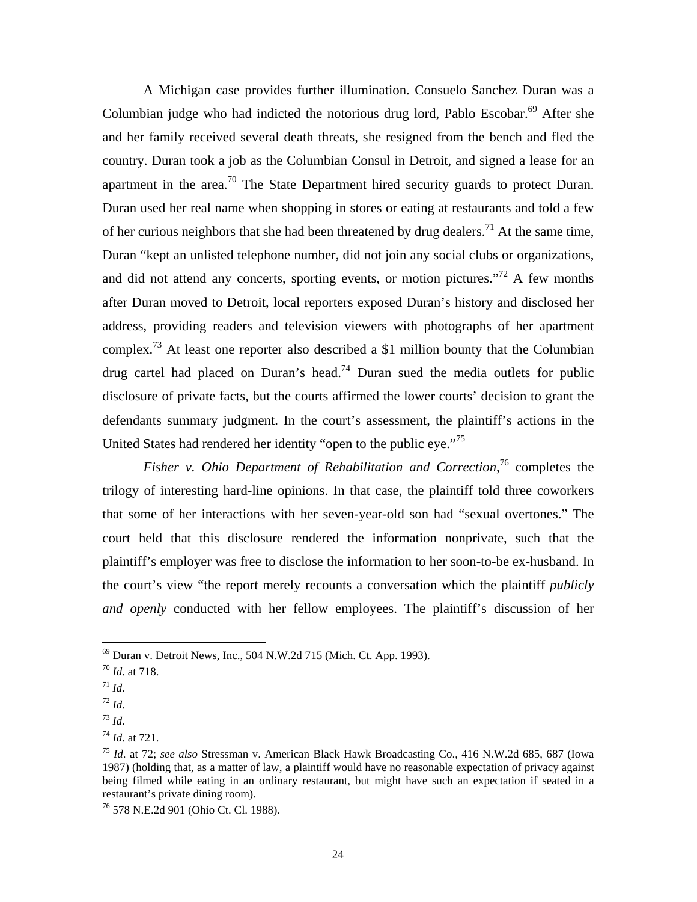A Michigan case provides further illumination. Consuelo Sanchez Duran was a Columbian judge who had indicted the notorious drug lord, Pablo Escobar.<sup>69</sup> After she and her family received several death threats, she resigned from the bench and fled the country. Duran took a job as the Columbian Consul in Detroit, and signed a lease for an apartment in the area.<sup>70</sup> The State Department hired security guards to protect Duran. Duran used her real name when shopping in stores or eating at restaurants and told a few of her curious neighbors that she had been threatened by drug dealers.<sup>71</sup> At the same time, Duran "kept an unlisted telephone number, did not join any social clubs or organizations, and did not attend any concerts, sporting events, or motion pictures."<sup>72</sup> A few months after Duran moved to Detroit, local reporters exposed Duran's history and disclosed her address, providing readers and television viewers with photographs of her apartment complex.<sup>73</sup> At least one reporter also described a \$1 million bounty that the Columbian drug cartel had placed on Duran's head.<sup>74</sup> Duran sued the media outlets for public disclosure of private facts, but the courts affirmed the lower courts' decision to grant the defendants summary judgment. In the court's assessment, the plaintiff's actions in the United States had rendered her identity "open to the public eye."[75](#page-25-6) 

Fisher v. Ohio Department of Rehabilitation and Correction,<sup>76</sup> completes the trilogy of interesting hard-line opinions. In that case, the plaintiff told three coworkers that some of her interactions with her seven-year-old son had "sexual overtones." The court held that this disclosure rendered the information nonprivate, such that the plaintiff's employer was free to disclose the information to her soon-to-be ex-husband. In the court's view "the report merely recounts a conversation which the plaintiff *publicly and openly* conducted with her fellow employees. The plaintiff's discussion of her

<span id="page-25-0"></span><sup>&</sup>lt;sup>69</sup> Duran v. Detroit News, Inc., 504 N.W.2d 715 (Mich. Ct. App. 1993).<br><sup>70</sup> *Id*. at 718.<br><sup>71</sup> *Id*.

<span id="page-25-1"></span>

<span id="page-25-2"></span>

<span id="page-25-3"></span>

<span id="page-25-5"></span><span id="page-25-4"></span>

<sup>72</sup> *Id*. 73 *Id*. 74 *Id*. at 721.

<span id="page-25-6"></span><sup>75</sup> *Id*. at 72; *see also* Stressman v. American Black Hawk Broadcasting Co., 416 N.W.2d 685, 687 (Iowa 1987) (holding that, as a matter of law, a plaintiff would have no reasonable expectation of privacy against being filmed while eating in an ordinary restaurant, but might have such an expectation if seated in a restaurant's private dining room). 76 578 N.E.2d 901 (Ohio Ct. Cl. 1988).

<span id="page-25-7"></span>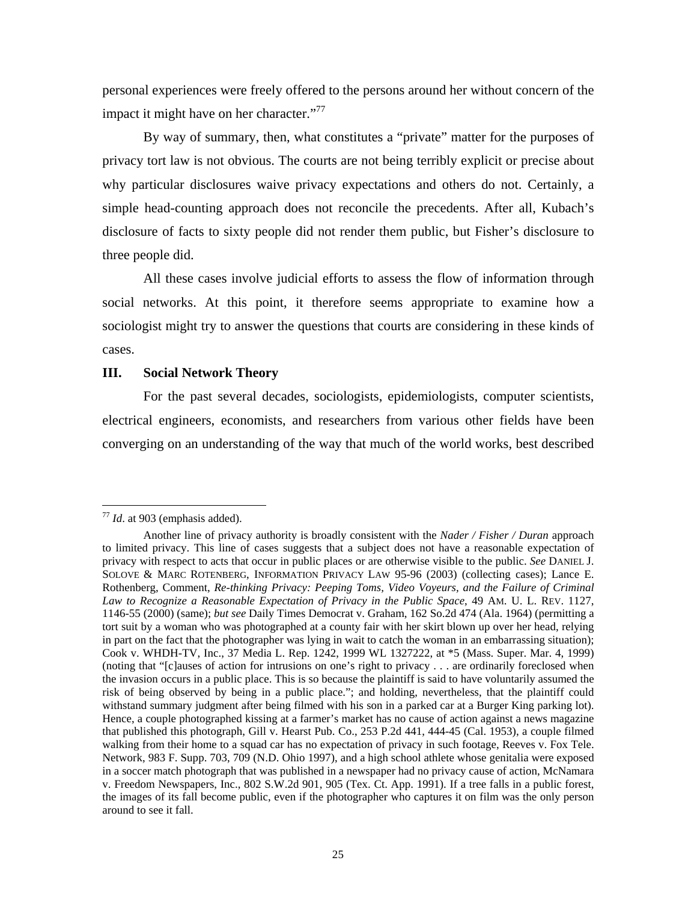<span id="page-26-0"></span>personal experiences were freely offered to the persons around her without concern of the impact it might have on her character."<sup>77</sup>

By way of summary, then, what constitutes a "private" matter for the purposes of privacy tort law is not obvious. The courts are not being terribly explicit or precise about why particular disclosures waive privacy expectations and others do not. Certainly, a simple head-counting approach does not reconcile the precedents. After all, Kubach's disclosure of facts to sixty people did not render them public, but Fisher's disclosure to three people did.

All these cases involve judicial efforts to assess the flow of information through social networks. At this point, it therefore seems appropriate to examine how a sociologist might try to answer the questions that courts are considering in these kinds of cases.

#### **III. Social Network Theory**

For the past several decades, sociologists, epidemiologists, computer scientists, electrical engineers, economists, and researchers from various other fields have been converging on an understanding of the way that much of the world works, best described

<span id="page-26-1"></span><sup>77</sup> *Id*. at 903 (emphasis added).

Another line of privacy authority is broadly consistent with the *Nader / Fisher / Duran* approach to limited privacy. This line of cases suggests that a subject does not have a reasonable expectation of privacy with respect to acts that occur in public places or are otherwise visible to the public. *See* DANIEL J. SOLOVE & MARC ROTENBERG, INFORMATION PRIVACY LAW 95-96 (2003) (collecting cases); Lance E. Rothenberg, Comment, *Re-thinking Privacy: Peeping Toms, Video Voyeurs, and the Failure of Criminal Law to Recognize a Reasonable Expectation of Privacy in the Public Space*, 49 AM. U. L. REV. 1127, 1146-55 (2000) (same); *but see* Daily Times Democrat v. Graham, 162 So.2d 474 (Ala. 1964) (permitting a tort suit by a woman who was photographed at a county fair with her skirt blown up over her head, relying in part on the fact that the photographer was lying in wait to catch the woman in an embarrassing situation); Cook v. WHDH-TV, Inc., 37 Media L. Rep. 1242, 1999 WL 1327222, at \*5 (Mass. Super. Mar. 4, 1999) (noting that "[c]auses of action for intrusions on one's right to privacy . . . are ordinarily foreclosed when the invasion occurs in a public place. This is so because the plaintiff is said to have voluntarily assumed the risk of being observed by being in a public place."; and holding, nevertheless, that the plaintiff could withstand summary judgment after being filmed with his son in a parked car at a Burger King parking lot). Hence, a couple photographed kissing at a farmer's market has no cause of action against a news magazine that published this photograph, Gill v. Hearst Pub. Co., 253 P.2d 441, 444-45 (Cal. 1953), a couple filmed walking from their home to a squad car has no expectation of privacy in such footage, Reeves v. Fox Tele. Network, 983 F. Supp. 703, 709 (N.D. Ohio 1997), and a high school athlete whose genitalia were exposed in a soccer match photograph that was published in a newspaper had no privacy cause of action, McNamara v. Freedom Newspapers, Inc., 802 S.W.2d 901, 905 (Tex. Ct. App. 1991). If a tree falls in a public forest, the images of its fall become public, even if the photographer who captures it on film was the only person around to see it fall.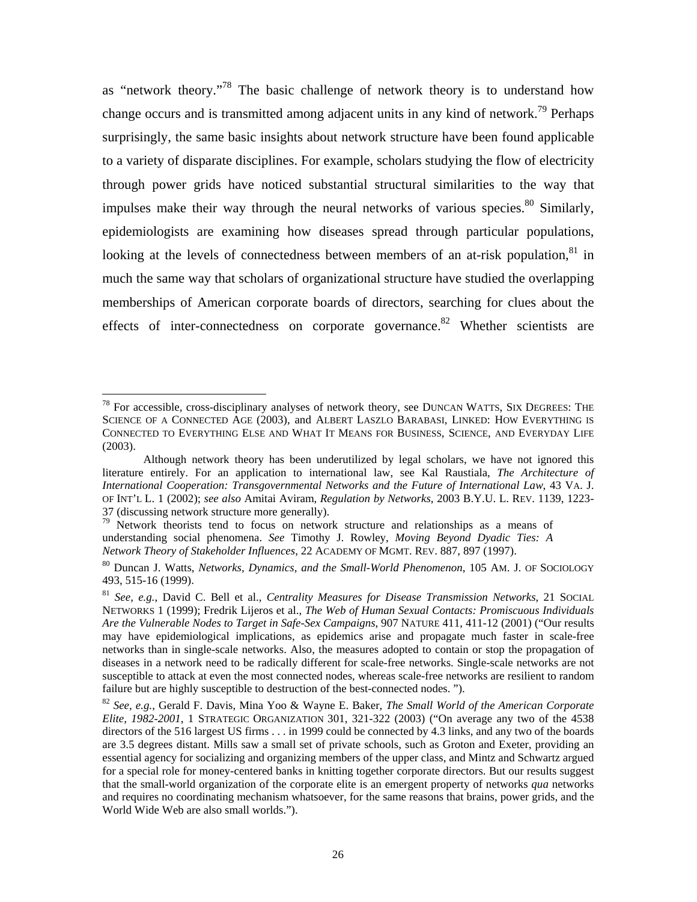as "network theory."[78](#page-27-0) The basic challenge of network theory is to understand how change occurs and is transmitted among adjacent units in any kind of network.<sup>79</sup> Perhaps surprisingly, the same basic insights about network structure have been found applicable to a variety of disparate disciplines. For example, scholars studying the flow of electricity through power grids have noticed substantial structural similarities to the way that impulses make their way through the neural networks of various species. <sup>80</sup> Similarly, epidemiologists are examining how diseases spread through particular populations, looking at the levels of connectedness between members of an at-risk population, $81$  in much the same way that scholars of organizational structure have studied the overlapping memberships of American corporate boards of directors, searching for clues about the effects of inter-connectedness on corporate governance.<sup>82</sup> Whether scientists are

 $\overline{a}$ 

<span id="page-27-0"></span> $78$  For accessible, cross-disciplinary analyses of network theory, see DUNCAN WATTS, SIX DEGREES: THE SCIENCE OF A CONNECTED AGE (2003), and ALBERT LASZLO BARABASI, LINKED: HOW EVERYTHING IS CONNECTED TO EVERYTHING ELSE AND WHAT IT MEANS FOR BUSINESS, SCIENCE, AND EVERYDAY LIFE (2003).

Although network theory has been underutilized by legal scholars, we have not ignored this literature entirely. For an application to international law, see Kal Raustiala, *The Architecture of International Cooperation: Transgovernmental Networks and the Future of International Law*, 43 VA. J. OF INT'L L. 1 (2002); *see also* Amitai Aviram, *Regulation by Networks*, 2003 B.Y.U. L. REV. 1139, 1223-

<span id="page-27-1"></span><sup>37 (</sup>discussing network structure more generally).<br><sup>79</sup> Network theorists tend to focus on network structure and relationships as a means of understanding social phenomena. *See* Timothy J. Rowley, *Moving Beyond Dyadic Ties: A Network Theory of Stakeholder Influences*, 22 ACADEMY OF MGMT. REV. 887, 897 (1997).<br><sup>80</sup> Duncan J. Watts, *Networks, Dynamics, and the Small-World Phenomenon*, 105 AM. J. OF SOCIOLOGY

<span id="page-27-2"></span><sup>493, 515-16 (1999).</sup> 

<span id="page-27-3"></span><sup>81</sup> *See, e.g.*, David C. Bell et al., *Centrality Measures for Disease Transmission Networks*, 21 SOCIAL NETWORKS 1 (1999); Fredrik Lijeros et al., *The Web of Human Sexual Contacts: Promiscuous Individuals Are the Vulnerable Nodes to Target in Safe-Sex Campaigns*, 907 NATURE 411, 411-12 (2001) ("Our results may have epidemiological implications, as epidemics arise and propagate much faster in scale-free networks than in single-scale networks. Also, the measures adopted to contain or stop the propagation of diseases in a network need to be radically different for scale-free networks. Single-scale networks are not susceptible to attack at even the most connected nodes, whereas scale-free networks are resilient to random failure but are highly susceptible to destruction of the best-connected nodes. "). 82 *See, e.g.*, Gerald F. Davis, Mina Yoo & Wayne E. Baker, *The Small World of the American Corporate* 

<span id="page-27-4"></span>*Elite, 1982-2001*, 1 STRATEGIC ORGANIZATION 301, 321-322 (2003) ("On average any two of the 4538 directors of the 516 largest US firms . . . in 1999 could be connected by 4.3 links, and any two of the boards are 3.5 degrees distant. Mills saw a small set of private schools, such as Groton and Exeter, providing an essential agency for socializing and organizing members of the upper class, and Mintz and Schwartz argued for a special role for money-centered banks in knitting together corporate directors. But our results suggest that the small-world organization of the corporate elite is an emergent property of networks *qua* networks and requires no coordinating mechanism whatsoever, for the same reasons that brains, power grids, and the World Wide Web are also small worlds.").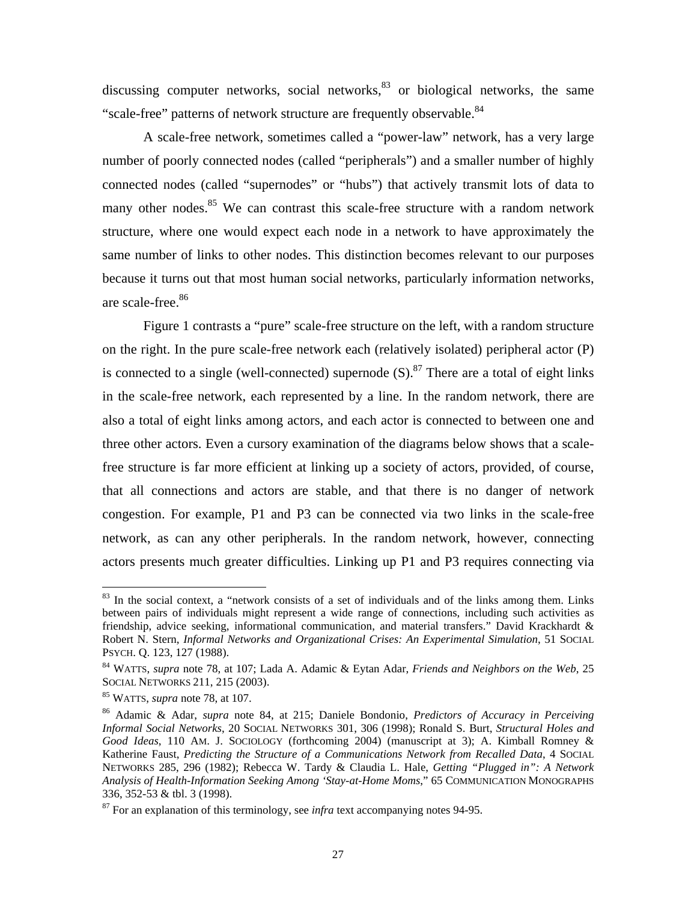discussing computer networks, social networks, $83$  or biological networks, the same "scale-free" patterns of network structure are frequently observable.<sup>84</sup>

A scale-free network, sometimes called a "power-law" network, has a very large number of poorly connected nodes (called "peripherals") and a smaller number of highly connected nodes (called "supernodes" or "hubs") that actively transmit lots of data to many other nodes.<sup>85</sup> We can contrast this scale-free structure with a random network structure, where one would expect each node in a network to have approximately the same number of links to other nodes. This distinction becomes relevant to our purposes because it turns out that most human social networks, particularly information networks, are scale-free.<sup>86</sup>

Figure 1 contrasts a "pure" scale-free structure on the left, with a random structure on the right. In the pure scale-free network each (relatively isolated) peripheral actor (P) is connected to a single (well-connected) supernode  $(S)$ .<sup>87</sup> There are a total of eight links in the scale-free network, each represented by a line. In the random network, there are also a total of eight links among actors, and each actor is connected to between one and three other actors. Even a cursory examination of the diagrams below shows that a scalefree structure is far more efficient at linking up a society of actors, provided, of course, that all connections and actors are stable, and that there is no danger of network congestion. For example, P1 and P3 can be connected via two links in the scale-free network, as can any other peripherals. In the random network, however, connecting actors presents much greater difficulties. Linking up P1 and P3 requires connecting via

<span id="page-28-0"></span> $83$  In the social context, a "network consists of a set of individuals and of the links among them. Links between pairs of individuals might represent a wide range of connections, including such activities as friendship, advice seeking, informational communication, and material transfers." David Krackhardt & Robert N. Stern, *Informal Networks and Organizational Crises: An Experimental Simulation*, 51 SOCIAL PSYCH. Q. 123, 127 (1988).

<span id="page-28-1"></span><sup>84</sup> WATTS, *supra* note 78, at 107; Lada A. Adamic & Eytan Adar, *Friends and Neighbors on the Web*, 25 SOCIAL NETWORKS 211, 215 (2003). 85 WATTS, *supra* note 78, at 107.

<span id="page-28-2"></span>

<span id="page-28-3"></span><sup>86</sup> Adamic & Adar, *supra* note 84, at 215; Daniele Bondonio, *Predictors of Accuracy in Perceiving Informal Social Networks*, 20 SOCIAL NETWORKS 301, 306 (1998); Ronald S. Burt, *Structural Holes and Good Ideas*, 110 AM. J. SOCIOLOGY (forthcoming 2004) (manuscript at 3); A. Kimball Romney & Katherine Faust, *Predicting the Structure of a Communications Network from Recalled Data*, 4 SOCIAL NETWORKS 285, 296 (1982); Rebecca W. Tardy & Claudia L. Hale, *Getting "Plugged in": A Network Analysis of Health-Information Seeking Among 'Stay-at-Home Moms*," 65 COMMUNICATION MONOGRAPHS 336, 352-53 & tbl. 3 (1998).  $87$  For an explanation of this terminology, see *infra* text accompanying notes 94-95.

<span id="page-28-4"></span>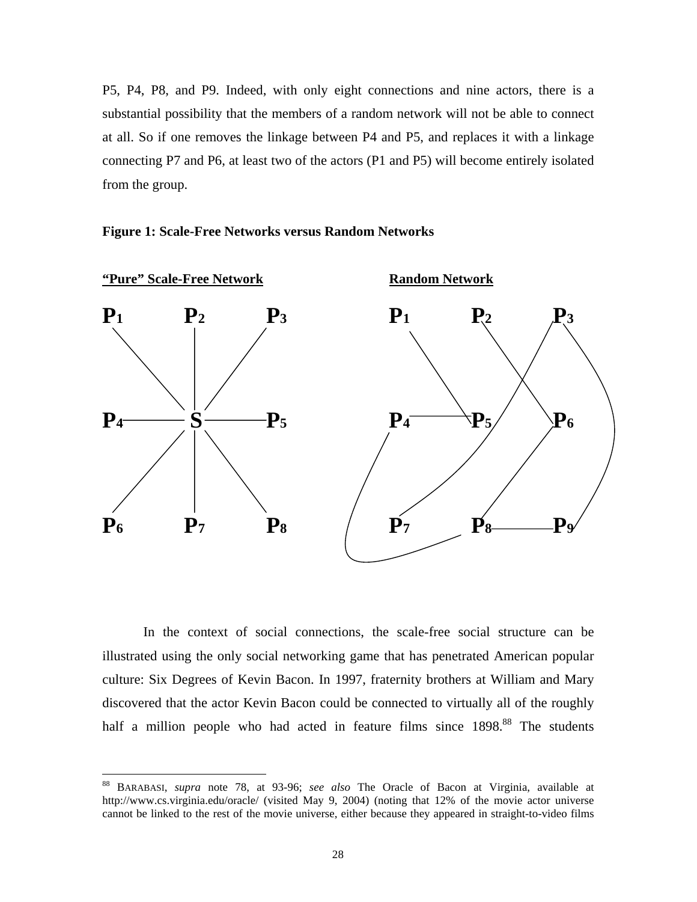<span id="page-29-0"></span>P5, P4, P8, and P9. Indeed, with only eight connections and nine actors, there is a substantial possibility that the members of a random network will not be able to connect at all. So if one removes the linkage between P4 and P5, and replaces it with a linkage connecting P7 and P6, at least two of the actors (P1 and P5) will become entirely isolated from the group.





In the context of social connections, the scale-free social structure can be illustrated using the only social networking game that has penetrated American popular culture: Six Degrees of Kevin Bacon. In 1997, fraternity brothers at William and Mary discovered that the actor Kevin Bacon could be connected to virtually all of the roughly half a million people who had acted in feature films since 1898.<sup>88</sup> The students

<sup>88</sup> BARABASI, *supra* note 78, at 93-96; *see also* The Oracle of Bacon at Virginia, available at http://www.cs.virginia.edu/oracle/ (visited May 9, 2004) (noting that 12% of the movie actor universe cannot be linked to the rest of the movie universe, either because they appeared in straight-to-video films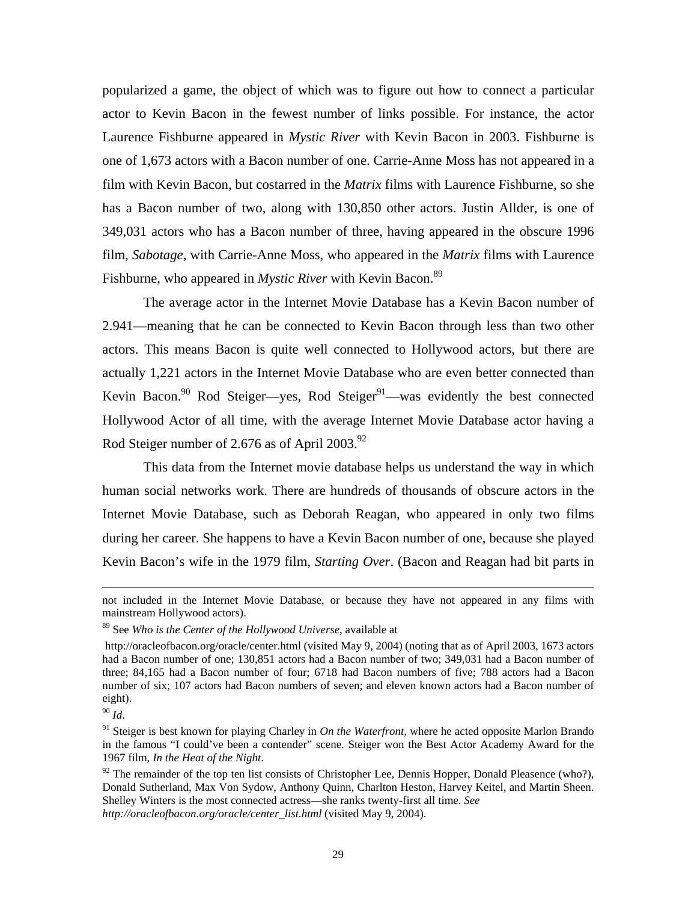popularized a game, the object of which was to figure out how to connect a particular actor to Kevin Bacon in the fewest number of links possible. For instance, the actor Laurence Fishburne appeared in *Mystic River* with Kevin Bacon in 2003. Fishburne is one of 1,673 actors with a Bacon number of one. Carrie-Anne Moss has not appeared in a film with Kevin Bacon, but costarred in the *Matrix* films with Laurence Fishburne, so she has a Bacon number of two, along with 130,850 other actors. Justin Allder, is one of 349,031 actors who has a Bacon number of three, having appeared in the obscure 1996 film, *Sabotage*, with Carrie-Anne Moss, who appeared in the *Matrix* films with Laurence Fishburne, who appeared in *Mystic River* with Kevin Bacon.<sup>89</sup>

The average actor in the Internet Movie Database has a Kevin Bacon number of 2.941—meaning that he can be connected to Kevin Bacon through less than two other actors. This means Bacon is quite well connected to Hollywood actors, but there are actually 1,221 actors in the Internet Movie Database who are even better connected than Kevin Bacon.<sup>90</sup> Rod Steiger—yes, Rod Steiger<sup>91</sup>—was evidently the best connected Hollywood Actor of all time, with the average Internet Movie Database actor having a Rod Steiger number of 2.676 as of April 2003.<sup>92</sup>

This data from the Internet movie database helps us understand the way in which human social networks work. There are hundreds of thousands of obscure actors in the Internet Movie Database, such as Deborah Reagan, who appeared in only two films during her career. She happens to have a Kevin Bacon number of one, because she played Kevin Bacon's wife in the 1979 film, *Starting Over*. (Bacon and Reagan had bit parts in

not included in the Internet Movie Database, or because they have not appeared in any films with mainstream Hollywood actors).

<span id="page-30-0"></span><sup>89</sup> See *Who is the Center of the Hollywood Universe*, available at

http://oracleofbacon.org/oracle/center.html (visited May 9, 2004) (noting that as of April 2003, 1673 actors had a Bacon number of one; 130,851 actors had a Bacon number of two; 349,031 had a Bacon number of three; 84,165 had a Bacon number of four; 6718 had Bacon numbers of five; 788 actors had a Bacon number of six; 107 actors had Bacon numbers of seven; and eleven known actors had a Bacon number of eight).

<span id="page-30-2"></span><span id="page-30-1"></span>

<sup>90</sup> *Id*. 91 Steiger is best known for playing Charley in *On the Waterfront*, where he acted opposite Marlon Brando in the famous "I could've been a contender" scene. Steiger won the Best Actor Academy Award for the 1967 film, *In the Heat of the Night*.<br><sup>92</sup> The remainder of the top ten list consists of Christopher Lee, Dennis Hopper, Donald Pleasence (who?),

<span id="page-30-3"></span>Donald Sutherland, Max Von Sydow, Anthony Quinn, Charlton Heston, Harvey Keitel, and Martin Sheen. Shelley Winters is the most connected actress—she ranks twenty-first all time. *See http://oracleofbacon.org/oracle/center\_list.html* (visited May 9, 2004).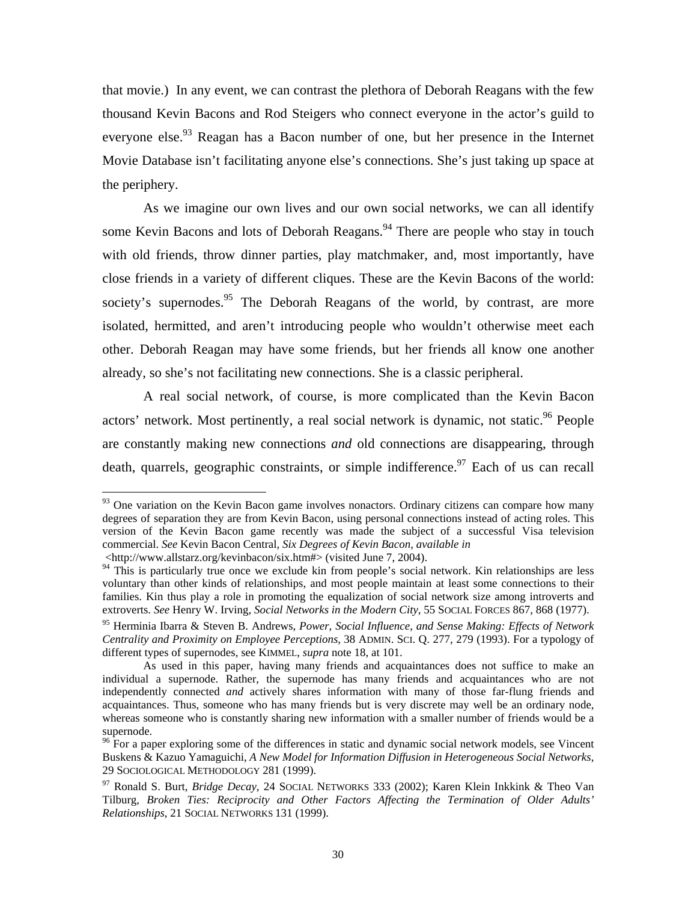that movie.) In any event, we can contrast the plethora of Deborah Reagans with the few thousand Kevin Bacons and Rod Steigers who connect everyone in the actor's guild to everyone else.<sup>93</sup> Reagan has a Bacon number of one, but her presence in the Internet Movie Database isn't facilitating anyone else's connections. She's just taking up space at the periphery.

As we imagine our own lives and our own social networks, we can all identify some Kevin Bacons and lots of Deborah Reagans.<sup>94</sup> There are people who stay in touch with old friends, throw dinner parties, play matchmaker, and, most importantly, have close friends in a variety of different cliques. These are the Kevin Bacons of the world: society's supernodes.<sup>95</sup> The Deborah Reagans of the world, by contrast, are more isolated, hermitted, and aren't introducing people who wouldn't otherwise meet each other. Deborah Reagan may have some friends, but her friends all know one another already, so she's not facilitating new connections. She is a classic peripheral.

A real social network, of course, is more complicated than the Kevin Bacon actors' network. Most pertinently, a real social network is dynamic, not static.<sup>96</sup> People are constantly making new connections *and* old connections are disappearing, through death, quarrels, geographic constraints, or simple indifference.  $97$  Each of us can recall

<u>.</u>

<span id="page-31-0"></span> $93$  One variation on the Kevin Bacon game involves nonactors. Ordinary citizens can compare how many degrees of separation they are from Kevin Bacon, using personal connections instead of acting roles. This version of the Kevin Bacon game recently was made the subject of a successful Visa television commercial. *See* Kevin Bacon Central, *Six Degrees of Kevin Bacon, available in*

<sup>&</sup>lt;http://www.allstarz.org/kevinbacon/six.htm#> (visited June 7, 2004).

<span id="page-31-1"></span><sup>&</sup>lt;sup>94</sup> This is particularly true once we exclude kin from people's social network. Kin relationships are less voluntary than other kinds of relationships, and most people maintain at least some connections to their families. Kin thus play a role in promoting the equalization of social network size among introverts and extroverts. *See* Henry W. Irving, *Social Networks in the Modern City*, 55 SOCIAL FORCES 867, 868 (1977).

<span id="page-31-2"></span><sup>95</sup> Herminia Ibarra & Steven B. Andrews, *Power, Social Influence, and Sense Making: Effects of Network Centrality and Proximity on Employee Perceptions*, 38 ADMIN. SCI. Q. 277, 279 (1993). For a typology of different types of supernodes, see KIMMEL, *supra* note 18, at 101.

As used in this paper, having many friends and acquaintances does not suffice to make an individual a supernode. Rather, the supernode has many friends and acquaintances who are not independently connected *and* actively shares information with many of those far-flung friends and acquaintances. Thus, someone who has many friends but is very discrete may well be an ordinary node, whereas someone who is constantly sharing new information with a smaller number of friends would be a supernode.

<span id="page-31-3"></span><sup>&</sup>lt;sup>96</sup> For a paper exploring some of the differences in static and dynamic social network models, see Vincent Buskens & Kazuo Yamaguichi, *A New Model for Information Diffusion in Heterogeneous Social Networks*,

<span id="page-31-4"></span><sup>&</sup>lt;sup>97</sup> Ronald S. Burt, *Bridge Decay*, 24 SOCIAL NETWORKS 333 (2002); Karen Klein Inkkink & Theo Van Tilburg, *Broken Ties: Reciprocity and Other Factors Affecting the Termination of Older Adults' Relationships*, 21 SOCIAL NETWORKS 131 (1999).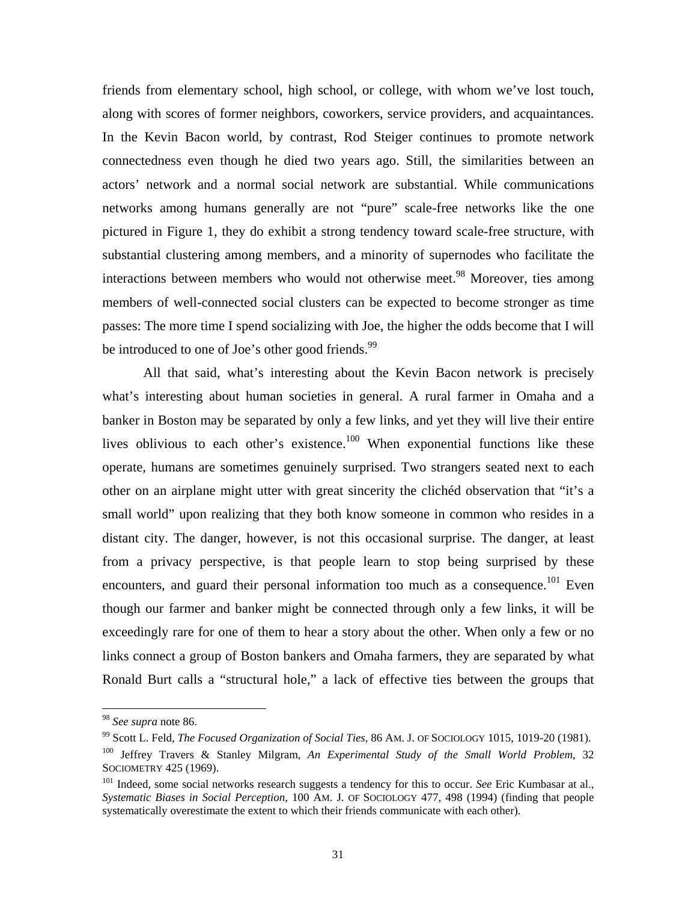friends from elementary school, high school, or college, with whom we've lost touch, along with scores of former neighbors, coworkers, service providers, and acquaintances. In the Kevin Bacon world, by contrast, Rod Steiger continues to promote network connectedness even though he died two years ago. Still, the similarities between an actors' network and a normal social network are substantial. While communications networks among humans generally are not "pure" scale-free networks like the one pictured in Figure 1, they do exhibit a strong tendency toward scale-free structure, with substantial clustering among members, and a minority of supernodes who facilitate the interactions between members who would not otherwise meet.<sup>98</sup> Moreover, ties among members of well-connected social clusters can be expected to become stronger as time passes: The more time I spend socializing with Joe, the higher the odds become that I will be introduced to one of Joe's other good friends. $99$ 

All that said, what's interesting about the Kevin Bacon network is precisely what's interesting about human societies in general. A rural farmer in Omaha and a banker in Boston may be separated by only a few links, and yet they will live their entire lives oblivious to each other's existence.<sup>100</sup> When exponential functions like these operate, humans are sometimes genuinely surprised. Two strangers seated next to each other on an airplane might utter with great sincerity the clichéd observation that "it's a small world" upon realizing that they both know someone in common who resides in a distant city. The danger, however, is not this occasional surprise. The danger, at least from a privacy perspective, is that people learn to stop being surprised by these encounters, and guard their personal information too much as a consequence.<sup>101</sup> Even though our farmer and banker might be connected through only a few links, it will be exceedingly rare for one of them to hear a story about the other. When only a few or no links connect a group of Boston bankers and Omaha farmers, they are separated by what Ronald Burt calls a "structural hole," a lack of effective ties between the groups that

<u>.</u>

<span id="page-32-1"></span><span id="page-32-0"></span>

<sup>&</sup>lt;sup>98</sup> *See supra* note 86.<br><sup>99</sup> Scott L. Feld, *The Focused Organization of Social Ties*, 86 AM. J. OF SOCIOLOGY 1015, 1019-20 (1981).

<span id="page-32-2"></span><sup>&</sup>lt;sup>100</sup> Jeffrey Travers & Stanley Milgram, *An Experimental Study of the Small World Problem*, 32 SOCIOMETRY 425 (1969).

<span id="page-32-3"></span><sup>&</sup>lt;sup>101</sup> Indeed, some social networks research suggests a tendency for this to occur. *See* Eric Kumbasar at al., *Systematic Biases in Social Perception*, 100 AM. J. OF SOCIOLOGY 477, 498 (1994) (finding that people systematically overestimate the extent to which their friends communicate with each other).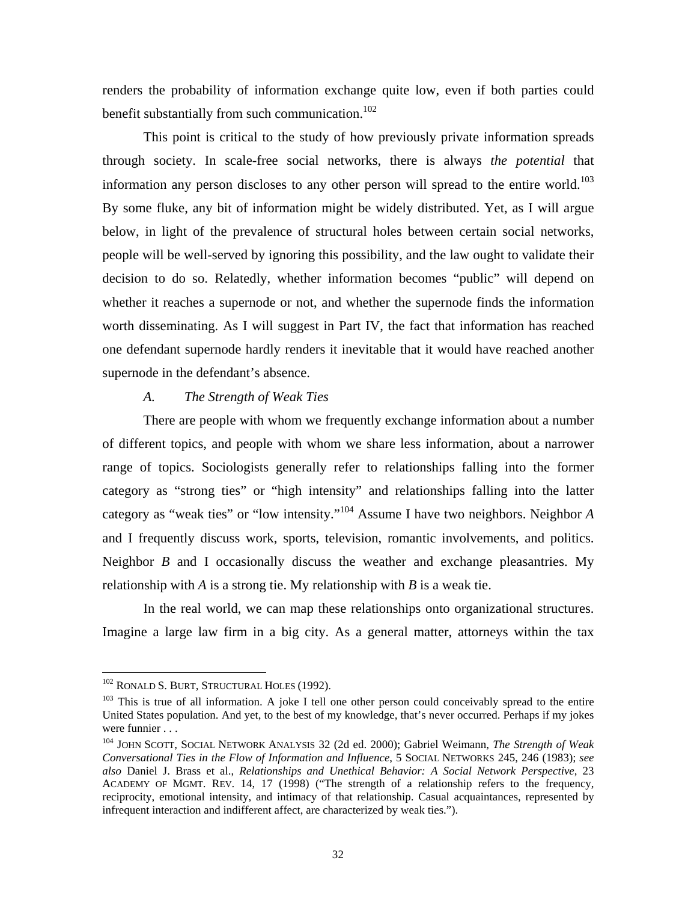<span id="page-33-0"></span>renders the probability of information exchange quite low, even if both parties could benefit substantially from such communication.<sup>102</sup>

This point is critical to the study of how previously private information spreads through society. In scale-free social networks, there is always *the potential* that information any person discloses to any other person will spread to the entire world.<sup>103</sup> By some fluke, any bit of information might be widely distributed. Yet, as I will argue below, in light of the prevalence of structural holes between certain social networks, people will be well-served by ignoring this possibility, and the law ought to validate their decision to do so. Relatedly, whether information becomes "public" will depend on whether it reaches a supernode or not, and whether the supernode finds the information worth disseminating. As I will suggest in Part IV, the fact that information has reached one defendant supernode hardly renders it inevitable that it would have reached another supernode in the defendant's absence.

#### *A. The Strength of Weak Ties*

There are people with whom we frequently exchange information about a number of different topics, and people with whom we share less information, about a narrower range of topics. Sociologists generally refer to relationships falling into the former category as "strong ties" or "high intensity" and relationships falling into the latter category as "weak ties" or "low intensity."[104](#page-33-3) Assume I have two neighbors. Neighbor *A* and I frequently discuss work, sports, television, romantic involvements, and politics. Neighbor *B* and I occasionally discuss the weather and exchange pleasantries. My relationship with *A* is a strong tie. My relationship with *B* is a weak tie.

In the real world, we can map these relationships onto organizational structures. Imagine a large law firm in a big city. As a general matter, attorneys within the tax

<span id="page-33-1"></span><sup>&</sup>lt;sup>102</sup> RONALD S. BURT, STRUCTURAL HOLES (1992).

<span id="page-33-2"></span> $103$  This is true of all information. A joke I tell one other person could conceivably spread to the entire United States population. And yet, to the best of my knowledge, that's never occurred. Perhaps if my jokes were funnier . . .

<span id="page-33-3"></span><sup>104</sup> JOHN SCOTT, SOCIAL NETWORK ANALYSIS 32 (2d ed. 2000); Gabriel Weimann, *The Strength of Weak Conversational Ties in the Flow of Information and Influence*, 5 SOCIAL NETWORKS 245, 246 (1983); *see also* Daniel J. Brass et al., *Relationships and Unethical Behavior: A Social Network Perspective*, 23 ACADEMY OF MGMT. REV. 14, 17 (1998) ("The strength of a relationship refers to the frequency, reciprocity, emotional intensity, and intimacy of that relationship. Casual acquaintances, represented by infrequent interaction and indifferent affect, are characterized by weak ties.").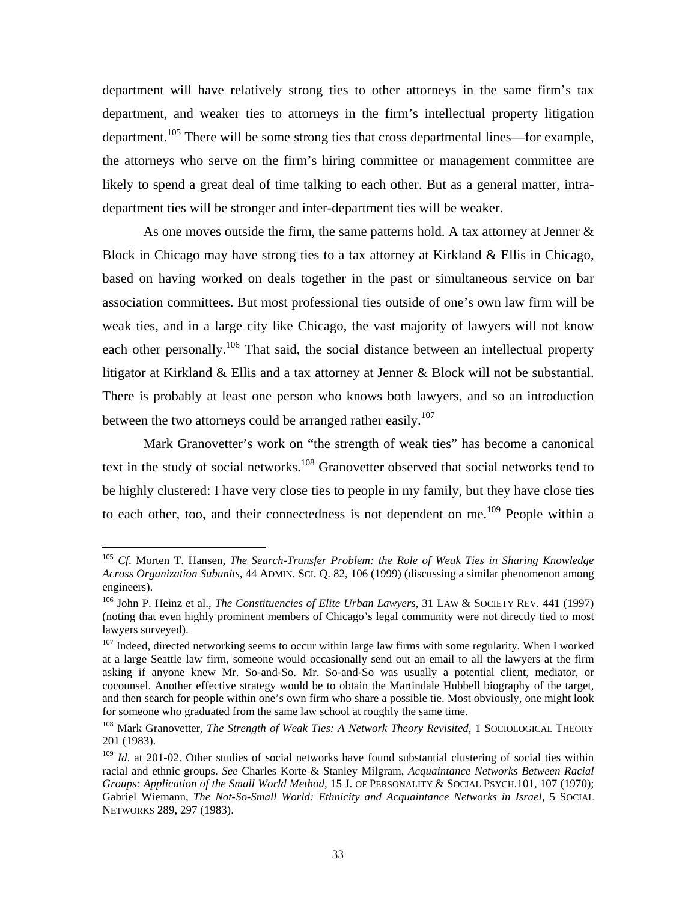department will have relatively strong ties to other attorneys in the same firm's tax department, and weaker ties to attorneys in the firm's intellectual property litigation department.<sup>105</sup> There will be some strong ties that cross departmental lines—for example, the attorneys who serve on the firm's hiring committee or management committee are likely to spend a great deal of time talking to each other. But as a general matter, intradepartment ties will be stronger and inter-department ties will be weaker.

As one moves outside the firm, the same patterns hold. A tax attorney at Jenner & Block in Chicago may have strong ties to a tax attorney at Kirkland & Ellis in Chicago, based on having worked on deals together in the past or simultaneous service on bar association committees. But most professional ties outside of one's own law firm will be weak ties, and in a large city like Chicago, the vast majority of lawyers will not know each other personally.<sup>106</sup> That said, the social distance between an intellectual property litigator at Kirkland & Ellis and a tax attorney at Jenner & Block will not be substantial. There is probably at least one person who knows both lawyers, and so an introduction between the two attorneys could be arranged rather easily.<sup>107</sup>

Mark Granovetter's work on "the strength of weak ties" has become a canonical text in the study of social networks.<sup>108</sup> Granovetter observed that social networks tend to be highly clustered: I have very close ties to people in my family, but they have close ties to each other, too, and their connectedness is not dependent on me.<sup>109</sup> People within a

<span id="page-34-0"></span><sup>105</sup> *Cf*. Morten T. Hansen, *The Search-Transfer Problem: the Role of Weak Ties in Sharing Knowledge Across Organization Subunits*, 44 ADMIN. SCI. Q. 82, 106 (1999) (discussing a similar phenomenon among engineers).<br><sup>106</sup> John P. Heinz et al., *The Constituencies of Elite Urban Lawyers*, 31 LAW & SOCIETY REV. 441 (1997)

<span id="page-34-1"></span><sup>(</sup>noting that even highly prominent members of Chicago's legal community were not directly tied to most lawyers surveyed).

<span id="page-34-2"></span><sup>&</sup>lt;sup>107</sup> Indeed, directed networking seems to occur within large law firms with some regularity. When I worked at a large Seattle law firm, someone would occasionally send out an email to all the lawyers at the firm asking if anyone knew Mr. So-and-So. Mr. So-and-So was usually a potential client, mediator, or cocounsel. Another effective strategy would be to obtain the Martindale Hubbell biography of the target, and then search for people within one's own firm who share a possible tie. Most obviously, one might look for someone who graduated from the same law school at roughly the same time. 108 Mark Granovetter, *The Strength of Weak Ties: A Network Theory Revisited*, 1 SOCIOLOGICAL THEORY

<span id="page-34-3"></span><sup>201 (1983).</sup> 

<span id="page-34-4"></span><sup>&</sup>lt;sup>109</sup> *Id.* at 201-02. Other studies of social networks have found substantial clustering of social ties within racial and ethnic groups. *See* Charles Korte & Stanley Milgram, *Acquaintance Networks Between Racial Groups: Application of the Small World Method*, 15 J. OF PERSONALITY & SOCIAL PSYCH.101, 107 (1970); Gabriel Wiemann, *The Not-So-Small World: Ethnicity and Acquaintance Networks in Israel*, 5 SOCIAL NETWORKS 289, 297 (1983).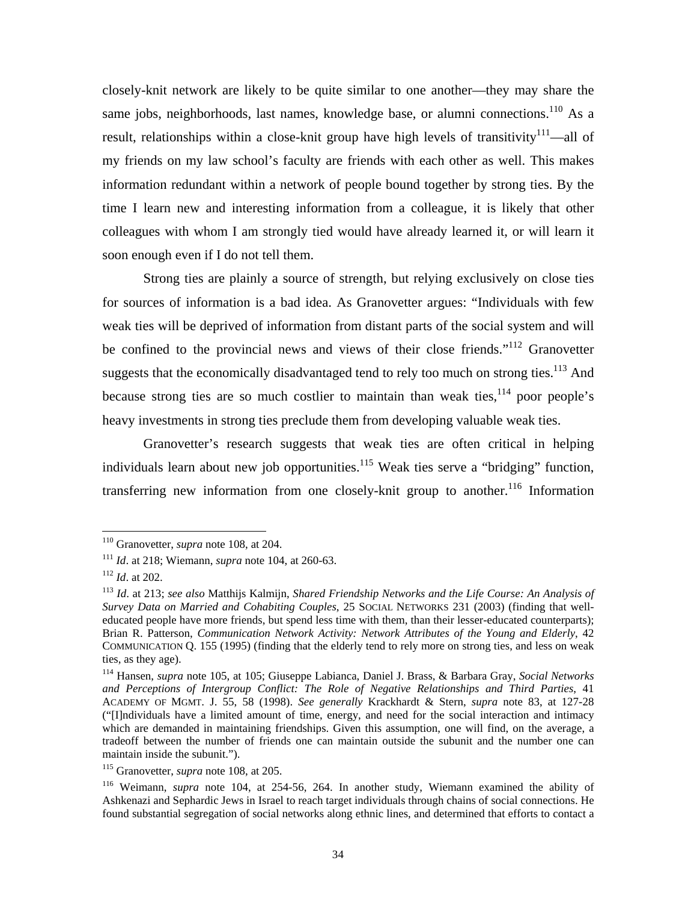<span id="page-35-6"></span>closely-knit network are likely to be quite similar to one another—they may share the same jobs, neighborhoods, last names, knowledge base, or alumni connections.<sup>110</sup> As a result, relationships within a close-knit group have high levels of transitivity<sup>111</sup>—all of my friends on my law school's faculty are friends with each other as well. This makes information redundant within a network of people bound together by strong ties. By the time I learn new and interesting information from a colleague, it is likely that other colleagues with whom I am strongly tied would have already learned it, or will learn it soon enough even if I do not tell them.

Strong ties are plainly a source of strength, but relying exclusively on close ties for sources of information is a bad idea. As Granovetter argues: "Individuals with few weak ties will be deprived of information from distant parts of the social system and will be confined to the provincial news and views of their close friends."<sup>112</sup> Granovetter suggests that the economically disadvantaged tend to rely too much on strong ties.<sup>113</sup> And because strong ties are so much costlier to maintain than weak ties,  $114$  poor people's heavy investments in strong ties preclude them from developing valuable weak ties.

Granovetter's research suggests that weak ties are often critical in helping individuals learn about new job opportunities.<sup>115</sup> Weak ties serve a "bridging" function, transferring new information from one closely-knit group to another.<sup>116</sup> Information

<span id="page-35-0"></span><sup>110</sup> Granovetter, *supra* note 108, at 204.

<span id="page-35-1"></span><sup>111</sup> *Id*. at 218; Wiemann, *supra* note 104, at 260-63. 112 *Id*. at 202.

<span id="page-35-2"></span>

<span id="page-35-3"></span><sup>113</sup> *Id*. at 213; *see also* Matthijs Kalmijn, *Shared Friendship Networks and the Life Course: An Analysis of Survey Data on Married and Cohabiting Couples*, 25 SOCIAL NETWORKS 231 (2003) (finding that welleducated people have more friends, but spend less time with them, than their lesser-educated counterparts); Brian R. Patterson, *Communication Network Activity: Network Attributes of the Young and Elderly*, 42 COMMUNICATION Q. 155 (1995) (finding that the elderly tend to rely more on strong ties, and less on weak ties, as they age).

<span id="page-35-4"></span><sup>114</sup> Hansen, *supra* note 105, at 105; Giuseppe Labianca, Daniel J. Brass, & Barbara Gray, *Social Networks and Perceptions of Intergroup Conflict: The Role of Negative Relationships and Third Parties*, 41 ACADEMY OF MGMT. J. 55, 58 (1998). *See generally* Krackhardt & Stern, *supra* note 83, at 127-28 ("[I]ndividuals have a limited amount of time, energy, and need for the social interaction and intimacy which are demanded in maintaining friendships. Given this assumption, one will find, on the average, a tradeoff between the number of friends one can maintain outside the subunit and the number one can maintain inside the subunit.").<br><sup>115</sup> Granovetter, *supra* note 108, at 205.

<span id="page-35-5"></span>

<sup>116</sup> Weimann, *supra* note 104, at 254-56, 264. In another study, Wiemann examined the ability of Ashkenazi and Sephardic Jews in Israel to reach target individuals through chains of social connections. He found substantial segregation of social networks along ethnic lines, and determined that efforts to contact a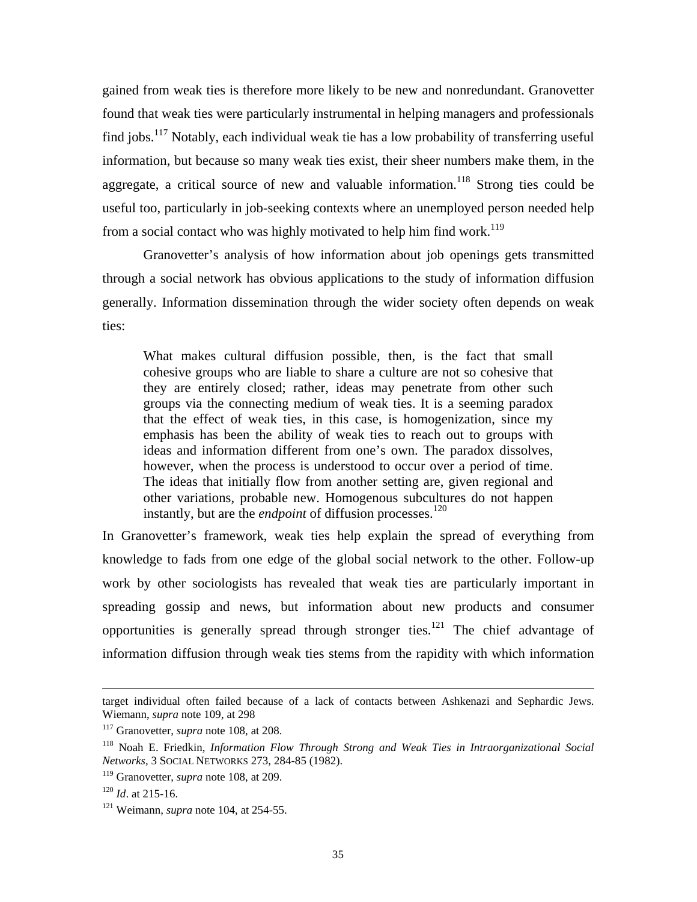gained from weak ties is therefore more likely to be new and nonredundant. Granovetter found that weak ties were particularly instrumental in helping managers and professionals find iobs.<sup>117</sup> Notably, each individual weak tie has a low probability of transferring useful information, but because so many weak ties exist, their sheer numbers make them, in the aggregate, a critical source of new and valuable information.<sup>118</sup> Strong ties could be useful too, particularly in job-seeking contexts where an unemployed person needed help from a social contact who was highly motivated to help him find work.<sup>119</sup>

Granovetter's analysis of how information about job openings gets transmitted through a social network has obvious applications to the study of information diffusion generally. Information dissemination through the wider society often depends on weak ties:

What makes cultural diffusion possible, then, is the fact that small cohesive groups who are liable to share a culture are not so cohesive that they are entirely closed; rather, ideas may penetrate from other such groups via the connecting medium of weak ties. It is a seeming paradox that the effect of weak ties, in this case, is homogenization, since my emphasis has been the ability of weak ties to reach out to groups with ideas and information different from one's own. The paradox dissolves, however, when the process is understood to occur over a period of time. The ideas that initially flow from another setting are, given regional and other variations, probable new. Homogenous subcultures do not happen instantly, but are the *endpoint* of diffusion processes.<sup>120</sup>

In Granovetter's framework, weak ties help explain the spread of everything from knowledge to fads from one edge of the global social network to the other. Follow-up work by other sociologists has revealed that weak ties are particularly important in spreading gossip and news, but information about new products and consumer opportunities is generally spread through stronger ties.<sup>121</sup> The chief advantage of information diffusion through weak ties stems from the rapidity with which information

target individual often failed because of a lack of contacts between Ashkenazi and Sephardic Jews. Wiemann, *supra* note 109, at 298<br><sup>117</sup> Granovetter, *supra* note 108, at 208.

<span id="page-36-0"></span>

<span id="page-36-1"></span><sup>118</sup> Noah E. Friedkin, *Information Flow Through Strong and Weak Ties in Intraorganizational Social Networks*, 3 SOCIAL NETWORKS 273, 284-85 (1982).

<span id="page-36-2"></span><sup>119</sup> Granovetter, *supra* note 108, at 209.

<span id="page-36-4"></span><span id="page-36-3"></span>

<sup>&</sup>lt;sup>120</sup> *Id.* at 215-16.<br><sup>121</sup> Weimann, *supra* note 104, at 254-55.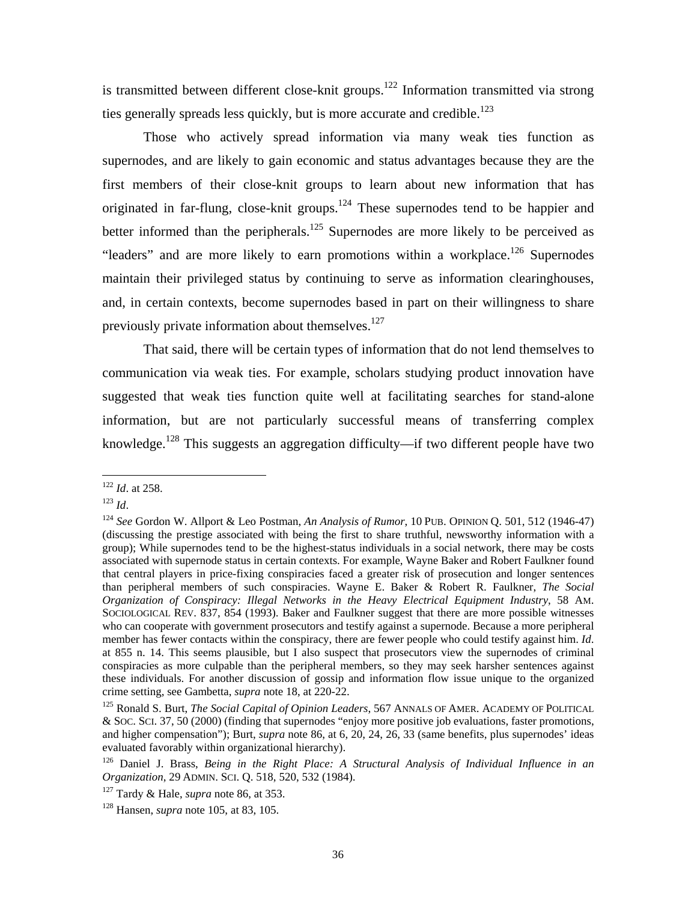is transmitted between different close-knit groups.<sup>122</sup> Information transmitted via strong ties generally spreads less quickly, but is more accurate and credible.<sup>123</sup>

Those who actively spread information via many weak ties function as supernodes, and are likely to gain economic and status advantages because they are the first members of their close-knit groups to learn about new information that has originated in far-flung, close-knit groups.<sup>124</sup> These supernodes tend to be happier and better informed than the peripherals.<sup>125</sup> Supernodes are more likely to be perceived as "leaders" and are more likely to earn promotions within a workplace.<sup>126</sup> Supernodes maintain their privileged status by continuing to serve as information clearinghouses, and, in certain contexts, become supernodes based in part on their willingness to share previously private information about themselves.<sup>[127](#page-37-5)</sup>

That said, there will be certain types of information that do not lend themselves to communication via weak ties. For example, scholars studying product innovation have suggested that weak ties function quite well at facilitating searches for stand-alone information, but are not particularly successful means of transferring complex knowledge.<sup>128</sup> This suggests an aggregation difficulty—if two different people have two

<span id="page-37-0"></span><sup>122</sup> *Id*. at 258. 123 *Id*.

<span id="page-37-1"></span>

<span id="page-37-2"></span><sup>124</sup> *See* Gordon W. Allport & Leo Postman, *An Analysis of Rumor*, 10 PUB. OPINION Q. 501, 512 (1946-47) (discussing the prestige associated with being the first to share truthful, newsworthy information with a group); While supernodes tend to be the highest-status individuals in a social network, there may be costs associated with supernode status in certain contexts. For example, Wayne Baker and Robert Faulkner found that central players in price-fixing conspiracies faced a greater risk of prosecution and longer sentences than peripheral members of such conspiracies. Wayne E. Baker & Robert R. Faulkner, *The Social Organization of Conspiracy: Illegal Networks in the Heavy Electrical Equipment Industry*, 58 AM. SOCIOLOGICAL REV. 837, 854 (1993). Baker and Faulkner suggest that there are more possible witnesses who can cooperate with government prosecutors and testify against a supernode. Because a more peripheral member has fewer contacts within the conspiracy, there are fewer people who could testify against him. *Id*. at 855 n. 14. This seems plausible, but I also suspect that prosecutors view the supernodes of criminal conspiracies as more culpable than the peripheral members, so they may seek harsher sentences against these individuals. For another discussion of gossip and information flow issue unique to the organized crime setting, see Gambetta, *supra* note 18, at 220-22.

<span id="page-37-3"></span><sup>125</sup> Ronald S. Burt, *The Social Capital of Opinion Leaders*, 567 ANNALS OF AMER. ACADEMY OF POLITICAL & SOC. SCI. 37, 50 (2000) (finding that supernodes "enjoy more positive job evaluations, faster promotions, and higher compensation"); Burt, *supra* note 86, at 6, 20, 24, 26, 33 (same benefits, plus supernodes' ideas evaluated favorably within organizational hierarchy). 126 Daniel J. Brass, *Being in the Right Place: A Structural Analysis of Individual Influence in an* 

<span id="page-37-4"></span>*Organization*, 29 ADMIN. SCI. Q. 518, 520, 532 (1984).

<span id="page-37-5"></span><sup>127</sup> Tardy & Hale, *supra* note 86, at 353. 128 Hansen, *supra* note 105, at 83, 105.

<span id="page-37-6"></span>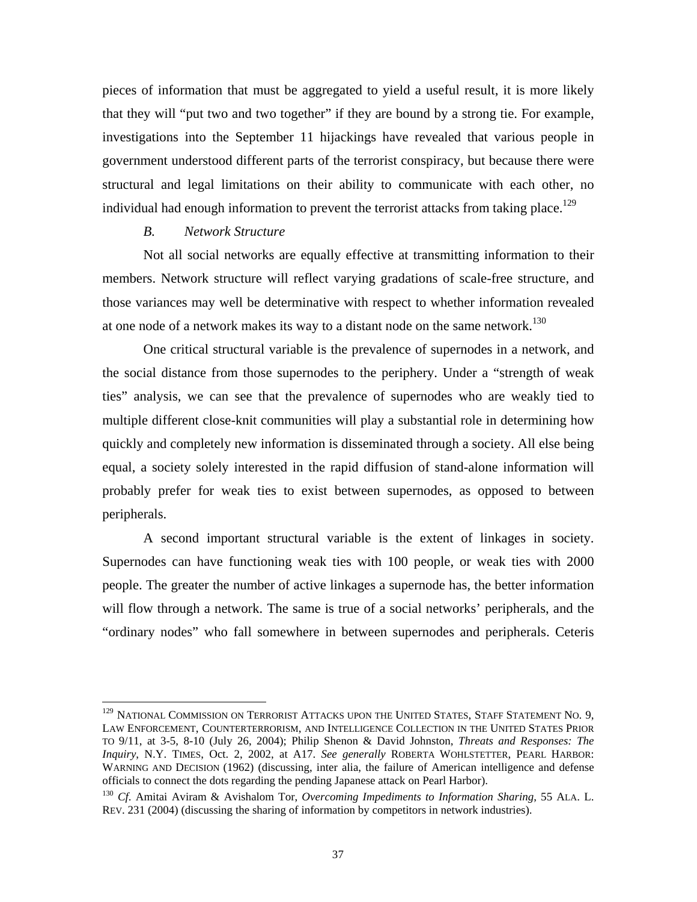pieces of information that must be aggregated to yield a useful result, it is more likely that they will "put two and two together" if they are bound by a strong tie. For example, investigations into the September 11 hijackings have revealed that various people in government understood different parts of the terrorist conspiracy, but because there were structural and legal limitations on their ability to communicate with each other, no individual had enough information to prevent the terrorist attacks from taking place.<sup>129</sup>

### *B. Network Structure*

1

Not all social networks are equally effective at transmitting information to their members. Network structure will reflect varying gradations of scale-free structure, and those variances may well be determinative with respect to whether information revealed at one node of a network makes its way to a distant node on the same network.<sup>[130](#page-38-1)</sup>

One critical structural variable is the prevalence of supernodes in a network, and the social distance from those supernodes to the periphery. Under a "strength of weak ties" analysis, we can see that the prevalence of supernodes who are weakly tied to multiple different close-knit communities will play a substantial role in determining how quickly and completely new information is disseminated through a society. All else being equal, a society solely interested in the rapid diffusion of stand-alone information will probably prefer for weak ties to exist between supernodes, as opposed to between peripherals.

A second important structural variable is the extent of linkages in society. Supernodes can have functioning weak ties with 100 people, or weak ties with 2000 people. The greater the number of active linkages a supernode has, the better information will flow through a network. The same is true of a social networks' peripherals, and the "ordinary nodes" who fall somewhere in between supernodes and peripherals. Ceteris

<span id="page-38-0"></span><sup>&</sup>lt;sup>129</sup> NATIONAL COMMISSION ON TERRORIST ATTACKS UPON THE UNITED STATES, STAFF STATEMENT NO. 9, LAW ENFORCEMENT, COUNTERTERRORISM, AND INTELLIGENCE COLLECTION IN THE UNITED STATES PRIOR TO 9/11, at 3-5, 8-10 (July 26, 2004); Philip Shenon & David Johnston, *Threats and Responses: The Inquiry*, N.Y. TIMES, Oct. 2, 2002, at A17. *See generally* ROBERTA WOHLSTETTER, PEARL HARBOR: WARNING AND DECISION (1962) (discussing, inter alia, the failure of American intelligence and defense officials to connect the dots regarding the pending Japanese attack on Pearl Harbor).

<span id="page-38-1"></span><sup>130</sup> *Cf*. Amitai Aviram & Avishalom Tor, *Overcoming Impediments to Information Sharing*, 55 ALA. L. REV. 231 (2004) (discussing the sharing of information by competitors in network industries).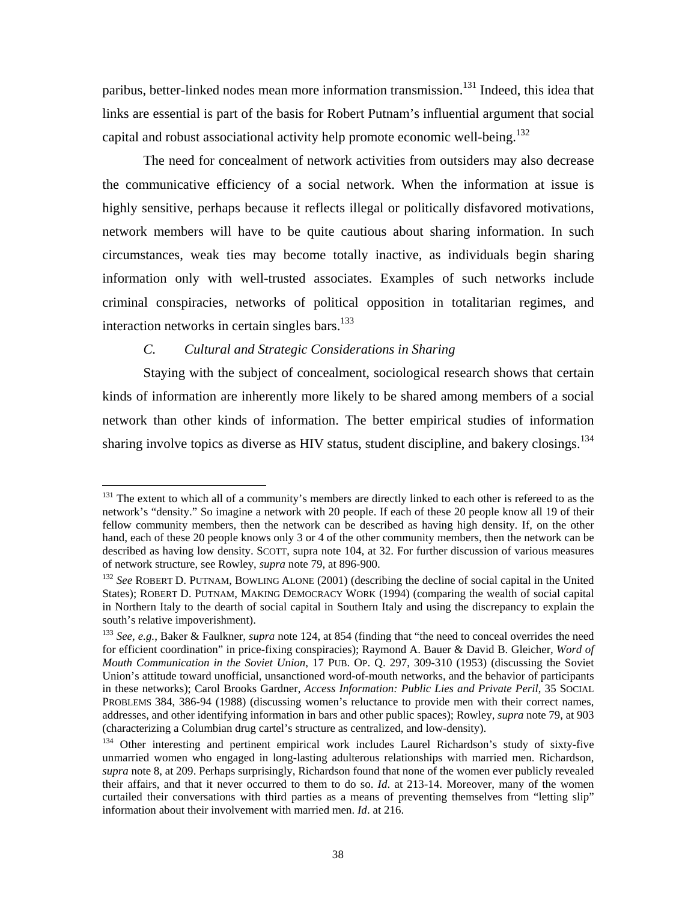<span id="page-39-3"></span>paribus, better-linked nodes mean more information transmission.<sup>131</sup> Indeed, this idea that links are essential is part of the basis for Robert Putnam's influential argument that social capital and robust associational activity help promote economic well-being.<sup>132</sup>

The need for concealment of network activities from outsiders may also decrease the communicative efficiency of a social network. When the information at issue is highly sensitive, perhaps because it reflects illegal or politically disfavored motivations, network members will have to be quite cautious about sharing information. In such circumstances, weak ties may become totally inactive, as individuals begin sharing information only with well-trusted associates. Examples of such networks include criminal conspiracies, networks of political opposition in totalitarian regimes, and interaction networks in certain singles bars.<sup>133</sup>

# *C. Cultural and Strategic Considerations in Sharing*

Staying with the subject of concealment, sociological research shows that certain kinds of information are inherently more likely to be shared among members of a social network than other kinds of information. The better empirical studies of information sharing involve topics as diverse as HIV status, student discipline, and bakery closings.<sup>[134](#page-39-3)</sup>

<span id="page-39-0"></span><sup>1</sup> <sup>131</sup> The extent to which all of a community's members are directly linked to each other is refereed to as the network's "density." So imagine a network with 20 people. If each of these 20 people know all 19 of their fellow community members, then the network can be described as having high density. If, on the other hand, each of these 20 people knows only 3 or 4 of the other community members, then the network can be described as having low density. SCOTT, supra note 104, at 32. For further discussion of various measures of network structure, see Rowley, *supra* note 79, at 896-900.

<span id="page-39-1"></span><sup>&</sup>lt;sup>132</sup> See ROBERT D. PUTNAM, BOWLING ALONE (2001) (describing the decline of social capital in the United States); ROBERT D. PUTNAM, MAKING DEMOCRACY WORK (1994) (comparing the wealth of social capital in Northern Italy to the dearth of social capital in Southern Italy and using the discrepancy to explain the south's relative impoverishment).

<span id="page-39-2"></span><sup>133</sup> *See, e.g.*, Baker & Faulkner, *supra* note 124, at 854 (finding that "the need to conceal overrides the need for efficient coordination" in price-fixing conspiracies); Raymond A. Bauer & David B. Gleicher, *Word of Mouth Communication in the Soviet Union*, 17 PUB. OP. Q. 297, 309-310 (1953) (discussing the Soviet Union's attitude toward unofficial, unsanctioned word-of-mouth networks, and the behavior of participants in these networks); Carol Brooks Gardner, *Access Information: Public Lies and Private Peril*, 35 SOCIAL PROBLEMS 384, 386-94 (1988) (discussing women's reluctance to provide men with their correct names, addresses, and other identifying information in bars and other public spaces); Rowley, *supra* note 79, at 903 (characterizing a Columbian drug cartel's structure as centralized, and low-density).

<sup>&</sup>lt;sup>134</sup> Other interesting and pertinent empirical work includes Laurel Richardson's study of sixty-five unmarried women who engaged in long-lasting adulterous relationships with married men. Richardson, *supra* note 8, at 209. Perhaps surprisingly, Richardson found that none of the women ever publicly revealed their affairs, and that it never occurred to them to do so. *Id*. at 213-14. Moreover, many of the women curtailed their conversations with third parties as a means of preventing themselves from "letting slip" information about their involvement with married men. *Id*. at 216.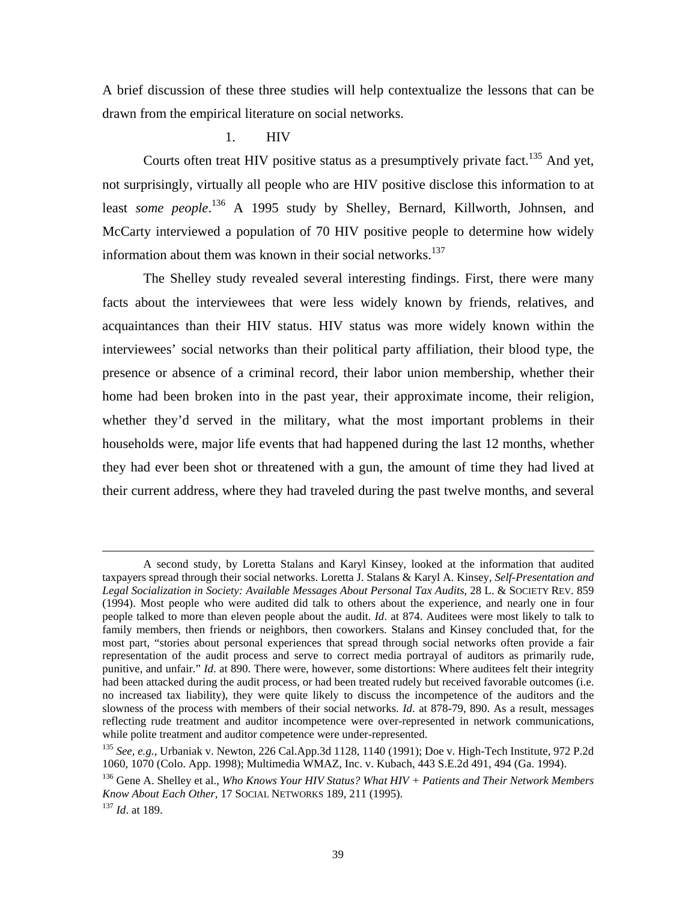A brief discussion of these three studies will help contextualize the lessons that can be drawn from the empirical literature on social networks.

### 1. HIV

Courts often treat HIV positive status as a presumptively private fact.<sup>135</sup> And yet, not surprisingly, virtually all people who are HIV positive disclose this information to at least *some people*.<sup>136</sup> A 1995 study by Shelley, Bernard, Killworth, Johnsen, and McCarty interviewed a population of 70 HIV positive people to determine how widely information about them was known in their social networks.<sup>137</sup>

The Shelley study revealed several interesting findings. First, there were many facts about the interviewees that were less widely known by friends, relatives, and acquaintances than their HIV status. HIV status was more widely known within the interviewees' social networks than their political party affiliation, their blood type, the presence or absence of a criminal record, their labor union membership, whether their home had been broken into in the past year, their approximate income, their religion, whether they'd served in the military, what the most important problems in their households were, major life events that had happened during the last 12 months, whether they had ever been shot or threatened with a gun, the amount of time they had lived at their current address, where they had traveled during the past twelve months, and several

A second study, by Loretta Stalans and Karyl Kinsey, looked at the information that audited taxpayers spread through their social networks. Loretta J. Stalans & Karyl A. Kinsey, *Self-Presentation and Legal Socialization in Society: Available Messages About Personal Tax Audits*, 28 L. & SOCIETY REV. 859 (1994). Most people who were audited did talk to others about the experience, and nearly one in four people talked to more than eleven people about the audit. *Id*. at 874. Auditees were most likely to talk to family members, then friends or neighbors, then coworkers. Stalans and Kinsey concluded that, for the most part, "stories about personal experiences that spread through social networks often provide a fair representation of the audit process and serve to correct media portrayal of auditors as primarily rude, punitive, and unfair." *Id.* at 890. There were, however, some distortions: Where auditees felt their integrity had been attacked during the audit process, or had been treated rudely but received favorable outcomes (i.e. no increased tax liability), they were quite likely to discuss the incompetence of the auditors and the slowness of the process with members of their social networks. *Id*. at 878-79, 890. As a result, messages reflecting rude treatment and auditor incompetence were over-represented in network communications, while polite treatment and auditor competence were under-represented.<br><sup>135</sup> *See, e.g.*, Urbaniak v. Newton, 226 Cal.App.3d 1128, 1140 (1991); Doe v. High-Tech Institute, 972 P.2d

<span id="page-40-0"></span><sup>1060, 1070 (</sup>Colo. App. 1998); Multimedia WMAZ, Inc. v. Kubach, 443 S.E.2d 491, 494 (Ga. 1994).

<span id="page-40-1"></span><sup>136</sup> Gene A. Shelley et al., *Who Knows Your HIV Status? What HIV + Patients and Their Network Members Know About Each Other*, 17 SOCIAL NETWORKS 189, 211 (1995). 137 *Id*. at 189.

<span id="page-40-2"></span>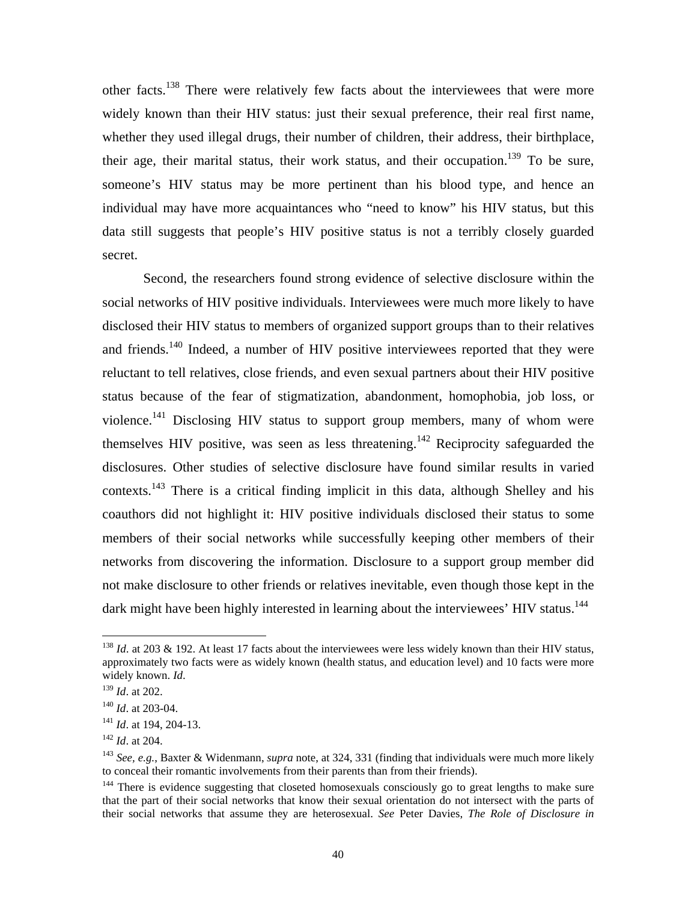<span id="page-41-6"></span>other facts.[138](#page-41-0) There were relatively few facts about the interviewees that were more widely known than their HIV status: just their sexual preference, their real first name, whether they used illegal drugs, their number of children, their address, their birthplace, their age, their marital status, their work status, and their occupation.<sup>139</sup> To be sure, someone's HIV status may be more pertinent than his blood type, and hence an individual may have more acquaintances who "need to know" his HIV status, but this data still suggests that people's HIV positive status is not a terribly closely guarded secret.

Second, the researchers found strong evidence of selective disclosure within the social networks of HIV positive individuals. Interviewees were much more likely to have disclosed their HIV status to members of organized support groups than to their relatives and friends.[140](#page-41-2) Indeed, a number of HIV positive interviewees reported that they were reluctant to tell relatives, close friends, and even sexual partners about their HIV positive status because of the fear of stigmatization, abandonment, homophobia, job loss, or violence.<sup>141</sup> Disclosing HIV status to support group members, many of whom were themselves HIV positive, was seen as less threatening.[142](#page-41-4) Reciprocity safeguarded the disclosures. Other studies of selective disclosure have found similar results in varied contexts[.143](#page-41-5) There is a critical finding implicit in this data, although Shelley and his coauthors did not highlight it: HIV positive individuals disclosed their status to some members of their social networks while successfully keeping other members of their networks from discovering the information. Disclosure to a support group member did not make disclosure to other friends or relatives inevitable, even though those kept in the dark might have been highly interested in learning about the interviewees' HIV status.<sup>[144](#page-41-6)</sup>

<span id="page-41-0"></span><sup>&</sup>lt;sup>138</sup> *Id.* at 203 & 192. At least 17 facts about the interviewees were less widely known than their HIV status, approximately two facts were as widely known (health status, and education level) and 10 facts were more widely known. *Id*.<br><sup>139</sup> *Id*. at 202.

<span id="page-41-1"></span>

<span id="page-41-3"></span>

<span id="page-41-5"></span><span id="page-41-4"></span>

<span id="page-41-2"></span><sup>&</sup>lt;sup>140</sup> *Id.* at 203-04.<br><sup>141</sup> *Id.* at 194, 204-13.<br><sup>142</sup> *Id.* at 204.<br><sup>143</sup> *See, e.g.*, Baxter & Widenmann, *supra* note, at 324, 331 (finding that individuals were much more likely to conceal their romantic involvements from their parents than from their friends).

<sup>&</sup>lt;sup>144</sup> There is evidence suggesting that closeted homosexuals consciously go to great lengths to make sure that the part of their social networks that know their sexual orientation do not intersect with the parts of their social networks that assume they are heterosexual. *See* Peter Davies, *The Role of Disclosure in*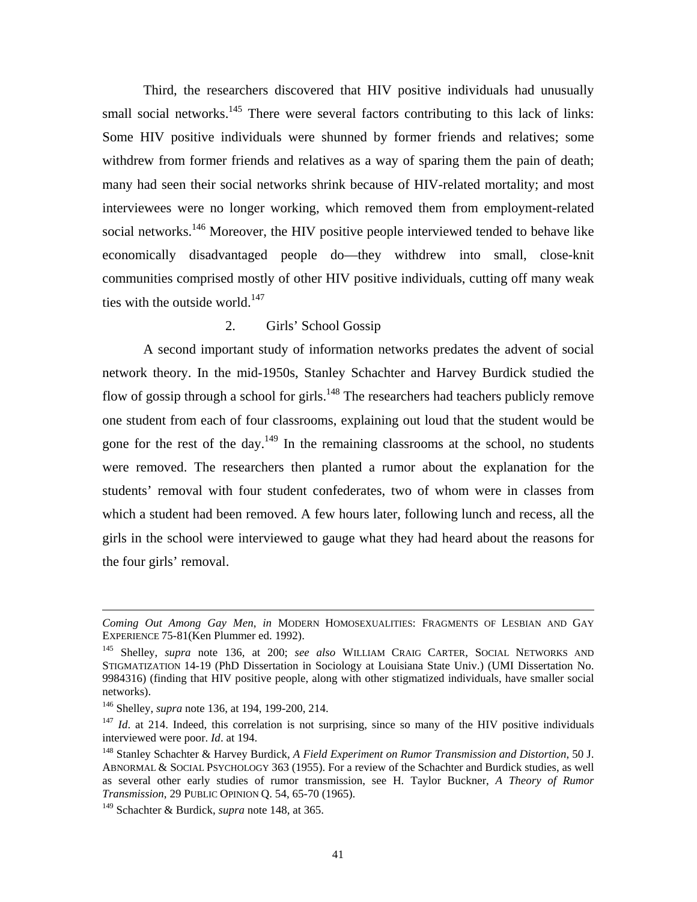Third, the researchers discovered that HIV positive individuals had unusually small social networks.<sup>145</sup> There were several factors contributing to this lack of links: Some HIV positive individuals were shunned by former friends and relatives; some withdrew from former friends and relatives as a way of sparing them the pain of death; many had seen their social networks shrink because of HIV-related mortality; and most interviewees were no longer working, which removed them from employment-related social networks.<sup>146</sup> Moreover, the HIV positive people interviewed tended to behave like economically disadvantaged people do—they withdrew into small, close-knit communities comprised mostly of other HIV positive individuals, cutting off many weak ties with the outside world. $147$ 

# 2. Girls' School Gossip

A second important study of information networks predates the advent of social network theory. In the mid-1950s, Stanley Schachter and Harvey Burdick studied the flow of gossip through a school for girls.<sup>148</sup> The researchers had teachers publicly remove one student from each of four classrooms, explaining out loud that the student would be gone for the rest of the day.<sup>149</sup> In the remaining classrooms at the school, no students were removed. The researchers then planted a rumor about the explanation for the students' removal with four student confederates, two of whom were in classes from which a student had been removed. A few hours later, following lunch and recess, all the girls in the school were interviewed to gauge what they had heard about the reasons for the four girls' removal.

*Coming Out Among Gay Men*, *in* MODERN HOMOSEXUALITIES: FRAGMENTS OF LESBIAN AND GAY EXPERIENCE 75-81(Ken Plummer ed. 1992).<br><sup>145</sup> Shelley, *supra* note 136, at 200; *see also* WILLIAM CRAIG CARTER, SOCIAL NETWORKS AND

<span id="page-42-0"></span>STIGMATIZATION 14-19 (PhD Dissertation in Sociology at Louisiana State Univ.) (UMI Dissertation No. 9984316) (finding that HIV positive people, along with other stigmatized individuals, have smaller social networks).

<span id="page-42-2"></span><span id="page-42-1"></span>

<sup>&</sup>lt;sup>146</sup> Shelley, *supra* note 136, at 194, 199-200, 214.<br><sup>147</sup> *Id.* at 214. Indeed, this correlation is not surprising, since so many of the HIV positive individuals interviewed were poor. *Id.* at 194.<br><sup>148</sup> Stanley Schachter & Harvey Burdick, *A Field Experiment on Rumor Transmission and Distortion*, 50 J.

<span id="page-42-3"></span>ABNORMAL & SOCIAL PSYCHOLOGY 363 (1955). For a review of the Schachter and Burdick studies, as well as several other early studies of rumor transmission, see H. Taylor Buckner, *A Theory of Rumor Transmission*, 29 PUBLIC OPINION Q. 54, 65-70 (1965).

<span id="page-42-4"></span><sup>149</sup> Schachter & Burdick, *supra* note 148, at 365.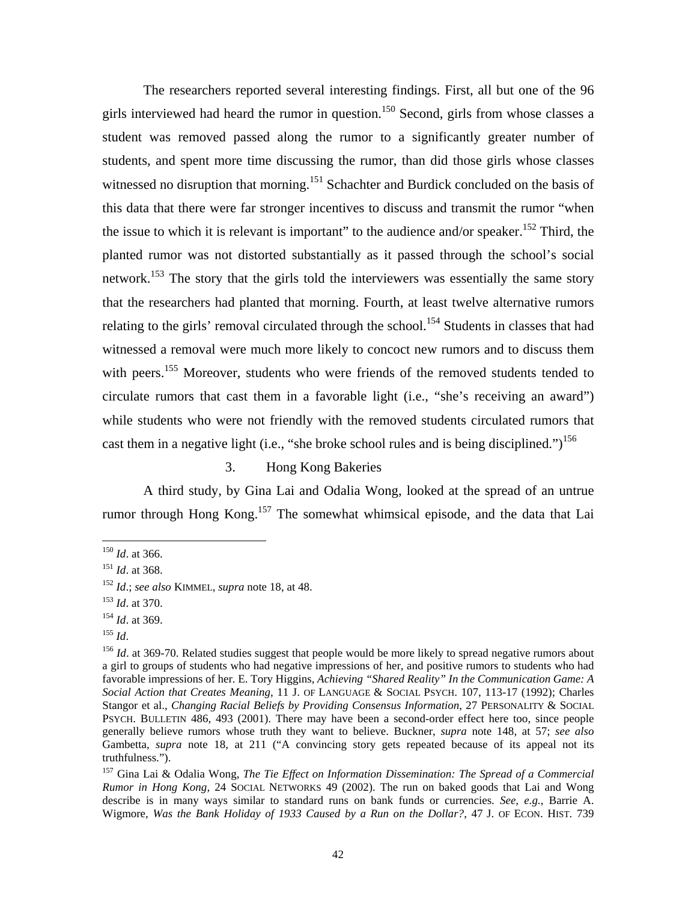<span id="page-43-7"></span>The researchers reported several interesting findings. First, all but one of the 96 girls interviewed had heard the rumor in question.<sup>150</sup> Second, girls from whose classes a student was removed passed along the rumor to a significantly greater number of students, and spent more time discussing the rumor, than did those girls whose classes witnessed no disruption that morning.<sup>151</sup> Schachter and Burdick concluded on the basis of this data that there were far stronger incentives to discuss and transmit the rumor "when the issue to which it is relevant is important" to the audience and/or speaker.<sup>152</sup> Third, the planted rumor was not distorted substantially as it passed through the school's social network.<sup>153</sup> The story that the girls told the interviewers was essentially the same story that the researchers had planted that morning. Fourth, at least twelve alternative rumors relating to the girls' removal circulated through the school.<sup>154</sup> Students in classes that had witnessed a removal were much more likely to concoct new rumors and to discuss them with peers.<sup>155</sup> Moreover, students who were friends of the removed students tended to circulate rumors that cast them in a favorable light (i.e., "she's receiving an award") while students who were not friendly with the removed students circulated rumors that cast them in a negative light (i.e., "she broke school rules and is being disciplined.")<sup>156</sup>

3. Hong Kong Bakeries

A third study, by Gina Lai and Odalia Wong, looked at the spread of an untrue rumor through Hong Kong.<sup>157</sup> The somewhat whimsical episode, and the data that Lai

<span id="page-43-1"></span><span id="page-43-0"></span>

<sup>&</sup>lt;sup>150</sup> *Id.* at 366.<br><sup>151</sup> *Id.* at 368.

<span id="page-43-2"></span><sup>152</sup> *Id*.; *see also* KIMMEL, *supra* note 18, at 48. 153 *Id*. at 370. 154 *Id*. at 369.

<span id="page-43-3"></span>

<span id="page-43-4"></span>

<span id="page-43-5"></span><sup>155</sup> *Id*.

<span id="page-43-6"></span><sup>&</sup>lt;sup>156</sup> *Id.* at 369-70. Related studies suggest that people would be more likely to spread negative rumors about a girl to groups of students who had negative impressions of her, and positive rumors to students who had favorable impressions of her. E. Tory Higgins, *Achieving "Shared Reality" In the Communication Game: A Social Action that Creates Meaning*, 11 J. OF LANGUAGE & SOCIAL PSYCH. 107, 113-17 (1992); Charles Stangor et al., *Changing Racial Beliefs by Providing Consensus Information*, 27 PERSONALITY & SOCIAL PSYCH. BULLETIN 486, 493 (2001). There may have been a second-order effect here too, since people generally believe rumors whose truth they want to believe. Buckner, *supra* note 148, at 57; *see also* Gambetta, *supra* note 18, at 211 ("A convincing story gets repeated because of its appeal not its truthfulness.").<br><sup>157</sup> Gina Lai & Odalia Wong, *The Tie Effect on Information Dissemination: The Spread of a Commercial* 

*Rumor in Hong Kong*, 24 SOCIAL NETWORKS 49 (2002). The run on baked goods that Lai and Wong describe is in many ways similar to standard runs on bank funds or currencies. *See, e.g.*, Barrie A. Wigmore, *Was the Bank Holiday of 1933 Caused by a Run on the Dollar?*, 47 J. OF ECON. HIST. 739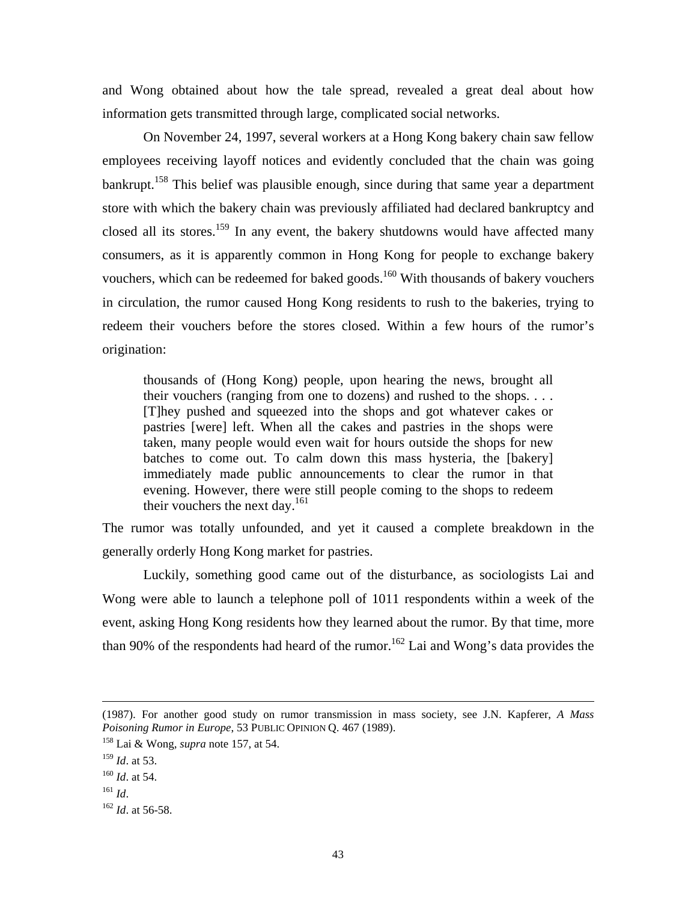and Wong obtained about how the tale spread, revealed a great deal about how information gets transmitted through large, complicated social networks.

On November 24, 1997, several workers at a Hong Kong bakery chain saw fellow employees receiving layoff notices and evidently concluded that the chain was going bankrupt.<sup>158</sup> This belief was plausible enough, since during that same year a department store with which the bakery chain was previously affiliated had declared bankruptcy and closed all its stores.<sup>159</sup> In any event, the bakery shutdowns would have affected many consumers, as it is apparently common in Hong Kong for people to exchange bakery vouchers, which can be redeemed for baked goods.<sup>160</sup> With thousands of bakery vouchers in circulation, the rumor caused Hong Kong residents to rush to the bakeries, trying to redeem their vouchers before the stores closed. Within a few hours of the rumor's origination:

thousands of (Hong Kong) people, upon hearing the news, brought all their vouchers (ranging from one to dozens) and rushed to the shops. . . . [T]hey pushed and squeezed into the shops and got whatever cakes or pastries [were] left. When all the cakes and pastries in the shops were taken, many people would even wait for hours outside the shops for new batches to come out. To calm down this mass hysteria, the [bakery] immediately made public announcements to clear the rumor in that evening. However, there were still people coming to the shops to redeem their vouchers the next day.<sup>161</sup>

The rumor was totally unfounded, and yet it caused a complete breakdown in the generally orderly Hong Kong market for pastries.

Luckily, something good came out of the disturbance, as sociologists Lai and Wong were able to launch a telephone poll of 1011 respondents within a week of the event, asking Hong Kong residents how they learned about the rumor. By that time, more than 90% of the respondents had heard of the rumor.<sup>162</sup> Lai and Wong's data provides the

 <sup>(1987).</sup> For another good study on rumor transmission in mass society, see J.N. Kapferer, *A Mass Poisoning Rumor in Europe*, 53 PUBLIC OPINION Q. 467 (1989).

<span id="page-44-0"></span><sup>158</sup> Lai & Wong, *supra* note 157, at 54.

<span id="page-44-1"></span><sup>159</sup> *Id*. at 53.

<span id="page-44-2"></span><sup>160</sup> *Id*. at 54.

<span id="page-44-4"></span>

<span id="page-44-3"></span><sup>&</sup>lt;sup>161</sup> *Id.* 162 *Id.* at 56-58.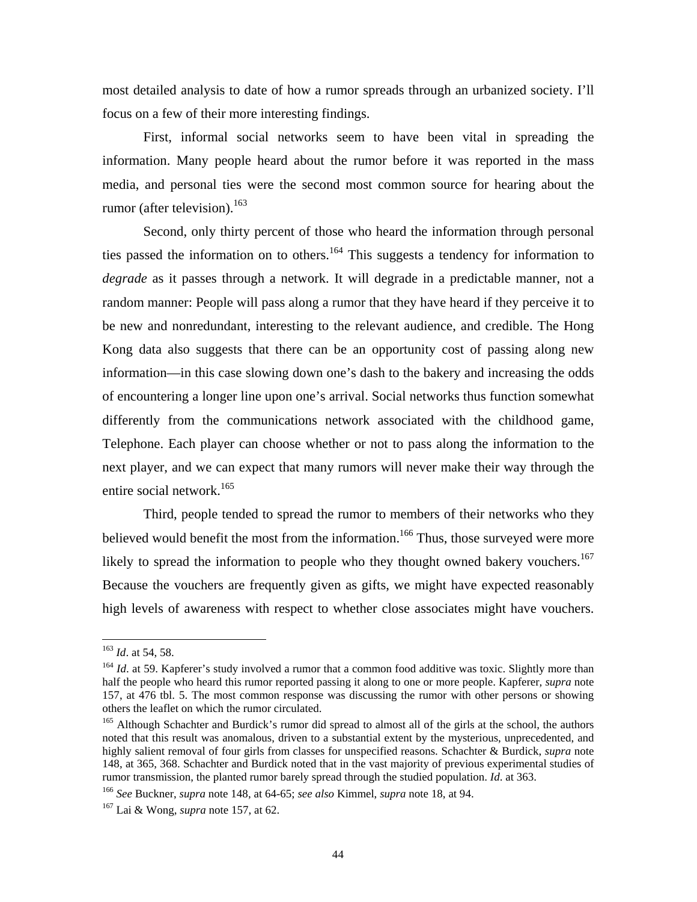most detailed analysis to date of how a rumor spreads through an urbanized society. I'll focus on a few of their more interesting findings.

First, informal social networks seem to have been vital in spreading the information. Many people heard about the rumor before it was reported in the mass media, and personal ties were the second most common source for hearing about the rumor (after television). $163$ 

Second, only thirty percent of those who heard the information through personal ties passed the information on to others.<sup>164</sup> This suggests a tendency for information to *degrade* as it passes through a network. It will degrade in a predictable manner, not a random manner: People will pass along a rumor that they have heard if they perceive it to be new and nonredundant, interesting to the relevant audience, and credible. The Hong Kong data also suggests that there can be an opportunity cost of passing along new information—in this case slowing down one's dash to the bakery and increasing the odds of encountering a longer line upon one's arrival. Social networks thus function somewhat differently from the communications network associated with the childhood game, Telephone. Each player can choose whether or not to pass along the information to the next player, and we can expect that many rumors will never make their way through the entire social network.<sup>165</sup>

Third, people tended to spread the rumor to members of their networks who they believed would benefit the most from the information.<sup>166</sup> Thus, those surveyed were more likely to spread the information to people who they thought owned bakery vouchers.<sup>[167](#page-45-4)</sup> Because the vouchers are frequently given as gifts, we might have expected reasonably high levels of awareness with respect to whether close associates might have vouchers.

<span id="page-45-0"></span><sup>163</sup> *Id*. at 54, 58.

<span id="page-45-1"></span><sup>&</sup>lt;sup>164</sup> *Id.* at 59. Kapferer's study involved a rumor that a common food additive was toxic. Slightly more than half the people who heard this rumor reported passing it along to one or more people. Kapferer*, supra* note 157, at 476 tbl. 5. The most common response was discussing the rumor with other persons or showing others the leaflet on which the rumor circulated. 165 Although Schachter and Burdick's rumor did spread to almost all of the girls at the school, the authors

<span id="page-45-2"></span>noted that this result was anomalous, driven to a substantial extent by the mysterious, unprecedented, and highly salient removal of four girls from classes for unspecified reasons. Schachter & Burdick, *supra* note 148, at 365, 368. Schachter and Burdick noted that in the vast majority of previous experimental studies of rumor transmission, the planted rumor barely spread through the studied population. *Id.* at 363.<br><sup>166</sup> See Buckner, *supra* note 148, at 64-65; *see also* Kimmel, *supra* note 18, at 94.<br><sup>167</sup> Lai & Wong. *supra* note 157

<span id="page-45-3"></span>

<span id="page-45-4"></span>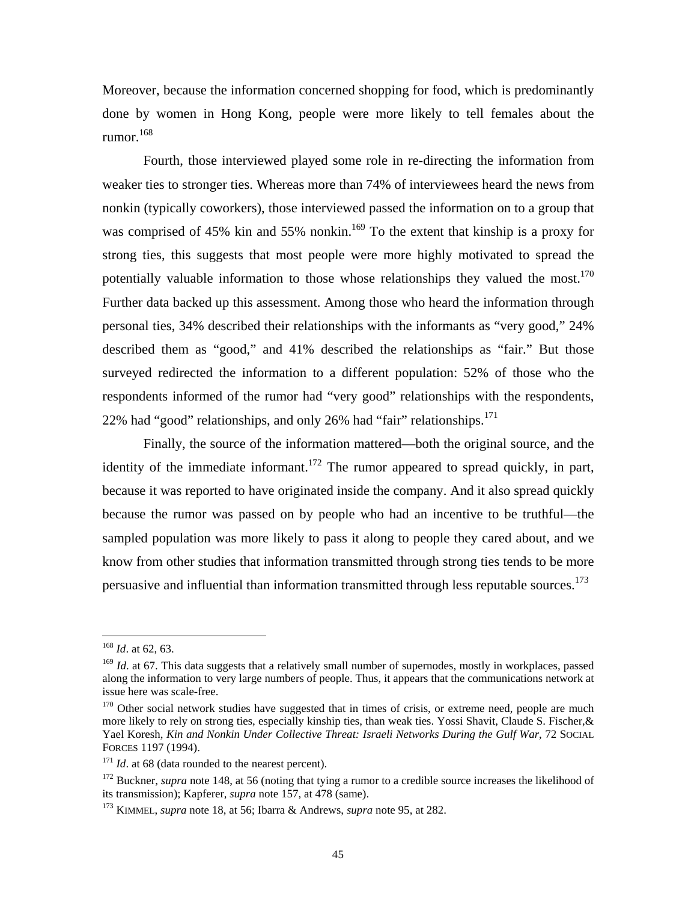Moreover, because the information concerned shopping for food, which is predominantly done by women in Hong Kong, people were more likely to tell females about the rumor.<sup>168</sup>

Fourth, those interviewed played some role in re-directing the information from weaker ties to stronger ties. Whereas more than 74% of interviewees heard the news from nonkin (typically coworkers), those interviewed passed the information on to a group that was comprised of 45% kin and 55% nonkin.<sup>169</sup> To the extent that kinship is a proxy for strong ties, this suggests that most people were more highly motivated to spread the potentially valuable information to those whose relationships they valued the most.<sup>170</sup> Further data backed up this assessment. Among those who heard the information through personal ties, 34% described their relationships with the informants as "very good," 24% described them as "good," and 41% described the relationships as "fair." But those surveyed redirected the information to a different population: 52% of those who the respondents informed of the rumor had "very good" relationships with the respondents, 22% had "good" relationships, and only 26% had "fair" relationships. $171$ 

Finally, the source of the information mattered—both the original source, and the identity of the immediate informant.<sup>172</sup> The rumor appeared to spread quickly, in part, because it was reported to have originated inside the company. And it also spread quickly because the rumor was passed on by people who had an incentive to be truthful—the sampled population was more likely to pass it along to people they cared about, and we know from other studies that information transmitted through strong ties tends to be more persuasive and influential than information transmitted through less reputable sources.<sup>173</sup>

<span id="page-46-0"></span><sup>168</sup> *Id*. at 62, 63.

<span id="page-46-1"></span><sup>&</sup>lt;sup>169</sup> *Id.* at 67. This data suggests that a relatively small number of supernodes, mostly in workplaces, passed along the information to very large numbers of people. Thus, it appears that the communications network at issue here was scale-free.

<span id="page-46-2"></span><sup>&</sup>lt;sup>170</sup> Other social network studies have suggested that in times of crisis, or extreme need, people are much more likely to rely on strong ties, especially kinship ties, than weak ties. Yossi Shavit, Claude S. Fischer,& Yael Koresh, *Kin and Nonkin Under Collective Threat: Israeli Networks During the Gulf War*, 72 SOCIAL FORCES 1197 (1994).<br><sup>171</sup> *Id*. at 68 (data rounded to the nearest percent).

<span id="page-46-3"></span>

<span id="page-46-4"></span><sup>&</sup>lt;sup>172</sup> Buckner, *supra* note 148, at 56 (noting that tying a rumor to a credible source increases the likelihood of its transmission); Kapferer, *supra* note 157, at 478 (same). 173 KIMMEL, *supra* note 18, at 56; Ibarra & Andrews, *supra* note 95, at 282.

<span id="page-46-5"></span>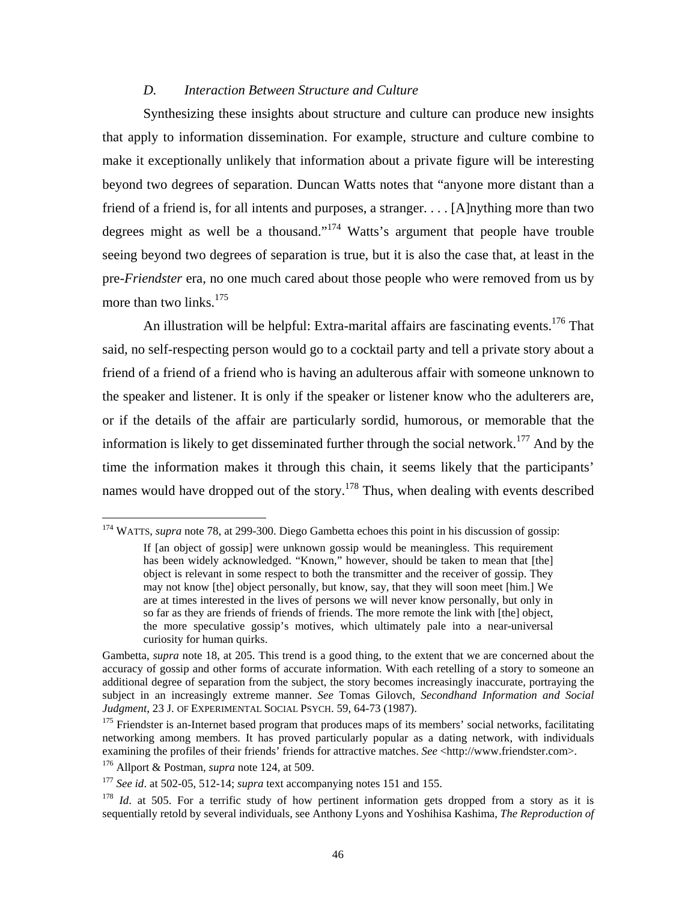#### *D. Interaction Between Structure and Culture*

<span id="page-47-4"></span>Synthesizing these insights about structure and culture can produce new insights that apply to information dissemination. For example, structure and culture combine to make it exceptionally unlikely that information about a private figure will be interesting beyond two degrees of separation. Duncan Watts notes that "anyone more distant than a friend of a friend is, for all intents and purposes, a stranger. . . . [A]nything more than two degrees might as well be a thousand.["174](#page-47-0) Watts's argument that people have trouble seeing beyond two degrees of separation is true, but it is also the case that, at least in the pre-*Friendster* era, no one much cared about those people who were removed from us by more than two links.  $175$ 

An illustration will be helpful: Extra-marital affairs are fascinating events.<sup>176</sup> That said, no self-respecting person would go to a cocktail party and tell a private story about a friend of a friend of a friend who is having an adulterous affair with someone unknown to the speaker and listener. It is only if the speaker or listener know who the adulterers are, or if the details of the affair are particularly sordid, humorous, or memorable that the information is likely to get disseminated further through the social network.<sup>177</sup> And by the time the information makes it through this chain, it seems likely that the participants' names would have dropped out of the story.<sup>178</sup> Thus, when dealing with events described

<span id="page-47-0"></span><sup>174</sup> WATTS, *supra* note 78, at 299-300. Diego Gambetta echoes this point in his discussion of gossip:

If [an object of gossip] were unknown gossip would be meaningless. This requirement has been widely acknowledged. "Known," however, should be taken to mean that [the] object is relevant in some respect to both the transmitter and the receiver of gossip. They may not know [the] object personally, but know, say, that they will soon meet [him.] We are at times interested in the lives of persons we will never know personally, but only in so far as they are friends of friends of friends. The more remote the link with [the] object, the more speculative gossip's motives, which ultimately pale into a near-universal curiosity for human quirks.

Gambetta, *supra* note 18, at 205. This trend is a good thing, to the extent that we are concerned about the accuracy of gossip and other forms of accurate information. With each retelling of a story to someone an additional degree of separation from the subject, the story becomes increasingly inaccurate, portraying the subject in an increasingly extreme manner. *See* Tomas Gilovch, *Secondhand Information and Social Judgment*, 23 J. OF EXPERIMENTAL SOCIAL PSYCH. 59, 64-73 (1987).<br><sup>175</sup> Friendster is an-Internet based program that produces maps of its members' social networks, facilitating

<span id="page-47-1"></span>networking among members. It has proved particularly popular as a dating network, with individuals examining the profiles of their friends' friends for attractive matches. *See* <http://www.friendster.com>. 176 Allport & Postman, *supra* note 124, at 509.

<span id="page-47-2"></span>

<span id="page-47-3"></span><sup>177</sup> *See id*. at 502-05, 512-14; *supra* text accompanying notes 151 and 155.

<sup>&</sup>lt;sup>178</sup> *Id.* at 505. For a terrific study of how pertinent information gets dropped from a story as it is sequentially retold by several individuals, see Anthony Lyons and Yoshihisa Kashima, *The Reproduction of*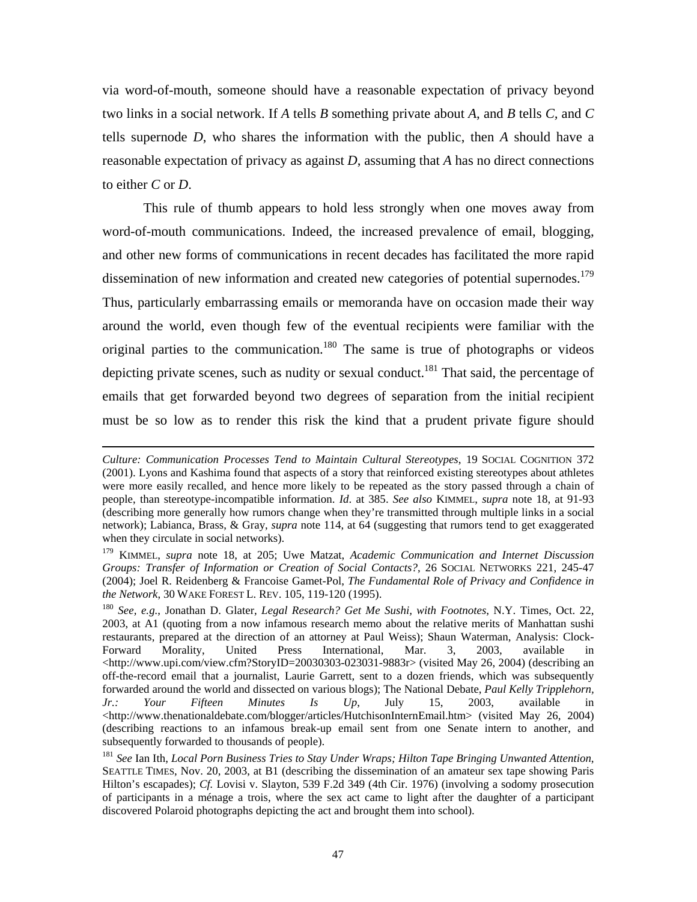via word-of-mouth, someone should have a reasonable expectation of privacy beyond two links in a social network. If *A* tells *B* something private about *A*, and *B* tells *C,* and *C*  tells supernode *D*, who shares the information with the public, then *A* should have a reasonable expectation of privacy as against *D*, assuming that *A* has no direct connections to either *C* or *D*.

This rule of thumb appears to hold less strongly when one moves away from word-of-mouth communications. Indeed, the increased prevalence of email, blogging, and other new forms of communications in recent decades has facilitated the more rapid dissemination of new information and created new categories of potential supernodes.<sup>179</sup> Thus, particularly embarrassing emails or memoranda have on occasion made their way around the world, even though few of the eventual recipients were familiar with the original parties to the communication.<sup>180</sup> The same is true of photographs or videos depicting private scenes, such as nudity or sexual conduct.<sup>181</sup> That said, the percentage of emails that get forwarded beyond two degrees of separation from the initial recipient must be so low as to render this risk the kind that a prudent private figure should

*Culture: Communication Processes Tend to Maintain Cultural Stereotypes*, 19 SOCIAL COGNITION 372 (2001). Lyons and Kashima found that aspects of a story that reinforced existing stereotypes about athletes were more easily recalled, and hence more likely to be repeated as the story passed through a chain of people, than stereotype-incompatible information. *Id*. at 385. *See also* KIMMEL, *supra* note 18, at 91-93 (describing more generally how rumors change when they're transmitted through multiple links in a social network); Labianca, Brass, & Gray, *supra* note 114, at 64 (suggesting that rumors tend to get exaggerated when they circulate in social networks).

<span id="page-48-0"></span><sup>179</sup> KIMMEL, *supra* note 18, at 205; Uwe Matzat, *Academic Communication and Internet Discussion Groups: Transfer of Information or Creation of Social Contacts?*, 26 SOCIAL NETWORKS 221, 245-47 (2004); Joel R. Reidenberg & Francoise Gamet-Pol, *The Fundamental Role of Privacy and Confidence in the Network*, 30 WAKE FOREST L. REV. 105, 119-120 (1995). 180 *See, e.g.*, Jonathan D. Glater, *Legal Research? Get Me Sushi, with Footnotes*, N.Y. Times, Oct. 22,

<span id="page-48-1"></span><sup>2003,</sup> at A1 (quoting from a now infamous research memo about the relative merits of Manhattan sushi restaurants, prepared at the direction of an attorney at Paul Weiss); Shaun Waterman, Analysis: Clock-Forward Morality, United Press International, Mar. 3, 2003, available in  $\langle$ http://www.upi.com/view.cfm?StoryID=20030303-023031-9883r> (visited May 26, 2004) (describing an off-the-record email that a journalist, Laurie Garrett, sent to a dozen friends, which was subsequently forwarded around the world and dissected on various blogs); The National Debate, *Paul Kelly Tripplehorn, Jr.: Your Fifteen Minutes Is Up*, July 15, 2003, available in <http://www.thenationaldebate.com/blogger/articles/HutchisonInternEmail.htm> (visited May 26, 2004) (describing reactions to an infamous break-up email sent from one Senate intern to another, and subsequently forwarded to thousands of people).<br><sup>181</sup> *See* Ian Ith, *Local Porn Business Tries to Stay Under Wraps; Hilton Tape Bringing Unwanted Attention*,

<span id="page-48-2"></span>SEATTLE TIMES, Nov. 20, 2003, at B1 (describing the dissemination of an amateur sex tape showing Paris Hilton's escapades); *Cf.* Lovisi v. Slayton, 539 F.2d 349 (4th Cir. 1976) (involving a sodomy prosecution of participants in a ménage a trois, where the sex act came to light after the daughter of a participant discovered Polaroid photographs depicting the act and brought them into school).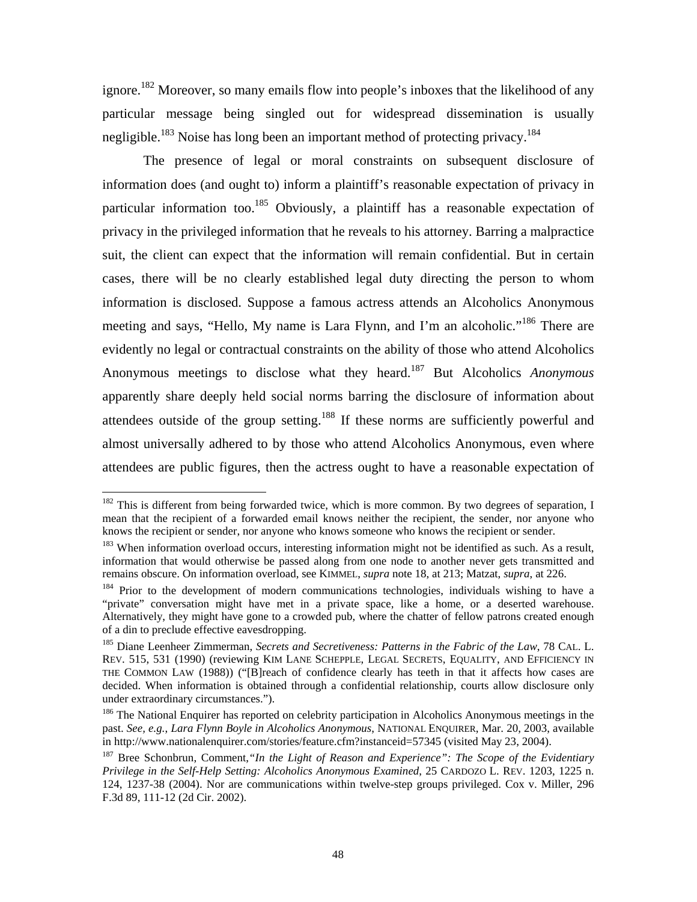ignore.<sup>182</sup> Moreover, so many emails flow into people's inboxes that the likelihood of any particular message being singled out for widespread dissemination is usually negligible.<sup>183</sup> Noise has long been an important method of protecting privacy.<sup>184</sup>

The presence of legal or moral constraints on subsequent disclosure of information does (and ought to) inform a plaintiff's reasonable expectation of privacy in particular information too.<sup>185</sup> Obviously, a plaintiff has a reasonable expectation of privacy in the privileged information that he reveals to his attorney. Barring a malpractice suit, the client can expect that the information will remain confidential. But in certain cases, there will be no clearly established legal duty directing the person to whom information is disclosed. Suppose a famous actress attends an Alcoholics Anonymous meeting and says, "Hello, My name is Lara Flynn, and I'm an alcoholic."[186 T](#page-49-4)here are evidently no legal or contractual constraints on the ability of those who attend Alcoholics Anonymous meetings to disclose what they heard.[187](#page-49-5) But Alcoholics *Anonymous* apparently share deeply held social norms barring the disclosure of information about attendees outside of the group setting[.188](#page-49-6) If these norms are sufficiently powerful and almost universally adhered to by those who attend Alcoholics Anonymous, even where attendees are public figures, then the actress ought to have a reasonable expectation of

<u>.</u>

<span id="page-49-0"></span> $182$  This is different from being forwarded twice, which is more common. By two degrees of separation, I mean that the recipient of a forwarded email knows neither the recipient, the sender, nor anyone who knows the recipient or sender, nor anyone who knows someone who knows the recipient or sender.<br><sup>183</sup> When information overload occurs, interesting information might not be identified as such. As a result,

<span id="page-49-1"></span>information that would otherwise be passed along from one node to another never gets transmitted and remains obscure. On information overload, see KIMMEL, *supra* note 18, at 213; Matzat, *supra*, at 226. <sup>184</sup> Prior to the development of modern communications technologies, individuals wishing to have a

<span id="page-49-2"></span><sup>&</sup>quot;private" conversation might have met in a private space, like a home, or a deserted warehouse. Alternatively, they might have gone to a crowded pub, where the chatter of fellow patrons created enough of a din to preclude effective eavesdropping.

<span id="page-49-3"></span><sup>185</sup> Diane Leenheer Zimmerman, *Secrets and Secretiveness: Patterns in the Fabric of the Law*, 78 CAL. L. REV. 515, 531 (1990) (reviewing KIM LANE SCHEPPLE, LEGAL SECRETS, EQUALITY, AND EFFICIENCY IN THE COMMON LAW (1988)) ("[B]reach of confidence clearly has teeth in that it affects how cases are decided. When information is obtained through a confidential relationship, courts allow disclosure only

<span id="page-49-4"></span>under extraordinary circumstances.").<br><sup>186</sup> The National Enquirer has reported on celebrity participation in Alcoholics Anonymous meetings in the past. *See, e.g., Lara Flynn Boyle in Alcoholics Anonymous*, NATIONAL ENQUIRER, Mar. 20, 2003, available in http://www.nationalenguirer.com/stories/feature.cfm?instanceid=57345 (visited May 23, 2004).

<span id="page-49-6"></span><span id="page-49-5"></span><sup>&</sup>lt;sup>187</sup> Bree Schonbrun, Comment,*"In the Light of Reason and Experience": The Scope of the Evidentiary Privilege in the Self-Help Setting: Alcoholics Anonymous Examined*, 25 CARDOZO L. REV. 1203, 1225 n. 124, 1237-38 (2004). Nor are communications within twelve-step groups privileged. Cox v. Miller, 296 F.3d 89, 111-12 (2d Cir. 2002).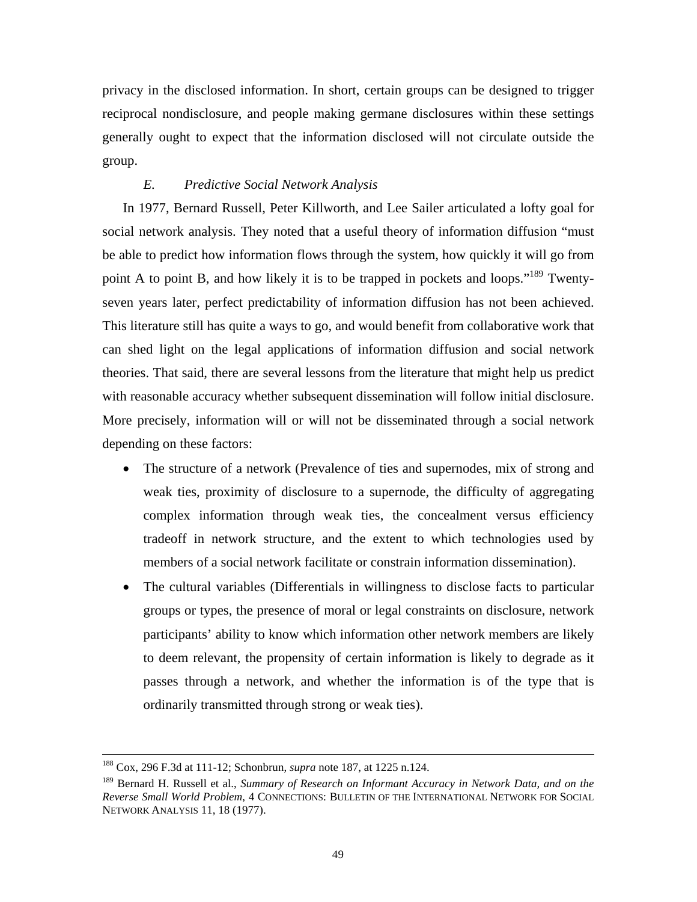privacy in the disclosed information. In short, certain groups can be designed to trigger reciprocal nondisclosure, and people making germane disclosures within these settings generally ought to expect that the information disclosed will not circulate outside the group.

# *E. Predictive Social Network Analysis*

In 1977, Bernard Russell, Peter Killworth, and Lee Sailer articulated a lofty goal for social network analysis. They noted that a useful theory of information diffusion "must be able to predict how information flows through the system, how quickly it will go from point A to point B, and how likely it is to be trapped in pockets and loops."<sup>189</sup> Twentyseven years later, perfect predictability of information diffusion has not been achieved. This literature still has quite a ways to go, and would benefit from collaborative work that can shed light on the legal applications of information diffusion and social network theories. That said, there are several lessons from the literature that might help us predict with reasonable accuracy whether subsequent dissemination will follow initial disclosure. More precisely, information will or will not be disseminated through a social network depending on these factors:

- The structure of a network (Prevalence of ties and supernodes, mix of strong and weak ties, proximity of disclosure to a supernode, the difficulty of aggregating complex information through weak ties, the concealment versus efficiency tradeoff in network structure, and the extent to which technologies used by members of a social network facilitate or constrain information dissemination).
- The cultural variables (Differentials in willingness to disclose facts to particular groups or types, the presence of moral or legal constraints on disclosure, network participants' ability to know which information other network members are likely to deem relevant, the propensity of certain information is likely to degrade as it passes through a network, and whether the information is of the type that is ordinarily transmitted through strong or weak ties).

 <sup>188</sup> Cox, 296 F.3d at 111-12; Schonbrun, *supra* note 187, at 1225 n.124.

<span id="page-50-0"></span><sup>189</sup> Bernard H. Russell et al., *Summary of Research on Informant Accuracy in Network Data, and on the Reverse Small World Problem*, 4 CONNECTIONS: BULLETIN OF THE INTERNATIONAL NETWORK FOR SOCIAL NETWORK ANALYSIS 11, 18 (1977).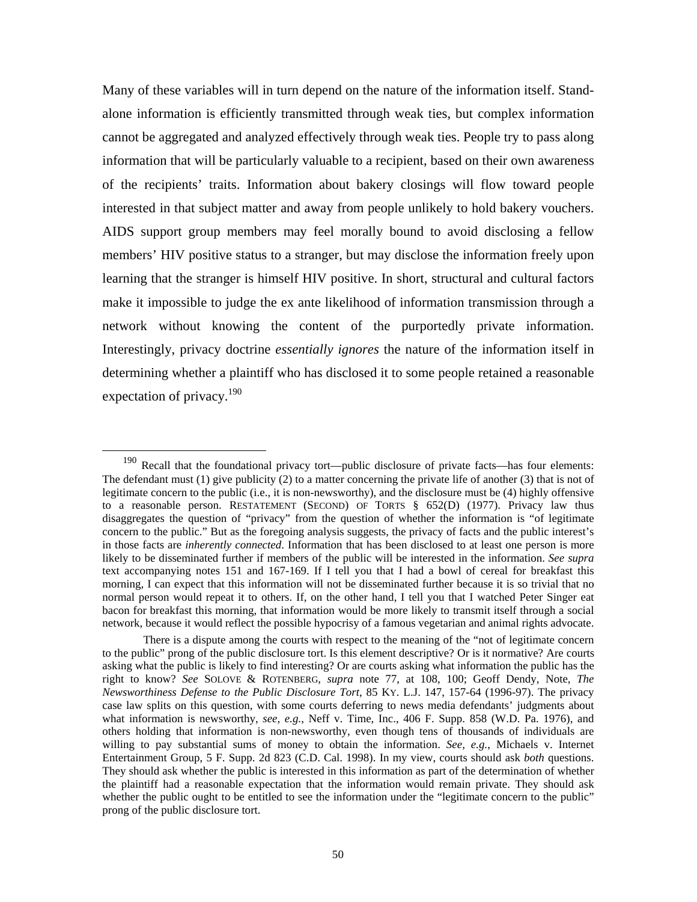Many of these variables will in turn depend on the nature of the information itself. Standalone information is efficiently transmitted through weak ties, but complex information cannot be aggregated and analyzed effectively through weak ties. People try to pass along information that will be particularly valuable to a recipient, based on their own awareness of the recipients' traits. Information about bakery closings will flow toward people interested in that subject matter and away from people unlikely to hold bakery vouchers. AIDS support group members may feel morally bound to avoid disclosing a fellow members' HIV positive status to a stranger, but may disclose the information freely upon learning that the stranger is himself HIV positive. In short, structural and cultural factors make it impossible to judge the ex ante likelihood of information transmission through a network without knowing the content of the purportedly private information. Interestingly, privacy doctrine *essentially ignores* the nature of the information itself in determining whether a plaintiff who has disclosed it to some people retained a reasonable expectation of privacy.<sup>190</sup>

<span id="page-51-0"></span><sup>&</sup>lt;sup>190</sup> Recall that the foundational privacy tort—public disclosure of private facts—has four elements: The defendant must (1) give publicity (2) to a matter concerning the private life of another (3) that is not of legitimate concern to the public (i.e., it is non-newsworthy), and the disclosure must be (4) highly offensive to a reasonable person. RESTATEMENT (SECOND) OF TORTS § 652(D) (1977). Privacy law thus disaggregates the question of "privacy" from the question of whether the information is "of legitimate concern to the public." But as the foregoing analysis suggests, the privacy of facts and the public interest's in those facts are *inherently connected*. Information that has been disclosed to at least one person is more likely to be disseminated further if members of the public will be interested in the information. *See supra*  text accompanying notes 151 and 167-169. If I tell you that I had a bowl of cereal for breakfast this morning, I can expect that this information will not be disseminated further because it is so trivial that no normal person would repeat it to others. If, on the other hand, I tell you that I watched Peter Singer eat bacon for breakfast this morning, that information would be more likely to transmit itself through a social network, because it would reflect the possible hypocrisy of a famous vegetarian and animal rights advocate.

There is a dispute among the courts with respect to the meaning of the "not of legitimate concern to the public" prong of the public disclosure tort. Is this element descriptive? Or is it normative? Are courts asking what the public is likely to find interesting? Or are courts asking what information the public has the right to know? *See* SOLOVE & ROTENBERG, *supra* note 77, at 108, 100; Geoff Dendy, Note, *The Newsworthiness Defense to the Public Disclosure Tort*, 85 KY. L.J. 147, 157-64 (1996-97). The privacy case law splits on this question, with some courts deferring to news media defendants' judgments about what information is newsworthy, *see, e.g.*, Neff v. Time, Inc., 406 F. Supp. 858 (W.D. Pa. 1976), and others holding that information is non-newsworthy, even though tens of thousands of individuals are willing to pay substantial sums of money to obtain the information. *See, e.g.*, Michaels v. Internet Entertainment Group, 5 F. Supp. 2d 823 (C.D. Cal. 1998). In my view, courts should ask *both* questions. They should ask whether the public is interested in this information as part of the determination of whether the plaintiff had a reasonable expectation that the information would remain private. They should ask whether the public ought to be entitled to see the information under the "legitimate concern to the public" prong of the public disclosure tort.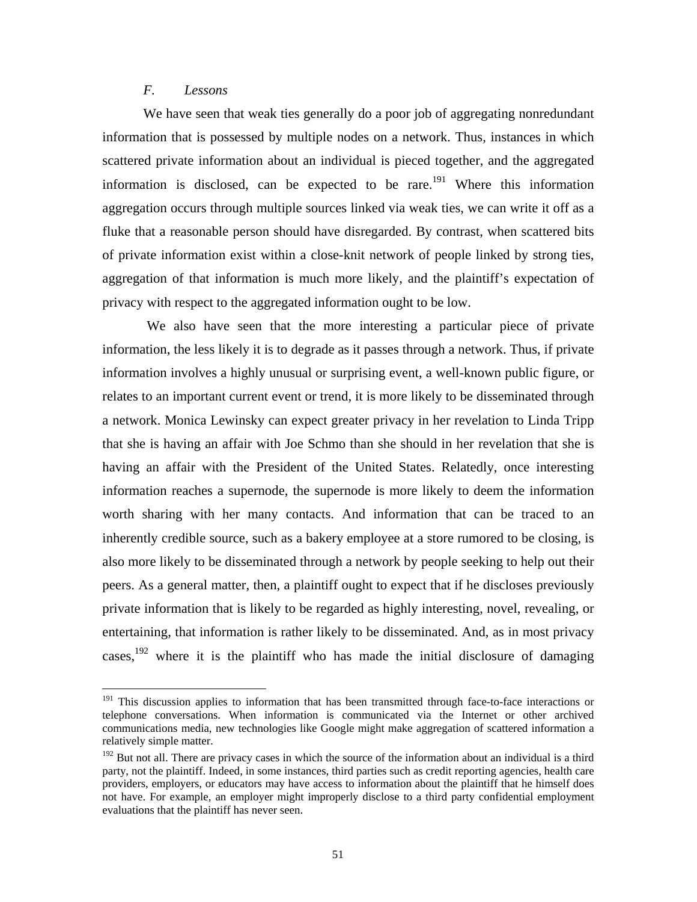# *F. Lessons*

 $\overline{a}$ 

We have seen that weak ties generally do a poor job of aggregating nonredundant information that is possessed by multiple nodes on a network. Thus, instances in which scattered private information about an individual is pieced together, and the aggregated information is disclosed, can be expected to be rare.<sup>191</sup> Where this information aggregation occurs through multiple sources linked via weak ties, we can write it off as a fluke that a reasonable person should have disregarded. By contrast, when scattered bits of private information exist within a close-knit network of people linked by strong ties, aggregation of that information is much more likely, and the plaintiff's expectation of privacy with respect to the aggregated information ought to be low.

We also have seen that the more interesting a particular piece of private information, the less likely it is to degrade as it passes through a network. Thus, if private information involves a highly unusual or surprising event, a well-known public figure, or relates to an important current event or trend, it is more likely to be disseminated through a network. Monica Lewinsky can expect greater privacy in her revelation to Linda Tripp that she is having an affair with Joe Schmo than she should in her revelation that she is having an affair with the President of the United States. Relatedly, once interesting information reaches a supernode, the supernode is more likely to deem the information worth sharing with her many contacts. And information that can be traced to an inherently credible source, such as a bakery employee at a store rumored to be closing, is also more likely to be disseminated through a network by people seeking to help out their peers. As a general matter, then, a plaintiff ought to expect that if he discloses previously private information that is likely to be regarded as highly interesting, novel, revealing, or entertaining, that information is rather likely to be disseminated. And, as in most privacy cases,<sup>192</sup> where it is the plaintiff who has made the initial disclosure of damaging

<span id="page-52-0"></span><sup>&</sup>lt;sup>191</sup> This discussion applies to information that has been transmitted through face-to-face interactions or telephone conversations. When information is communicated via the Internet or other archived communications media, new technologies like Google might make aggregation of scattered information a relatively simple matter.

<span id="page-52-1"></span><sup>&</sup>lt;sup>192</sup> But not all. There are privacy cases in which the source of the information about an individual is a third party, not the plaintiff. Indeed, in some instances, third parties such as credit reporting agencies, health care providers, employers, or educators may have access to information about the plaintiff that he himself does not have. For example, an employer might improperly disclose to a third party confidential employment evaluations that the plaintiff has never seen.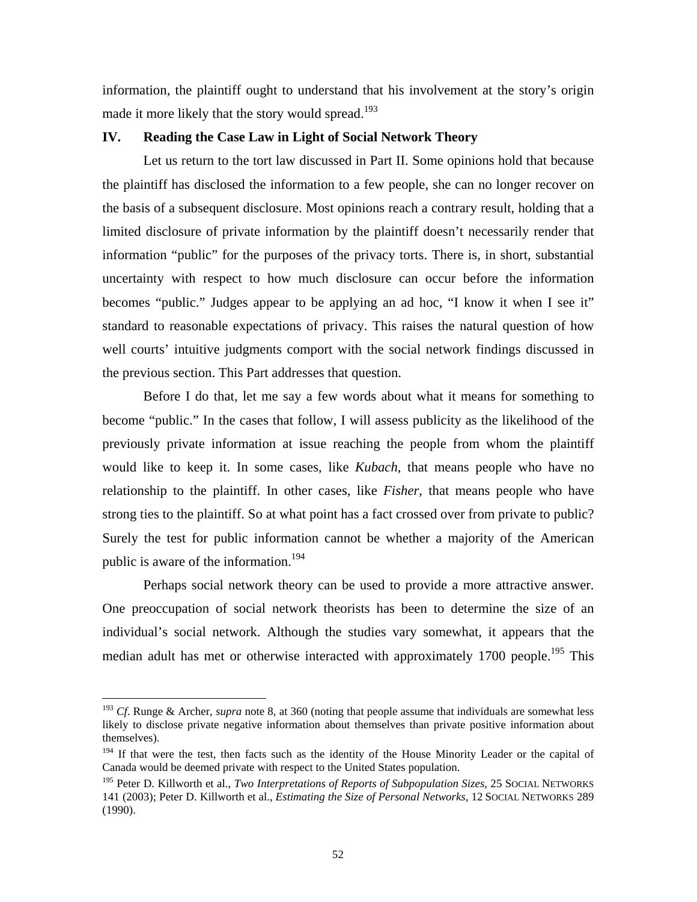information, the plaintiff ought to understand that his involvement at the story's origin made it more likely that the story would spread.<sup>193</sup>

### **IV. Reading the Case Law in Light of Social Network Theory**

Let us return to the tort law discussed in Part II. Some opinions hold that because the plaintiff has disclosed the information to a few people, she can no longer recover on the basis of a subsequent disclosure. Most opinions reach a contrary result, holding that a limited disclosure of private information by the plaintiff doesn't necessarily render that information "public" for the purposes of the privacy torts. There is, in short, substantial uncertainty with respect to how much disclosure can occur before the information becomes "public." Judges appear to be applying an ad hoc, "I know it when I see it" standard to reasonable expectations of privacy. This raises the natural question of how well courts' intuitive judgments comport with the social network findings discussed in the previous section. This Part addresses that question.

Before I do that, let me say a few words about what it means for something to become "public." In the cases that follow, I will assess publicity as the likelihood of the previously private information at issue reaching the people from whom the plaintiff would like to keep it. In some cases, like *Kubach*, that means people who have no relationship to the plaintiff. In other cases, like *Fisher*, that means people who have strong ties to the plaintiff. So at what point has a fact crossed over from private to public? Surely the test for public information cannot be whether a majority of the American public is aware of the information.<sup>194</sup>

Perhaps social network theory can be used to provide a more attractive answer. One preoccupation of social network theorists has been to determine the size of an individual's social network. Although the studies vary somewhat, it appears that the median adult has met or otherwise interacted with approximately 1700 people.<sup>195</sup> This

<span id="page-53-0"></span><sup>193</sup> *Cf*. Runge & Archer, *supra* note 8, at 360 (noting that people assume that individuals are somewhat less likely to disclose private negative information about themselves than private positive information about themselves).

<span id="page-53-1"></span><sup>&</sup>lt;sup>194</sup> If that were the test, then facts such as the identity of the House Minority Leader or the capital of Canada would be deemed private with respect to the United States population.

<span id="page-53-2"></span><sup>&</sup>lt;sup>195</sup> Peter D. Killworth et al., *Two Interpretations of Reports of Subpopulation Sizes*, 25 SOCIAL NETWORKS 141 (2003); Peter D. Killworth et al., *Estimating the Size of Personal Networks*, 12 SOCIAL NETWORKS 289 (1990).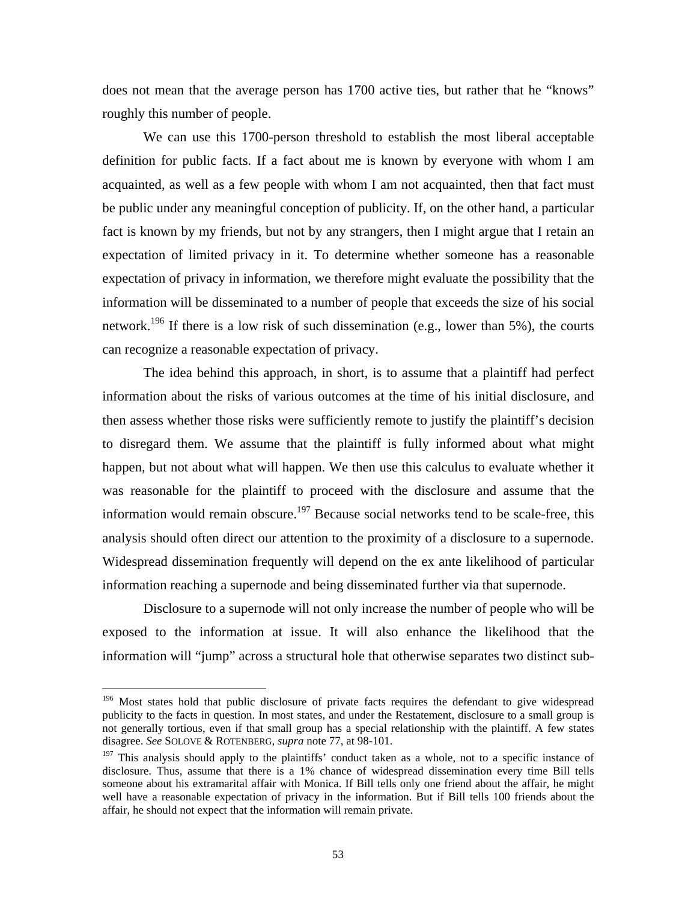does not mean that the average person has 1700 active ties, but rather that he "knows" roughly this number of people.

We can use this 1700-person threshold to establish the most liberal acceptable definition for public facts. If a fact about me is known by everyone with whom I am acquainted, as well as a few people with whom I am not acquainted, then that fact must be public under any meaningful conception of publicity. If, on the other hand, a particular fact is known by my friends, but not by any strangers, then I might argue that I retain an expectation of limited privacy in it. To determine whether someone has a reasonable expectation of privacy in information, we therefore might evaluate the possibility that the information will be disseminated to a number of people that exceeds the size of his social network.<sup>196</sup> If there is a low risk of such dissemination (e.g., lower than 5%), the courts can recognize a reasonable expectation of privacy.

The idea behind this approach, in short, is to assume that a plaintiff had perfect information about the risks of various outcomes at the time of his initial disclosure, and then assess whether those risks were sufficiently remote to justify the plaintiff's decision to disregard them. We assume that the plaintiff is fully informed about what might happen, but not about what will happen. We then use this calculus to evaluate whether it was reasonable for the plaintiff to proceed with the disclosure and assume that the information would remain obscure.<sup>197</sup> Because social networks tend to be scale-free, this analysis should often direct our attention to the proximity of a disclosure to a supernode. Widespread dissemination frequently will depend on the ex ante likelihood of particular information reaching a supernode and being disseminated further via that supernode.

Disclosure to a supernode will not only increase the number of people who will be exposed to the information at issue. It will also enhance the likelihood that the information will "jump" across a structural hole that otherwise separates two distinct sub-

<span id="page-54-0"></span><sup>&</sup>lt;sup>196</sup> Most states hold that public disclosure of private facts requires the defendant to give widespread publicity to the facts in question. In most states, and under the Restatement, disclosure to a small group is not generally tortious, even if that small group has a special relationship with the plaintiff. A few states disagree. *See* SOLOVE & ROTENBERG, *supra* note 77, at 98-101.

<span id="page-54-1"></span><sup>&</sup>lt;sup>197</sup> This analysis should apply to the plaintiffs' conduct taken as a whole, not to a specific instance of disclosure. Thus, assume that there is a 1% chance of widespread dissemination every time Bill tells someone about his extramarital affair with Monica. If Bill tells only one friend about the affair, he might well have a reasonable expectation of privacy in the information. But if Bill tells 100 friends about the affair, he should not expect that the information will remain private.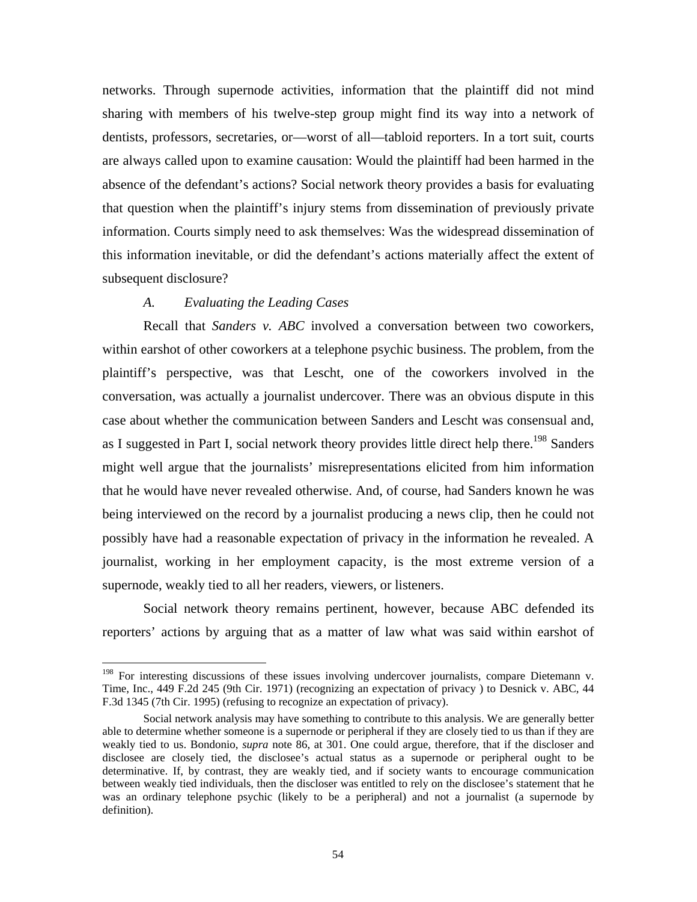networks. Through supernode activities, information that the plaintiff did not mind sharing with members of his twelve-step group might find its way into a network of dentists, professors, secretaries, or—worst of all—tabloid reporters. In a tort suit, courts are always called upon to examine causation: Would the plaintiff had been harmed in the absence of the defendant's actions? Social network theory provides a basis for evaluating that question when the plaintiff's injury stems from dissemination of previously private information. Courts simply need to ask themselves: Was the widespread dissemination of this information inevitable, or did the defendant's actions materially affect the extent of subsequent disclosure?

#### *A. Evaluating the Leading Cases*

1

Recall that *Sanders v. ABC* involved a conversation between two coworkers, within earshot of other coworkers at a telephone psychic business. The problem, from the plaintiff's perspective, was that Lescht, one of the coworkers involved in the conversation, was actually a journalist undercover. There was an obvious dispute in this case about whether the communication between Sanders and Lescht was consensual and, as I suggested in Part I, social network theory provides little direct help there.<sup>198</sup> Sanders might well argue that the journalists' misrepresentations elicited from him information that he would have never revealed otherwise. And, of course, had Sanders known he was being interviewed on the record by a journalist producing a news clip, then he could not possibly have had a reasonable expectation of privacy in the information he revealed. A journalist, working in her employment capacity, is the most extreme version of a supernode, weakly tied to all her readers, viewers, or listeners.

Social network theory remains pertinent, however, because ABC defended its reporters' actions by arguing that as a matter of law what was said within earshot of

<span id="page-55-0"></span><sup>&</sup>lt;sup>198</sup> For interesting discussions of these issues involving undercover journalists, compare Dietemann v. Time, Inc., 449 F.2d 245 (9th Cir. 1971) (recognizing an expectation of privacy ) to Desnick v. ABC, 44 F.3d 1345 (7th Cir. 1995) (refusing to recognize an expectation of privacy).

Social network analysis may have something to contribute to this analysis. We are generally better able to determine whether someone is a supernode or peripheral if they are closely tied to us than if they are weakly tied to us. Bondonio, *supra* note 86, at 301. One could argue, therefore, that if the discloser and disclosee are closely tied, the disclosee's actual status as a supernode or peripheral ought to be determinative. If, by contrast, they are weakly tied, and if society wants to encourage communication between weakly tied individuals, then the discloser was entitled to rely on the disclosee's statement that he was an ordinary telephone psychic (likely to be a peripheral) and not a journalist (a supernode by definition).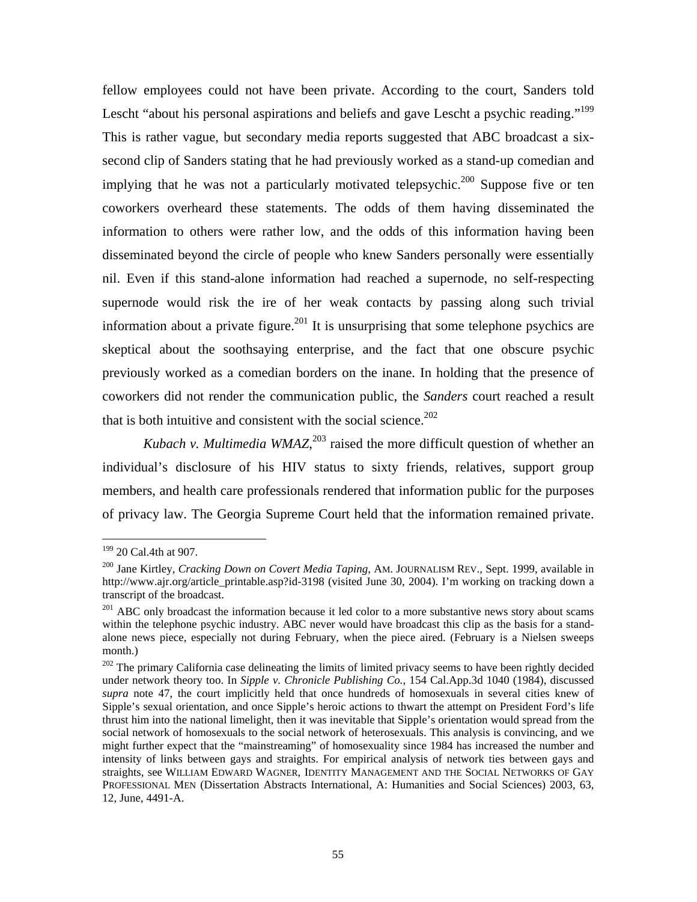fellow employees could not have been private. According to the court, Sanders told Lescht "about his personal aspirations and beliefs and gave Lescht a psychic reading."<sup>199</sup> This is rather vague, but secondary media reports suggested that ABC broadcast a sixsecond clip of Sanders stating that he had previously worked as a stand-up comedian and implying that he was not a particularly motivated telepsychic.<sup>200</sup> Suppose five or ten coworkers overheard these statements. The odds of them having disseminated the information to others were rather low, and the odds of this information having been disseminated beyond the circle of people who knew Sanders personally were essentially nil. Even if this stand-alone information had reached a supernode, no self-respecting supernode would risk the ire of her weak contacts by passing along such trivial information about a private figure.<sup>201</sup> It is unsurprising that some telephone psychics are skeptical about the soothsaying enterprise, and the fact that one obscure psychic previously worked as a comedian borders on the inane. In holding that the presence of coworkers did not render the communication public, the *Sanders* court reached a result that is both intuitive and consistent with the social science.<sup>202</sup>

*Kubach v. Multimedia WMAZ*, $2^{03}$  raised the more difficult question of whether an individual's disclosure of his HIV status to sixty friends, relatives, support group members, and health care professionals rendered that information public for the purposes of privacy law. The Georgia Supreme Court held that the information remained private.

<span id="page-56-0"></span><sup>&</sup>lt;sup>199</sup> 20 Cal.4th at 907.

<span id="page-56-1"></span><sup>&</sup>lt;sup>200</sup> Jane Kirtley, *Cracking Down on Covert Media Taping*, AM. JOURNALISM REV., Sept. 1999, available in http://www.ajr.org/article\_printable.asp?id-3198 (visited June 30, 2004). I'm working on tracking down a transcript of the broadcast.

<span id="page-56-2"></span><sup>&</sup>lt;sup>201</sup> ABC only broadcast the information because it led color to a more substantive news story about scams within the telephone psychic industry. ABC never would have broadcast this clip as the basis for a standalone news piece, especially not during February, when the piece aired. (February is a Nielsen sweeps month.)<br><sup>202</sup> The primary California case delineating the limits of limited privacy seems to have been rightly decided

<span id="page-56-4"></span><span id="page-56-3"></span>under network theory too. In *Sipple v. Chronicle Publishing Co.*, 154 Cal.App.3d 1040 (1984), discussed *supra* note 47, the court implicitly held that once hundreds of homosexuals in several cities knew of Sipple's sexual orientation, and once Sipple's heroic actions to thwart the attempt on President Ford's life thrust him into the national limelight, then it was inevitable that Sipple's orientation would spread from the social network of homosexuals to the social network of heterosexuals. This analysis is convincing, and we might further expect that the "mainstreaming" of homosexuality since 1984 has increased the number and intensity of links between gays and straights. For empirical analysis of network ties between gays and straights, see WILLIAM EDWARD WAGNER, IDENTITY MANAGEMENT AND THE SOCIAL NETWORKS OF GAY PROFESSIONAL MEN (Dissertation Abstracts International, A: Humanities and Social Sciences) 2003, 63, 12, June, 4491-A.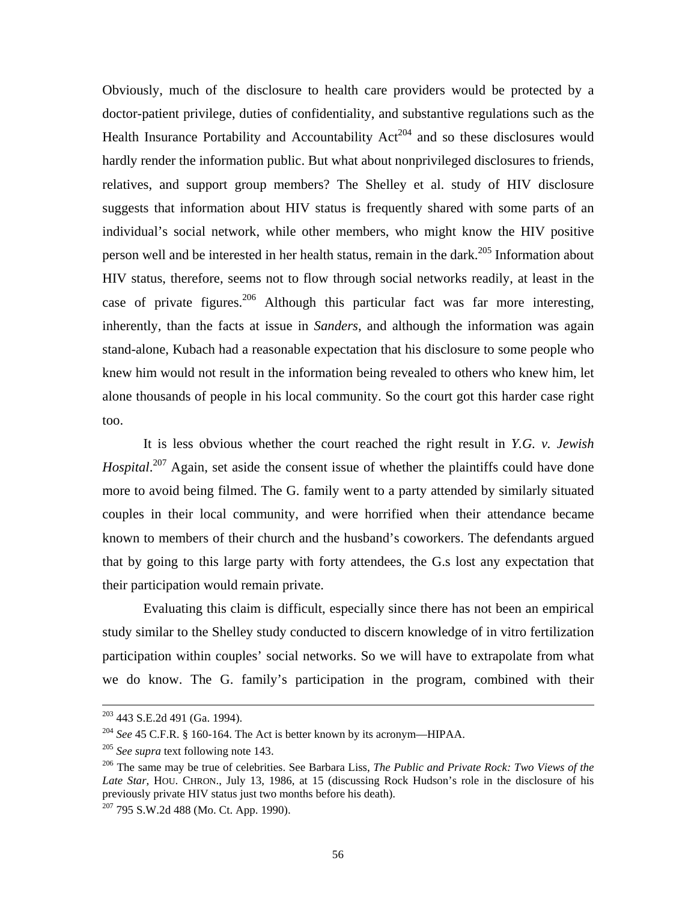Obviously, much of the disclosure to health care providers would be protected by a doctor-patient privilege, duties of confidentiality, and substantive regulations such as the Health Insurance Portability and Accountability  $Act^{204}$  and so these disclosures would hardly render the information public. But what about nonprivileged disclosures to friends, relatives, and support group members? The Shelley et al. study of HIV disclosure suggests that information about HIV status is frequently shared with some parts of an individual's social network, while other members, who might know the HIV positive person well and be interested in her health status, remain in the dark.<sup>205</sup> Information about HIV status, therefore, seems not to flow through social networks readily, at least in the case of private figures.<sup>206</sup> Although this particular fact was far more interesting, inherently, than the facts at issue in *Sanders*, and although the information was again stand-alone, Kubach had a reasonable expectation that his disclosure to some people who knew him would not result in the information being revealed to others who knew him, let alone thousands of people in his local community. So the court got this harder case right too.

It is less obvious whether the court reached the right result in *Y.G. v. Jewish*  Hospital.<sup>207</sup> Again, set aside the consent issue of whether the plaintiffs could have done more to avoid being filmed. The G. family went to a party attended by similarly situated couples in their local community, and were horrified when their attendance became known to members of their church and the husband's coworkers. The defendants argued that by going to this large party with forty attendees, the G.s lost any expectation that their participation would remain private.

Evaluating this claim is difficult, especially since there has not been an empirical study similar to the Shelley study conducted to discern knowledge of in vitro fertilization participation within couples' social networks. So we will have to extrapolate from what we do know. The G. family's participation in the program, combined with their

 <sup>203 443</sup> S.E.2d 491 (Ga. 1994).

<span id="page-57-0"></span><sup>204</sup> *See* 45 C.F.R. § 160-164. The Act is better known by its acronym—HIPAA.

<span id="page-57-2"></span><span id="page-57-1"></span>

<sup>&</sup>lt;sup>205</sup> *See supra text following note 143.*<br><sup>206</sup> The same may be true of celebrities. See Barbara Liss, *The Public and Private Rock: Two Views of the Late Star*, HOU. CHRON., July 13, 1986, at 15 (discussing Rock Hudson's role in the disclosure of his previously private HIV status just two months before his death).<br><sup>207</sup> 795 S.W.2d 488 (Mo. Ct. App. 1990).

<span id="page-57-3"></span>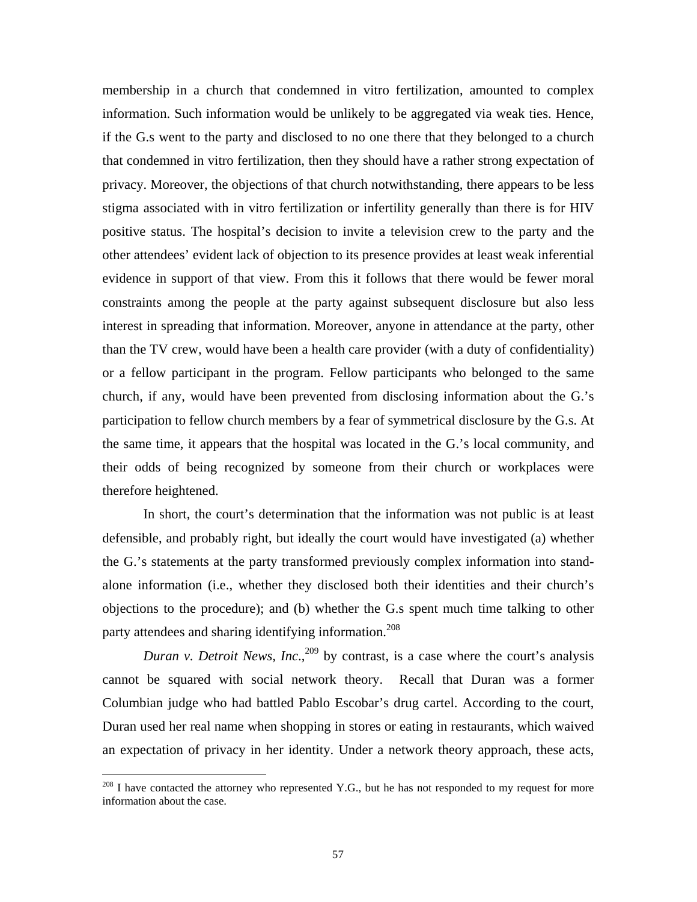membership in a church that condemned in vitro fertilization, amounted to complex information. Such information would be unlikely to be aggregated via weak ties. Hence, if the G.s went to the party and disclosed to no one there that they belonged to a church that condemned in vitro fertilization, then they should have a rather strong expectation of privacy. Moreover, the objections of that church notwithstanding, there appears to be less stigma associated with in vitro fertilization or infertility generally than there is for HIV positive status. The hospital's decision to invite a television crew to the party and the other attendees' evident lack of objection to its presence provides at least weak inferential evidence in support of that view. From this it follows that there would be fewer moral constraints among the people at the party against subsequent disclosure but also less interest in spreading that information. Moreover, anyone in attendance at the party, other than the TV crew, would have been a health care provider (with a duty of confidentiality) or a fellow participant in the program. Fellow participants who belonged to the same church, if any, would have been prevented from disclosing information about the G.'s participation to fellow church members by a fear of symmetrical disclosure by the G.s. At the same time, it appears that the hospital was located in the G.'s local community, and their odds of being recognized by someone from their church or workplaces were therefore heightened.

In short, the court's determination that the information was not public is at least defensible, and probably right, but ideally the court would have investigated (a) whether the G.'s statements at the party transformed previously complex information into standalone information (i.e., whether they disclosed both their identities and their church's objections to the procedure); and (b) whether the G.s spent much time talking to other party attendees and sharing identifying information.<sup>208</sup>

<span id="page-58-1"></span>*Duran v. Detroit News, Inc.*,<sup>209</sup> by contrast, is a case where the court's analysis cannot be squared with social network theory. Recall that Duran was a former Columbian judge who had battled Pablo Escobar's drug cartel. According to the court, Duran used her real name when shopping in stores or eating in restaurants, which waived an expectation of privacy in her identity. Under a network theory approach, these acts,

<span id="page-58-0"></span> $^{208}$  I have contacted the attorney who represented Y.G., but he has not responded to my request for more information about the case.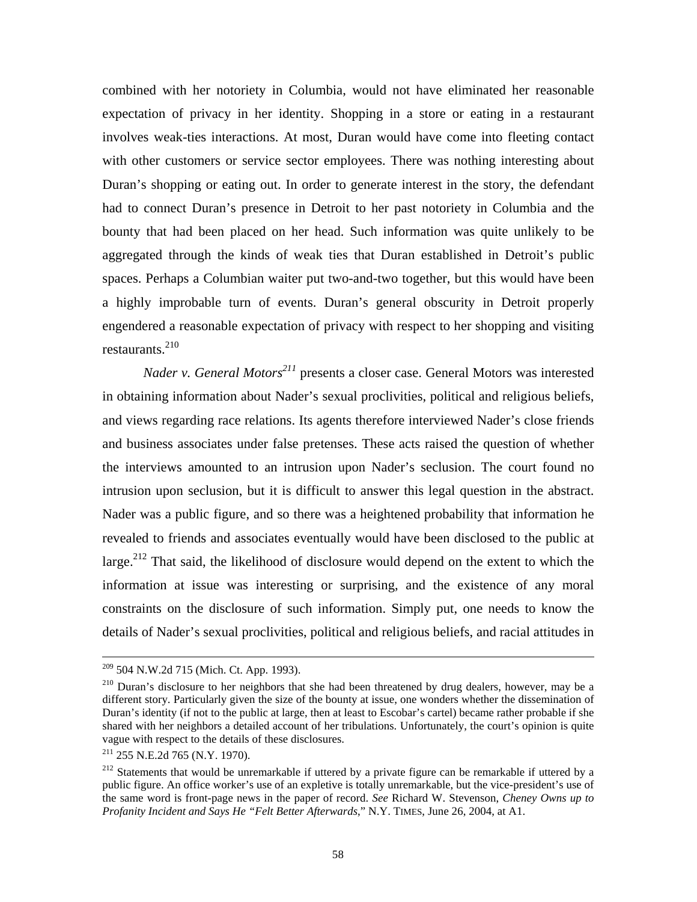combined with her notoriety in Columbia, would not have eliminated her reasonable expectation of privacy in her identity. Shopping in a store or eating in a restaurant involves weak-ties interactions. At most, Duran would have come into fleeting contact with other customers or service sector employees. There was nothing interesting about Duran's shopping or eating out. In order to generate interest in the story, the defendant had to connect Duran's presence in Detroit to her past notoriety in Columbia and the bounty that had been placed on her head. Such information was quite unlikely to be aggregated through the kinds of weak ties that Duran established in Detroit's public spaces. Perhaps a Columbian waiter put two-and-two together, but this would have been a highly improbable turn of events. Duran's general obscurity in Detroit properly engendered a reasonable expectation of privacy with respect to her shopping and visiting restaurants[.210](#page-59-0) 

*Nader v. General Motors<sup>211</sup>* presents a closer case. General Motors was interested in obtaining information about Nader's sexual proclivities, political and religious beliefs, and views regarding race relations. Its agents therefore interviewed Nader's close friends and business associates under false pretenses. These acts raised the question of whether the interviews amounted to an intrusion upon Nader's seclusion. The court found no intrusion upon seclusion, but it is difficult to answer this legal question in the abstract. Nader was a public figure, and so there was a heightened probability that information he revealed to friends and associates eventually would have been disclosed to the public at large.<sup>212</sup> That said, the likelihood of disclosure would depend on the extent to which the information at issue was interesting or surprising, and the existence of any moral constraints on the disclosure of such information. Simply put, one needs to know the details of Nader's sexual proclivities, political and religious beliefs, and racial attitudes in

<span id="page-59-0"></span>

 $209$  504 N.W.2d 715 (Mich. Ct. App. 1993).<br><sup>210</sup> Duran's disclosure to her neighbors that she had been threatened by drug dealers, however, may be a different story. Particularly given the size of the bounty at issue, one wonders whether the dissemination of Duran's identity (if not to the public at large, then at least to Escobar's cartel) became rather probable if she shared with her neighbors a detailed account of her tribulations. Unfortunately, the court's opinion is quite vague with respect to the details of these disclosures. 211 255 N.E.2d 765 (N.Y. 1970).

<span id="page-59-1"></span>

<span id="page-59-2"></span><sup>&</sup>lt;sup>212</sup> Statements that would be unremarkable if uttered by a private figure can be remarkable if uttered by a public figure. An office worker's use of an expletive is totally unremarkable, but the vice-president's use of the same word is front-page news in the paper of record. *See* Richard W. Stevenson, *Cheney Owns up to Profanity Incident and Says He "Felt Better Afterwards*," N.Y. TIMES, June 26, 2004, at A1.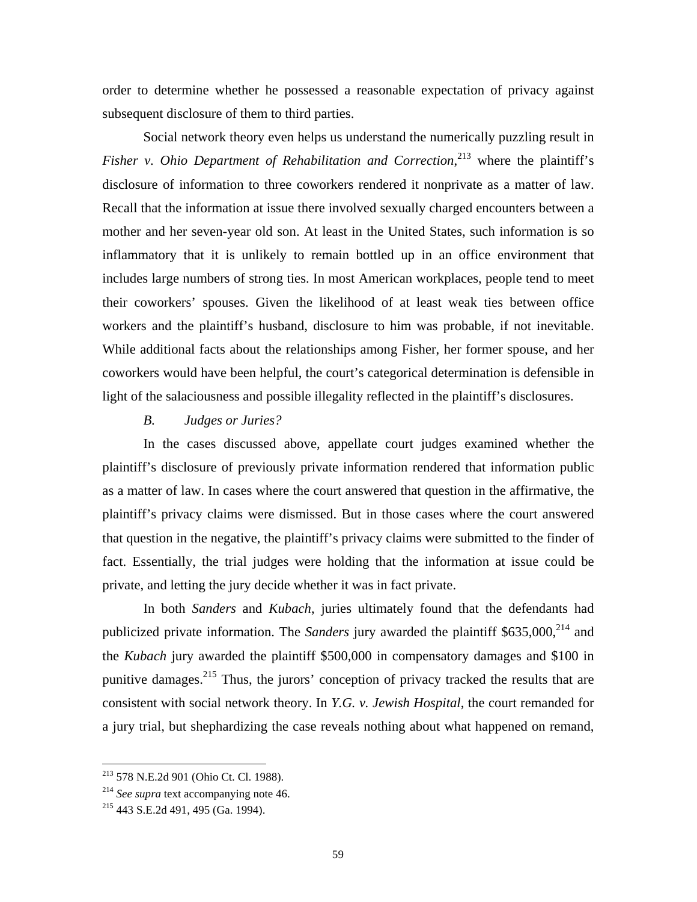order to determine whether he possessed a reasonable expectation of privacy against subsequent disclosure of them to third parties.

Social network theory even helps us understand the numerically puzzling result in Fisher v. Ohio Department of Rehabilitation and Correction,<sup>213</sup> where the plaintiff's disclosure of information to three coworkers rendered it nonprivate as a matter of law. Recall that the information at issue there involved sexually charged encounters between a mother and her seven-year old son. At least in the United States, such information is so inflammatory that it is unlikely to remain bottled up in an office environment that includes large numbers of strong ties. In most American workplaces, people tend to meet their coworkers' spouses. Given the likelihood of at least weak ties between office workers and the plaintiff's husband, disclosure to him was probable, if not inevitable. While additional facts about the relationships among Fisher, her former spouse, and her coworkers would have been helpful, the court's categorical determination is defensible in light of the salaciousness and possible illegality reflected in the plaintiff's disclosures.

# *B. Judges or Juries?*

In the cases discussed above, appellate court judges examined whether the plaintiff's disclosure of previously private information rendered that information public as a matter of law. In cases where the court answered that question in the affirmative, the plaintiff's privacy claims were dismissed. But in those cases where the court answered that question in the negative, the plaintiff's privacy claims were submitted to the finder of fact. Essentially, the trial judges were holding that the information at issue could be private, and letting the jury decide whether it was in fact private.

In both *Sanders* and *Kubach*, juries ultimately found that the defendants had publicized private information. The *Sanders* jury awarded the plaintiff \$635,000,<sup>214</sup> and the *Kubach* jury awarded the plaintiff \$500,000 in compensatory damages and \$100 in punitive damages.[215](#page-60-2) Thus, the jurors' conception of privacy tracked the results that are consistent with social network theory. In *Y.G. v. Jewish Hospital*, the court remanded for a jury trial, but shephardizing the case reveals nothing about what happened on remand,

<span id="page-60-0"></span><sup>213 578</sup> N.E.2d 901 (Ohio Ct. Cl. 1988).

<span id="page-60-1"></span><sup>214</sup> *See supra* text accompanying note 46. 215 443 S.E.2d 491, 495 (Ga. 1994).

<span id="page-60-2"></span>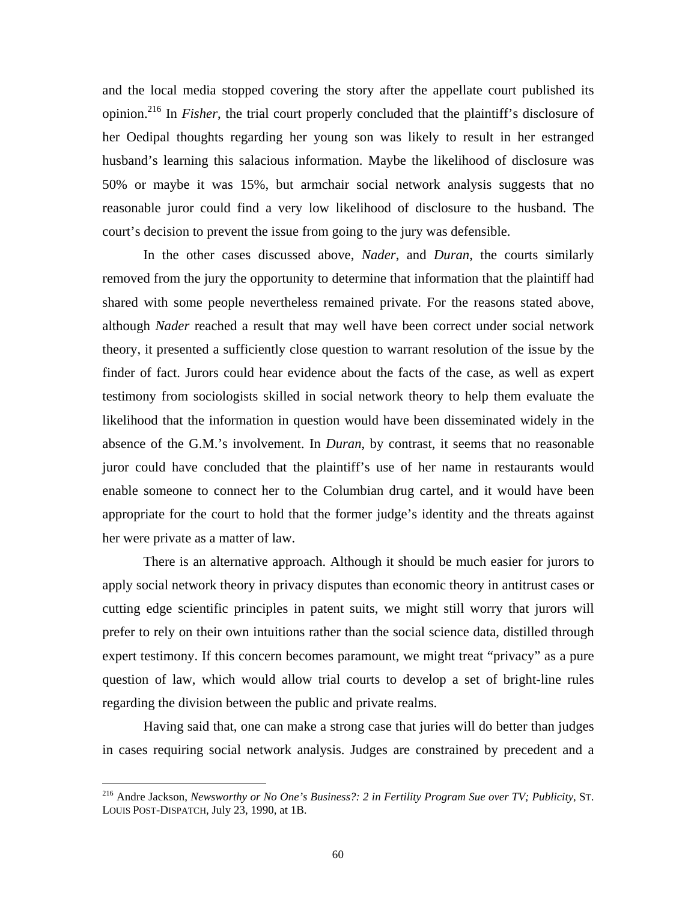and the local media stopped covering the story after the appellate court published its opinion.[216](#page-61-0) In *Fisher*, the trial court properly concluded that the plaintiff's disclosure of her Oedipal thoughts regarding her young son was likely to result in her estranged husband's learning this salacious information. Maybe the likelihood of disclosure was 50% or maybe it was 15%, but armchair social network analysis suggests that no reasonable juror could find a very low likelihood of disclosure to the husband. The court's decision to prevent the issue from going to the jury was defensible.

In the other cases discussed above, *Nader*, and *Duran*, the courts similarly removed from the jury the opportunity to determine that information that the plaintiff had shared with some people nevertheless remained private. For the reasons stated above, although *Nader* reached a result that may well have been correct under social network theory, it presented a sufficiently close question to warrant resolution of the issue by the finder of fact. Jurors could hear evidence about the facts of the case, as well as expert testimony from sociologists skilled in social network theory to help them evaluate the likelihood that the information in question would have been disseminated widely in the absence of the G.M.'s involvement. In *Duran*, by contrast, it seems that no reasonable juror could have concluded that the plaintiff's use of her name in restaurants would enable someone to connect her to the Columbian drug cartel, and it would have been appropriate for the court to hold that the former judge's identity and the threats against her were private as a matter of law.

There is an alternative approach. Although it should be much easier for jurors to apply social network theory in privacy disputes than economic theory in antitrust cases or cutting edge scientific principles in patent suits, we might still worry that jurors will prefer to rely on their own intuitions rather than the social science data, distilled through expert testimony. If this concern becomes paramount, we might treat "privacy" as a pure question of law, which would allow trial courts to develop a set of bright-line rules regarding the division between the public and private realms.

Having said that, one can make a strong case that juries will do better than judges in cases requiring social network analysis. Judges are constrained by precedent and a

<span id="page-61-0"></span><sup>216</sup> Andre Jackson, *Newsworthy or No One's Business?: 2 in Fertility Program Sue over TV; Publicity*, ST. LOUIS POST-DISPATCH, July 23, 1990, at 1B.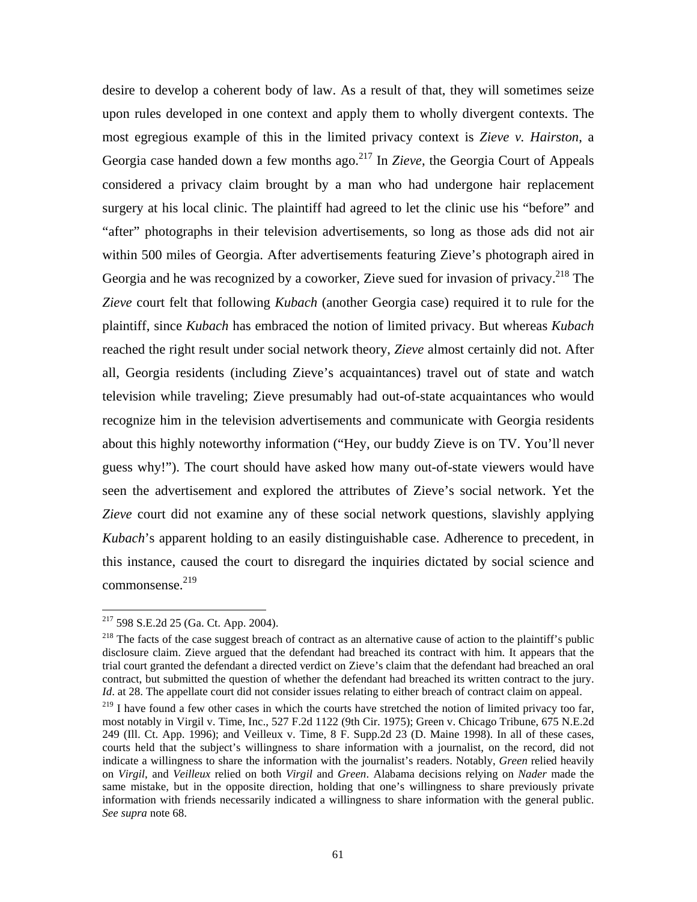desire to develop a coherent body of law. As a result of that, they will sometimes seize upon rules developed in one context and apply them to wholly divergent contexts. The most egregious example of this in the limited privacy context is *Zieve v. Hairston*, a Georgia case handed down a few months ago.[217 I](#page-62-0)n *Zieve*, the Georgia Court of Appeals considered a privacy claim brought by a man who had undergone hair replacement surgery at his local clinic. The plaintiff had agreed to let the clinic use his "before" and "after" photographs in their television advertisements, so long as those ads did not air within 500 miles of Georgia. After advertisements featuring Zieve's photograph aired in Georgia and he was recognized by a coworker, Zieve sued for invasion of privacy.<sup>218</sup> The *Zieve* court felt that following *Kubach* (another Georgia case) required it to rule for the plaintiff, since *Kubach* has embraced the notion of limited privacy. But whereas *Kubach*  reached the right result under social network theory, *Zieve* almost certainly did not. After all, Georgia residents (including Zieve's acquaintances) travel out of state and watch television while traveling; Zieve presumably had out-of-state acquaintances who would recognize him in the television advertisements and communicate with Georgia residents about this highly noteworthy information ("Hey, our buddy Zieve is on TV. You'll never guess why!"). The court should have asked how many out-of-state viewers would have seen the advertisement and explored the attributes of Zieve's social network. Yet the *Zieve* court did not examine any of these social network questions, slavishly applying *Kubach*'s apparent holding to an easily distinguishable case. Adherence to precedent, in this instance, caused the court to disregard the inquiries dictated by social science and  $commonsense.<sup>219</sup>$ 

<span id="page-62-0"></span> $2^{217}$  598 S.E.2d 25 (Ga. Ct. App. 2004).

<span id="page-62-1"></span> $^{218}$  The facts of the case suggest breach of contract as an alternative cause of action to the plaintiff's public disclosure claim. Zieve argued that the defendant had breached its contract with him. It appears that the trial court granted the defendant a directed verdict on Zieve's claim that the defendant had breached an oral contract, but submitted the question of whether the defendant had breached its written contract to the jury. *Id.* at 28. The appellate court did not consider issues relating to either breach of contract claim on appeal.

<span id="page-62-2"></span><sup>&</sup>lt;sup>219</sup> I have found a few other cases in which the courts have stretched the notion of limited privacy too far, most notably in Virgil v. Time, Inc., 527 F.2d 1122 (9th Cir. 1975); Green v. Chicago Tribune, 675 N.E.2d 249 (Ill. Ct. App. 1996); and Veilleux v. Time, 8 F. Supp.2d 23 (D. Maine 1998). In all of these cases, courts held that the subject's willingness to share information with a journalist, on the record, did not indicate a willingness to share the information with the journalist's readers. Notably, *Green* relied heavily on *Virgil*, and *Veilleux* relied on both *Virgil* and *Green*. Alabama decisions relying on *Nader* made the same mistake, but in the opposite direction, holding that one's willingness to share previously private information with friends necessarily indicated a willingness to share information with the general public. *See supra* note 68.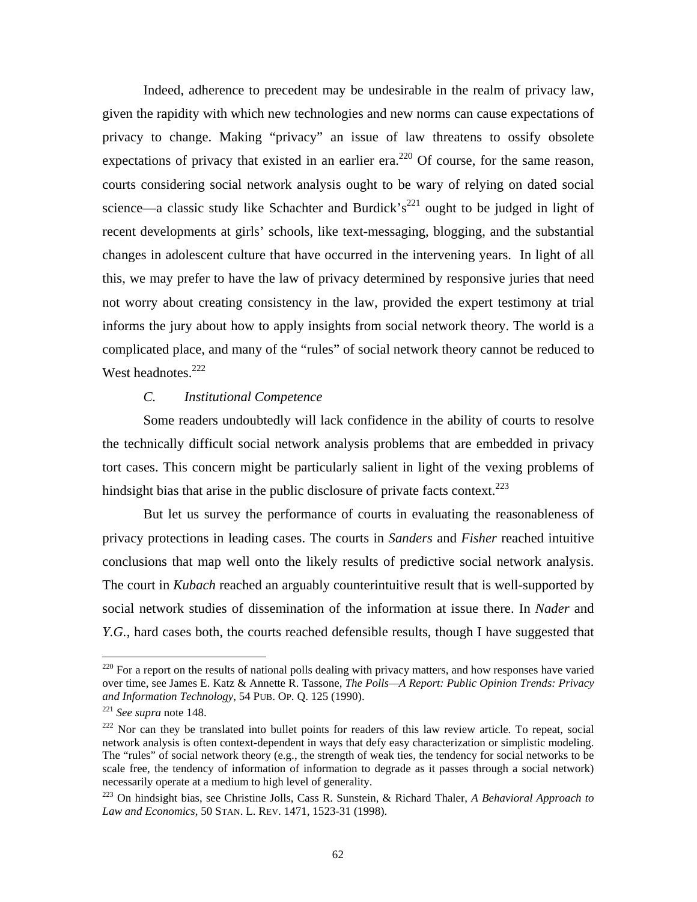Indeed, adherence to precedent may be undesirable in the realm of privacy law, given the rapidity with which new technologies and new norms can cause expectations of privacy to change. Making "privacy" an issue of law threatens to ossify obsolete expectations of privacy that existed in an earlier era.<sup>220</sup> Of course, for the same reason, courts considering social network analysis ought to be wary of relying on dated social science—a classic study like Schachter and Burdick's<sup>221</sup> ought to be judged in light of recent developments at girls' schools, like text-messaging, blogging, and the substantial changes in adolescent culture that have occurred in the intervening years. In light of all this, we may prefer to have the law of privacy determined by responsive juries that need not worry about creating consistency in the law, provided the expert testimony at trial informs the jury about how to apply insights from social network theory. The world is a complicated place, and many of the "rules" of social network theory cannot be reduced to West headnotes.<sup>[222](#page-63-2)</sup>

# *C. Institutional Competence*

Some readers undoubtedly will lack confidence in the ability of courts to resolve the technically difficult social network analysis problems that are embedded in privacy tort cases. This concern might be particularly salient in light of the vexing problems of hindsight bias that arise in the public disclosure of private facts context.<sup>223</sup>

But let us survey the performance of courts in evaluating the reasonableness of privacy protections in leading cases. The courts in *Sanders* and *Fisher* reached intuitive conclusions that map well onto the likely results of predictive social network analysis. The court in *Kubach* reached an arguably counterintuitive result that is well-supported by social network studies of dissemination of the information at issue there. In *Nader* and *Y.G.*, hard cases both, the courts reached defensible results, though I have suggested that

<span id="page-63-0"></span><sup>&</sup>lt;sup>220</sup> For a report on the results of national polls dealing with privacy matters, and how responses have varied over time, see James E. Katz & Annette R. Tassone, *The Polls—A Report: Public Opinion Trends: Privacy and Information Technology*, 54 PUB. OP. Q. 125 (1990).<br><sup>221</sup> *See supra* note 148. *<sup>222</sup>* Nor can they be translated into bullet points for readers of this law review article. To repeat, social

<span id="page-63-1"></span>

<span id="page-63-2"></span>network analysis is often context-dependent in ways that defy easy characterization or simplistic modeling. The "rules" of social network theory (e.g., the strength of weak ties, the tendency for social networks to be scale free, the tendency of information of information to degrade as it passes through a social network) necessarily operate at a medium to high level of generality.

<span id="page-63-3"></span><sup>223</sup> On hindsight bias, see Christine Jolls, Cass R. Sunstein, & Richard Thaler, *A Behavioral Approach to Law and Economics*, 50 STAN. L. REV. 1471, 1523-31 (1998).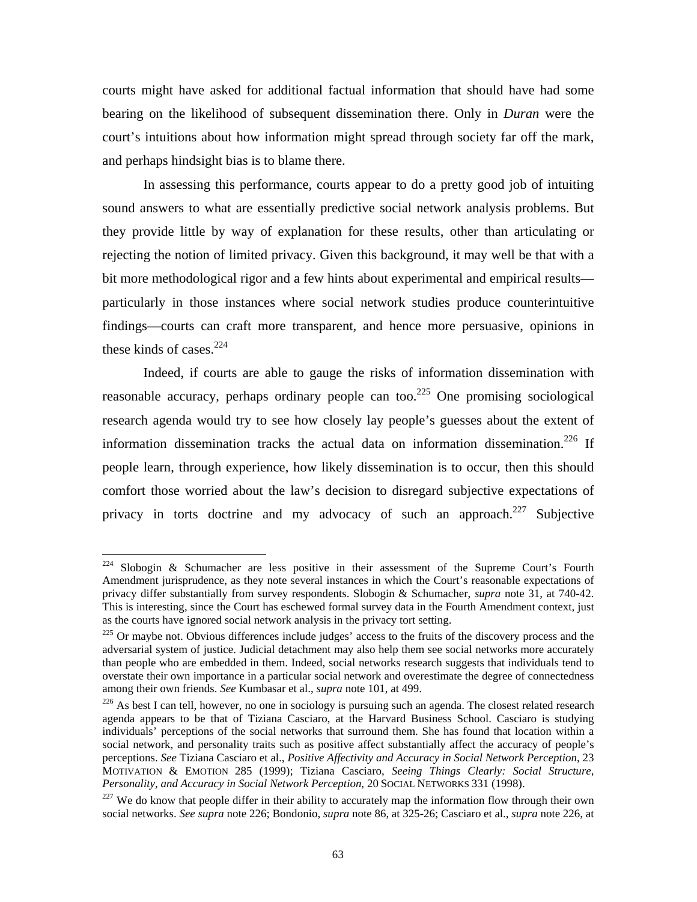<span id="page-64-3"></span>courts might have asked for additional factual information that should have had some bearing on the likelihood of subsequent dissemination there. Only in *Duran* were the court's intuitions about how information might spread through society far off the mark, and perhaps hindsight bias is to blame there.

In assessing this performance, courts appear to do a pretty good job of intuiting sound answers to what are essentially predictive social network analysis problems. But they provide little by way of explanation for these results, other than articulating or rejecting the notion of limited privacy. Given this background, it may well be that with a bit more methodological rigor and a few hints about experimental and empirical results particularly in those instances where social network studies produce counterintuitive findings—courts can craft more transparent, and hence more persuasive, opinions in these kinds of cases. $224$ 

Indeed, if courts are able to gauge the risks of information dissemination with reasonable accuracy, perhaps ordinary people can too.<sup>225</sup> One promising sociological research agenda would try to see how closely lay people's guesses about the extent of information dissemination tracks the actual data on information dissemination.<sup>226</sup> If people learn, through experience, how likely dissemination is to occur, then this should comfort those worried about the law's decision to disregard subjective expectations of privacy in torts doctrine and my advocacy of such an approach. $227$  Subjective

<span id="page-64-0"></span> $224$  Slobogin & Schumacher are less positive in their assessment of the Supreme Court's Fourth Amendment jurisprudence, as they note several instances in which the Court's reasonable expectations of privacy differ substantially from survey respondents. Slobogin & Schumacher, *supra* note 31, at 740-42. This is interesting, since the Court has eschewed formal survey data in the Fourth Amendment context, just as the courts have ignored social network analysis in the privacy tort setting.

<span id="page-64-1"></span><sup>&</sup>lt;sup>225</sup> Or maybe not. Obvious differences include judges' access to the fruits of the discovery process and the adversarial system of justice. Judicial detachment may also help them see social networks more accurately than people who are embedded in them. Indeed, social networks research suggests that individuals tend to overstate their own importance in a particular social network and overestimate the degree of connectedness among their own friends. *See* Kumbasar et al., *supra* note 101, at 499.<br><sup>226</sup> As best I can tell, however, no one in sociology is pursuing such an agenda. The closest related research

<span id="page-64-2"></span>agenda appears to be that of Tiziana Casciaro, at the Harvard Business School. Casciaro is studying individuals' perceptions of the social networks that surround them. She has found that location within a social network, and personality traits such as positive affect substantially affect the accuracy of people's perceptions. *See* Tiziana Casciaro et al., *Positive Affectivity and Accuracy in Social Network Perception*, 23 MOTIVATION & EMOTION 285 (1999); Tiziana Casciaro, *Seeing Things Clearly: Social Structure, Personality, and Accuracy in Social Network Perception*, 20 SOCIAL NETWORKS 331 (1998).

<sup>&</sup>lt;sup>227</sup> We do know that people differ in their ability to accurately map the information flow through their own social networks. *See supra* note 226; Bondonio, *supra* note 86, at 325-26; Casciaro et al., *supra* note 226, at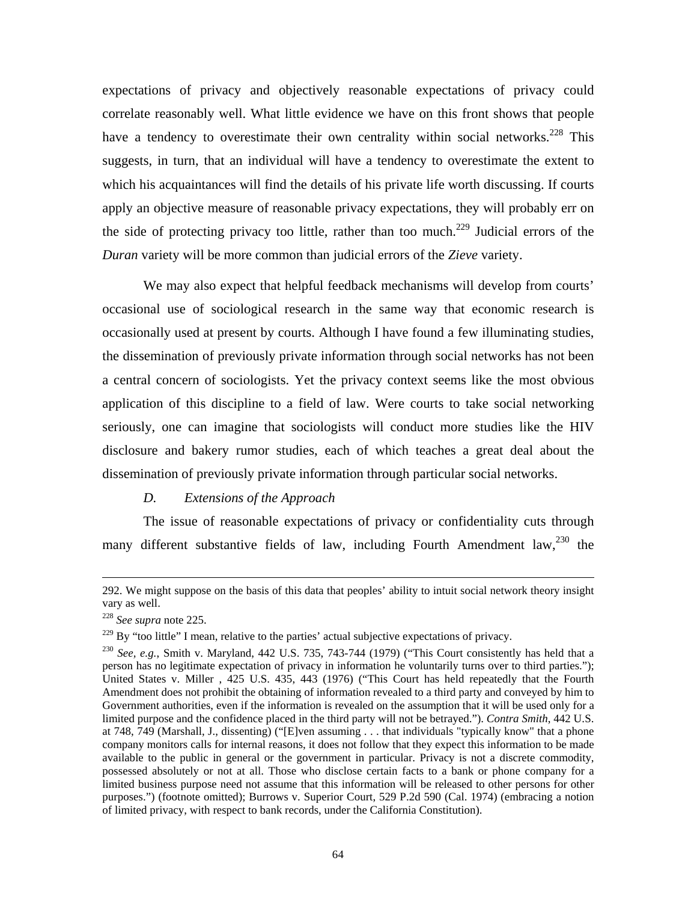<span id="page-65-2"></span>expectations of privacy and objectively reasonable expectations of privacy could correlate reasonably well. What little evidence we have on this front shows that people have a tendency to overestimate their own centrality within social networks.<sup>228</sup> This suggests, in turn, that an individual will have a tendency to overestimate the extent to which his acquaintances will find the details of his private life worth discussing. If courts apply an objective measure of reasonable privacy expectations, they will probably err on the side of protecting privacy too little, rather than too much.<sup>229</sup> Judicial errors of the *Duran* variety will be more common than judicial errors of the *Zieve* variety.

We may also expect that helpful feedback mechanisms will develop from courts' occasional use of sociological research in the same way that economic research is occasionally used at present by courts. Although I have found a few illuminating studies, the dissemination of previously private information through social networks has not been a central concern of sociologists. Yet the privacy context seems like the most obvious application of this discipline to a field of law. Were courts to take social networking seriously, one can imagine that sociologists will conduct more studies like the HIV disclosure and bakery rumor studies, each of which teaches a great deal about the dissemination of previously private information through particular social networks.

### *D. Extensions of the Approach*

The issue of reasonable expectations of privacy or confidentiality cuts through many different substantive fields of law, including Fourth Amendment law,  $230$  the

 <sup>292.</sup> We might suppose on the basis of this data that peoples' ability to intuit social network theory insight vary as well.

<span id="page-65-0"></span><sup>228</sup> *See supra* note 225.

<span id="page-65-1"></span> $229$  By "too little" I mean, relative to the parties' actual subjective expectations of privacy.

<sup>230</sup> *See, e.g.*, Smith v. Maryland, 442 U.S. 735, 743-744 (1979) ("This Court consistently has held that a person has no legitimate expectation of privacy in information he voluntarily turns over to third parties."); United States v. Miller , 425 U.S. 435, 443 (1976) ("This Court has held repeatedly that the Fourth Amendment does not prohibit the obtaining of information revealed to a third party and conveyed by him to Government authorities, even if the information is revealed on the assumption that it will be used only for a limited purpose and the confidence placed in the third party will not be betrayed."). *Contra Smith*, 442 U.S. at 748, 749 (Marshall, J., dissenting) ("[E]ven assuming . . . that individuals "typically know" that a phone company monitors calls for internal reasons, it does not follow that they expect this information to be made available to the public in general or the government in particular. Privacy is not a discrete commodity, possessed absolutely or not at all. Those who disclose certain facts to a bank or phone company for a limited business purpose need not assume that this information will be released to other persons for other purposes.") (footnote omitted); Burrows v. Superior Court, 529 P.2d 590 (Cal. 1974) (embracing a notion of limited privacy, with respect to bank records, under the California Constitution).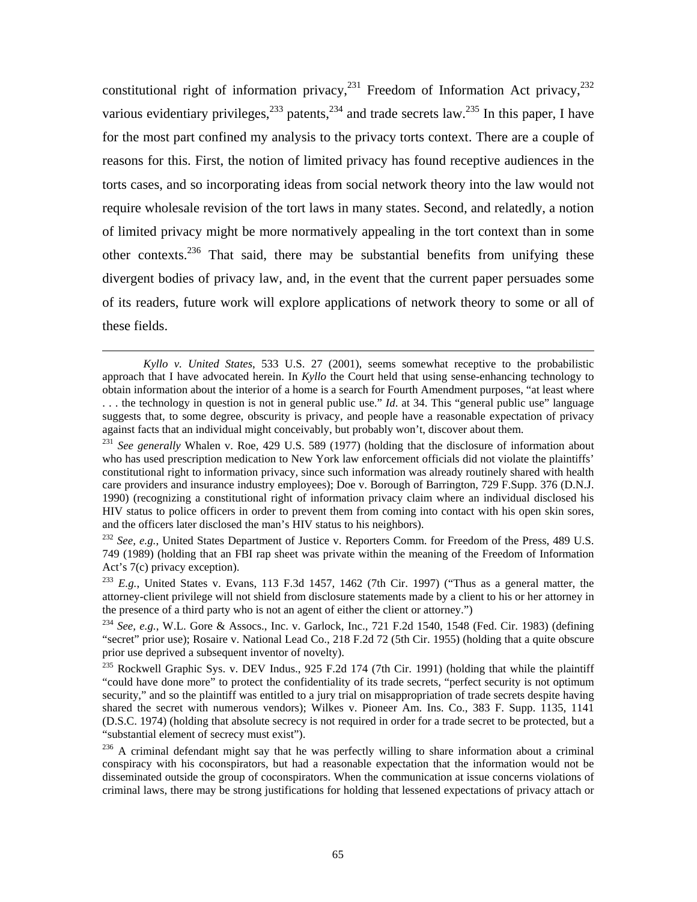constitutional right of information privacy, $231$  Freedom of Information Act privacy, $232$ various evidentiary privileges,  $233$  patents,  $234$  and trade secrets law.  $235$  In this paper, I have for the most part confined my analysis to the privacy torts context. There are a couple of reasons for this. First, the notion of limited privacy has found receptive audiences in the torts cases, and so incorporating ideas from social network theory into the law would not require wholesale revision of the tort laws in many states. Second, and relatedly, a notion of limited privacy might be more normatively appealing in the tort context than in some other contexts.<sup>236</sup> That said, there may be substantial benefits from unifying these divergent bodies of privacy law, and, in the event that the current paper persuades some of its readers, future work will explore applications of network theory to some or all of these fields.

*Kyllo v. United States*, 533 U.S. 27 (2001), seems somewhat receptive to the probabilistic approach that I have advocated herein. In *Kyllo* the Court held that using sense-enhancing technology to obtain information about the interior of a home is a search for Fourth Amendment purposes, "at least where . . . the technology in question is not in general public use." *Id*. at 34. This "general public use" language suggests that, to some degree, obscurity is privacy, and people have a reasonable expectation of privacy against facts that an individual might conceivably, but probably won't, discover about them. 231 *See generally* Whalen v. Roe, 429 U.S. 589 (1977) (holding that the disclosure of information about

<span id="page-66-0"></span>who has used prescription medication to New York law enforcement officials did not violate the plaintiffs' constitutional right to information privacy, since such information was already routinely shared with health care providers and insurance industry employees); Doe v. Borough of Barrington, 729 F.Supp. 376 (D.N.J. 1990) (recognizing a constitutional right of information privacy claim where an individual disclosed his HIV status to police officers in order to prevent them from coming into contact with his open skin sores, and the officers later disclosed the man's HIV status to his neighbors).

<span id="page-66-1"></span><sup>232</sup> *See, e.g.*, United States Department of Justice v. Reporters Comm. for Freedom of the Press, 489 U.S. 749 (1989) (holding that an FBI rap sheet was private within the meaning of the Freedom of Information Act's 7(c) privacy exception).

<span id="page-66-2"></span><sup>233</sup> *E.g.*, United States v. Evans, 113 F.3d 1457, 1462 (7th Cir. 1997) ("Thus as a general matter, the attorney-client privilege will not shield from disclosure statements made by a client to his or her attorney in the presence of a third party who is not an agent of either the client or attorney.")<br><sup>234</sup> *See, e.g.*, W.L. Gore & Assocs., Inc. v. Garlock, Inc., 721 F.2d 1540, 1548 (Fed. Cir. 1983) (defining

<span id="page-66-3"></span><sup>&</sup>quot;secret" prior use); Rosaire v. National Lead Co., 218 F.2d 72 (5th Cir. 1955) (holding that a quite obscure prior use deprived a subsequent inventor of novelty).

<span id="page-66-4"></span><sup>&</sup>lt;sup>235</sup> Rockwell Graphic Sys. v. DEV Indus., 925 F.2d 174 (7th Cir. 1991) (holding that while the plaintiff "could have done more" to protect the confidentiality of its trade secrets, "perfect security is not optimum security," and so the plaintiff was entitled to a jury trial on misappropriation of trade secrets despite having shared the secret with numerous vendors); Wilkes v. Pioneer Am. Ins. Co., 383 F. Supp. 1135, 1141 (D.S.C. 1974) (holding that absolute secrecy is not required in order for a trade secret to be protected, but a "substantial element of secrecy must exist"). 236 A criminal defendant might say that he was perfectly willing to share information about a criminal

<span id="page-66-5"></span>conspiracy with his coconspirators, but had a reasonable expectation that the information would not be disseminated outside the group of coconspirators. When the communication at issue concerns violations of criminal laws, there may be strong justifications for holding that lessened expectations of privacy attach or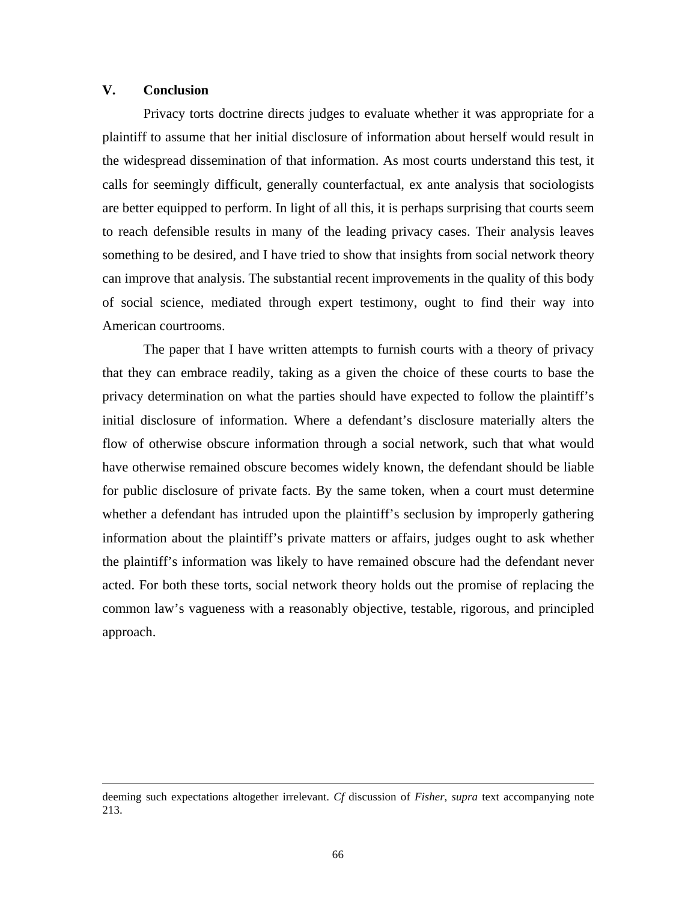### **V. Conclusion**

Privacy torts doctrine directs judges to evaluate whether it was appropriate for a plaintiff to assume that her initial disclosure of information about herself would result in the widespread dissemination of that information. As most courts understand this test, it calls for seemingly difficult, generally counterfactual, ex ante analysis that sociologists are better equipped to perform. In light of all this, it is perhaps surprising that courts seem to reach defensible results in many of the leading privacy cases. Their analysis leaves something to be desired, and I have tried to show that insights from social network theory can improve that analysis. The substantial recent improvements in the quality of this body of social science, mediated through expert testimony, ought to find their way into American courtrooms.

The paper that I have written attempts to furnish courts with a theory of privacy that they can embrace readily, taking as a given the choice of these courts to base the privacy determination on what the parties should have expected to follow the plaintiff's initial disclosure of information. Where a defendant's disclosure materially alters the flow of otherwise obscure information through a social network, such that what would have otherwise remained obscure becomes widely known, the defendant should be liable for public disclosure of private facts. By the same token, when a court must determine whether a defendant has intruded upon the plaintiff's seclusion by improperly gathering information about the plaintiff's private matters or affairs, judges ought to ask whether the plaintiff's information was likely to have remained obscure had the defendant never acted. For both these torts, social network theory holds out the promise of replacing the common law's vagueness with a reasonably objective, testable, rigorous, and principled approach.

deeming such expectations altogether irrelevant. *Cf* discussion of *Fisher*, *supra* text accompanying note 213.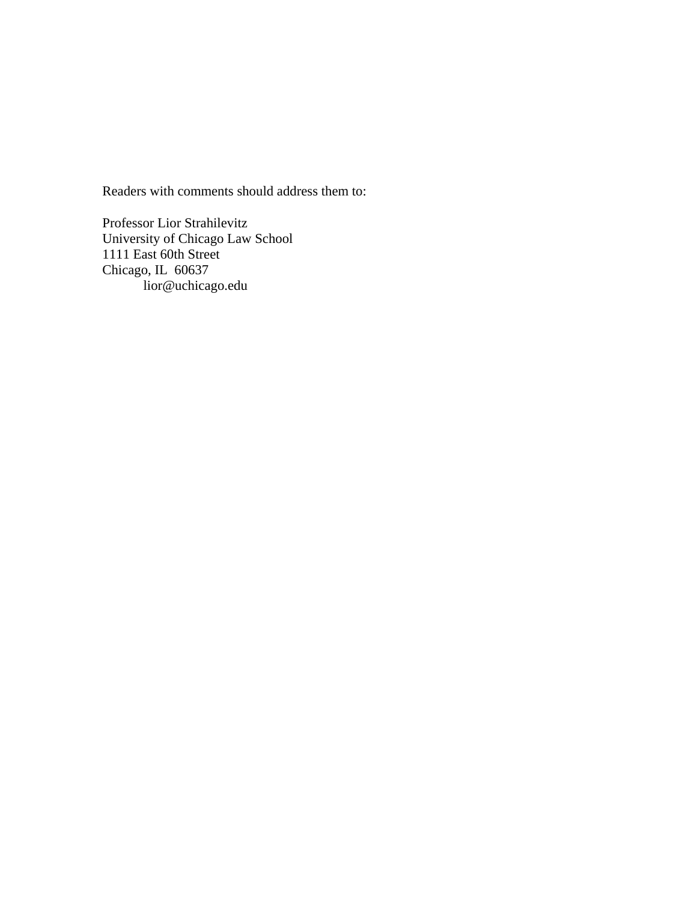Readers with comments should address them to:

Professor Lior Strahilevitz University of Chicago Law School 1111 East 60th Street Chicago, IL 60637 lior@uchicago.edu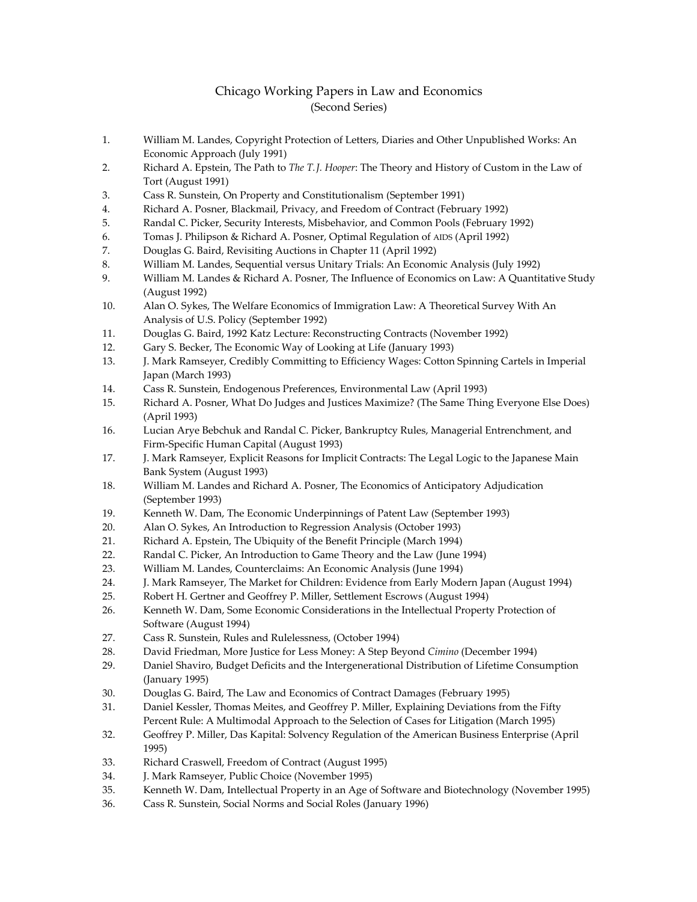# Chicago Working Papers in Law and Economics (Second Series)

- 1. William M. Landes, Copyright Protection of Letters, Diaries and Other Unpublished Works: An Economic Approach (July 1991)
- 2. Richard A. Epstein, The Path to *The T. J. Hooper*: The Theory and History of Custom in the Law of Tort (August 1991)
- 3. Cass R. Sunstein, On Property and Constitutionalism (September 1991)
- 4. Richard A. Posner, Blackmail, Privacy, and Freedom of Contract (February 1992)
- 5. Randal C. Picker, Security Interests, Misbehavior, and Common Pools (February 1992)
- 6. Tomas J. Philipson & Richard A. Posner, Optimal Regulation of AIDS (April 1992)
- 7. Douglas G. Baird, Revisiting Auctions in Chapter 11 (April 1992)
- 8. William M. Landes, Sequential versus Unitary Trials: An Economic Analysis (July 1992)
- 9. William M. Landes & Richard A. Posner, The Influence of Economics on Law: A Quantitative Study (August 1992)
- 10. Alan O. Sykes, The Welfare Economics of Immigration Law: A Theoretical Survey With An Analysis of U.S. Policy (September 1992)
- 11. Douglas G. Baird, 1992 Katz Lecture: Reconstructing Contracts (November 1992)
- 12. Gary S. Becker, The Economic Way of Looking at Life (January 1993)
- 13. J. Mark Ramseyer, Credibly Committing to Efficiency Wages: Cotton Spinning Cartels in Imperial Japan (March 1993)
- 14. Cass R. Sunstein, Endogenous Preferences, Environmental Law (April 1993)
- 15. Richard A. Posner, What Do Judges and Justices Maximize? (The Same Thing Everyone Else Does) (April 1993)
- 16. Lucian Arye Bebchuk and Randal C. Picker, Bankruptcy Rules, Managerial Entrenchment, and Firm-Specific Human Capital (August 1993)
- 17. J. Mark Ramseyer, Explicit Reasons for Implicit Contracts: The Legal Logic to the Japanese Main Bank System (August 1993)
- 18. William M. Landes and Richard A. Posner, The Economics of Anticipatory Adjudication (September 1993)
- 19. Kenneth W. Dam, The Economic Underpinnings of Patent Law (September 1993)
- 20. Alan O. Sykes, An Introduction to Regression Analysis (October 1993)
- 21. Richard A. Epstein, The Ubiquity of the Benefit Principle (March 1994)
- 22. Randal C. Picker, An Introduction to Game Theory and the Law (June 1994)
- 23. William M. Landes, Counterclaims: An Economic Analysis (June 1994)
- 24. J. Mark Ramseyer, The Market for Children: Evidence from Early Modern Japan (August 1994)
- 25. Robert H. Gertner and Geoffrey P. Miller, Settlement Escrows (August 1994)
- 26. Kenneth W. Dam, Some Economic Considerations in the Intellectual Property Protection of Software (August 1994)
- 27. Cass R. Sunstein, Rules and Rulelessness, (October 1994)
- 28. David Friedman, More Justice for Less Money: A Step Beyond *Cimino* (December 1994)
- 29. Daniel Shaviro, Budget Deficits and the Intergenerational Distribution of Lifetime Consumption (January 1995)
- 30. Douglas G. Baird, The Law and Economics of Contract Damages (February 1995)
- 31. Daniel Kessler, Thomas Meites, and Geoffrey P. Miller, Explaining Deviations from the Fifty Percent Rule: A Multimodal Approach to the Selection of Cases for Litigation (March 1995)
- 32. Geoffrey P. Miller, Das Kapital: Solvency Regulation of the American Business Enterprise (April 1995)
- 33. Richard Craswell, Freedom of Contract (August 1995)
- 34. J. Mark Ramseyer, Public Choice (November 1995)
- 35. Kenneth W. Dam, Intellectual Property in an Age of Software and Biotechnology (November 1995)
- 36. Cass R. Sunstein, Social Norms and Social Roles (January 1996)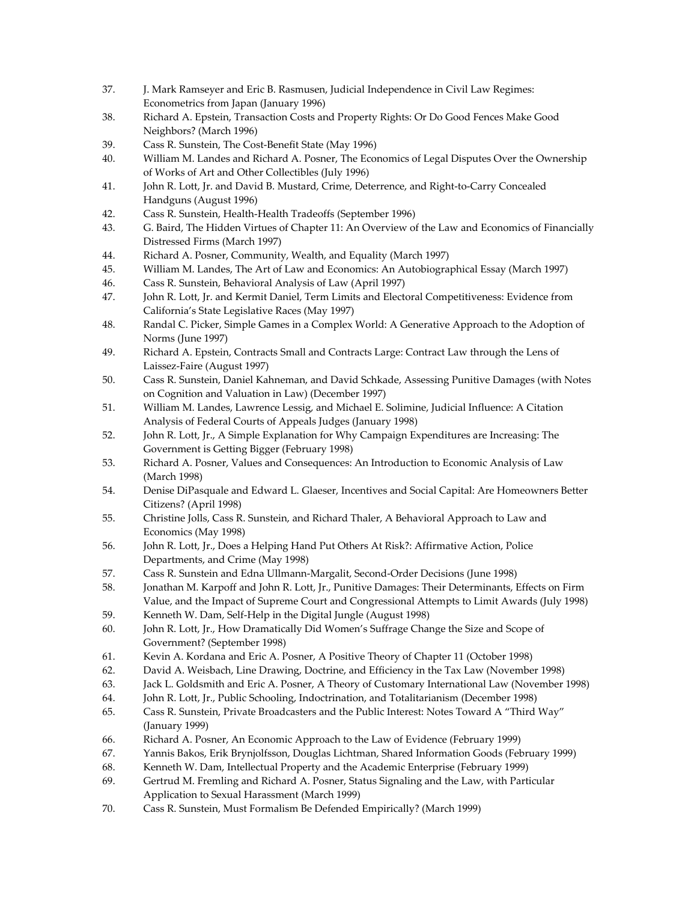- 37. J. Mark Ramseyer and Eric B. Rasmusen, Judicial Independence in Civil Law Regimes: Econometrics from Japan (January 1996)
- 38. Richard A. Epstein, Transaction Costs and Property Rights: Or Do Good Fences Make Good Neighbors? (March 1996)
- 39. Cass R. Sunstein, The Cost-Benefit State (May 1996)
- 40. William M. Landes and Richard A. Posner, The Economics of Legal Disputes Over the Ownership of Works of Art and Other Collectibles (July 1996)
- 41. John R. Lott, Jr. and David B. Mustard, Crime, Deterrence, and Right-to-Carry Concealed Handguns (August 1996)
- 42. Cass R. Sunstein, Health-Health Tradeoffs (September 1996)
- 43. G. Baird, The Hidden Virtues of Chapter 11: An Overview of the Law and Economics of Financially Distressed Firms (March 1997)
- 44. Richard A. Posner, Community, Wealth, and Equality (March 1997)
- 45. William M. Landes, The Art of Law and Economics: An Autobiographical Essay (March 1997)
- 46. Cass R. Sunstein, Behavioral Analysis of Law (April 1997)
- 47. John R. Lott, Jr. and Kermit Daniel, Term Limits and Electoral Competitiveness: Evidence from California's State Legislative Races (May 1997)
- 48. Randal C. Picker, Simple Games in a Complex World: A Generative Approach to the Adoption of Norms (June 1997)
- 49. Richard A. Epstein, Contracts Small and Contracts Large: Contract Law through the Lens of Laissez-Faire (August 1997)
- 50. Cass R. Sunstein, Daniel Kahneman, and David Schkade, Assessing Punitive Damages (with Notes on Cognition and Valuation in Law) (December 1997)
- 51. William M. Landes, Lawrence Lessig, and Michael E. Solimine, Judicial Influence: A Citation Analysis of Federal Courts of Appeals Judges (January 1998)
- 52. John R. Lott, Jr., A Simple Explanation for Why Campaign Expenditures are Increasing: The Government is Getting Bigger (February 1998)
- 53. Richard A. Posner, Values and Consequences: An Introduction to Economic Analysis of Law (March 1998)
- 54. Denise DiPasquale and Edward L. Glaeser, Incentives and Social Capital: Are Homeowners Better Citizens? (April 1998)
- 55. Christine Jolls, Cass R. Sunstein, and Richard Thaler, A Behavioral Approach to Law and Economics (May 1998)
- 56. John R. Lott, Jr., Does a Helping Hand Put Others At Risk?: Affirmative Action, Police Departments, and Crime (May 1998)
- 57. Cass R. Sunstein and Edna Ullmann-Margalit, Second-Order Decisions (June 1998)
- 58. Jonathan M. Karpoff and John R. Lott, Jr., Punitive Damages: Their Determinants, Effects on Firm Value, and the Impact of Supreme Court and Congressional Attempts to Limit Awards (July 1998)
- 59. Kenneth W. Dam, Self-Help in the Digital Jungle (August 1998)
- 60. John R. Lott, Jr., How Dramatically Did Women's Suffrage Change the Size and Scope of Government? (September 1998)
- 61. Kevin A. Kordana and Eric A. Posner, A Positive Theory of Chapter 11 (October 1998)
- 62. David A. Weisbach, Line Drawing, Doctrine, and Efficiency in the Tax Law (November 1998)
- 63. Jack L. Goldsmith and Eric A. Posner, A Theory of Customary International Law (November 1998)
- 64. John R. Lott, Jr., Public Schooling, Indoctrination, and Totalitarianism (December 1998)
- 65. Cass R. Sunstein, Private Broadcasters and the Public Interest: Notes Toward A "Third Way" (January 1999)
- 66. Richard A. Posner, An Economic Approach to the Law of Evidence (February 1999)
- 67. Yannis Bakos, Erik Brynjolfsson, Douglas Lichtman, Shared Information Goods (February 1999)
- 68. Kenneth W. Dam, Intellectual Property and the Academic Enterprise (February 1999)
- 69. Gertrud M. Fremling and Richard A. Posner, Status Signaling and the Law, with Particular Application to Sexual Harassment (March 1999)
- 70. Cass R. Sunstein, Must Formalism Be Defended Empirically? (March 1999)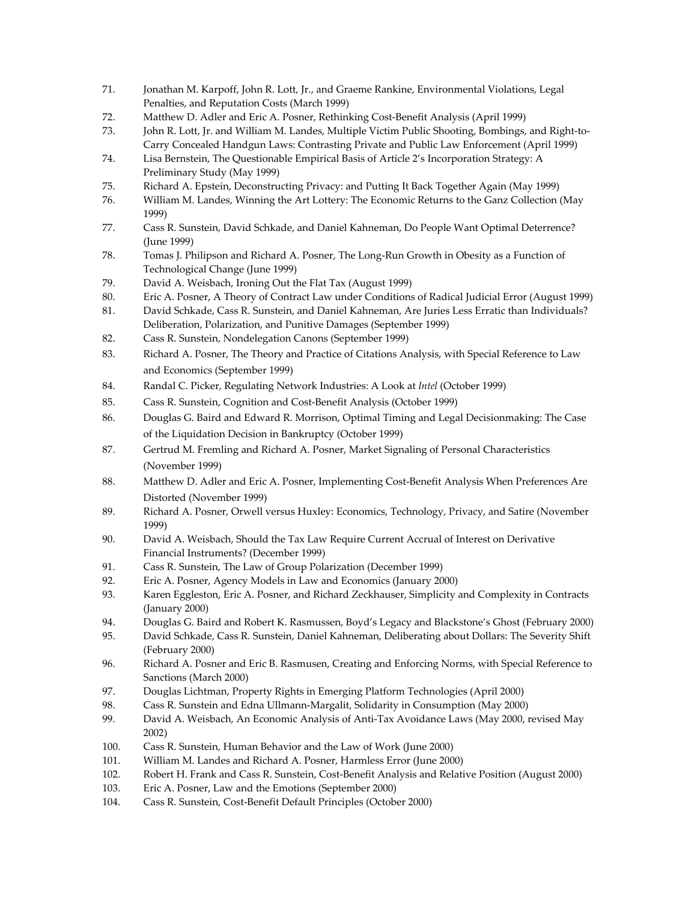- 71. Jonathan M. Karpoff, John R. Lott, Jr., and Graeme Rankine, Environmental Violations, Legal Penalties, and Reputation Costs (March 1999)
- 72. Matthew D. Adler and Eric A. Posner, Rethinking Cost-Benefit Analysis (April 1999)
- 73. John R. Lott, Jr. and William M. Landes, Multiple Victim Public Shooting, Bombings, and Right-to-Carry Concealed Handgun Laws: Contrasting Private and Public Law Enforcement (April 1999)
- 74. Lisa Bernstein, The Questionable Empirical Basis of Article 2's Incorporation Strategy: A Preliminary Study (May 1999)
- 75. Richard A. Epstein, Deconstructing Privacy: and Putting It Back Together Again (May 1999)
- 76. William M. Landes, Winning the Art Lottery: The Economic Returns to the Ganz Collection (May 1999)
- 77. Cass R. Sunstein, David Schkade, and Daniel Kahneman, Do People Want Optimal Deterrence? (June 1999)
- 78. Tomas J. Philipson and Richard A. Posner, The Long-Run Growth in Obesity as a Function of Technological Change (June 1999)
- 79. David A. Weisbach, Ironing Out the Flat Tax (August 1999)
- 80. Eric A. Posner, A Theory of Contract Law under Conditions of Radical Judicial Error (August 1999)
- 81. David Schkade, Cass R. Sunstein, and Daniel Kahneman, Are Juries Less Erratic than Individuals? Deliberation, Polarization, and Punitive Damages (September 1999)
- 82. Cass R. Sunstein, Nondelegation Canons (September 1999)
- 83. Richard A. Posner, The Theory and Practice of Citations Analysis, with Special Reference to Law and Economics (September 1999)
- 84. Randal C. Picker, Regulating Network Industries: A Look at *Intel* (October 1999)
- 85. Cass R. Sunstein, Cognition and Cost-Benefit Analysis (October 1999)
- 86. Douglas G. Baird and Edward R. Morrison, Optimal Timing and Legal Decisionmaking: The Case of the Liquidation Decision in Bankruptcy (October 1999)
- 87. Gertrud M. Fremling and Richard A. Posner, Market Signaling of Personal Characteristics (November 1999)
- 88. Matthew D. Adler and Eric A. Posner, Implementing Cost-Benefit Analysis When Preferences Are Distorted (November 1999)
- 89. Richard A. Posner, Orwell versus Huxley: Economics, Technology, Privacy, and Satire (November 1999)
- 90. David A. Weisbach, Should the Tax Law Require Current Accrual of Interest on Derivative Financial Instruments? (December 1999)
- 91. Cass R. Sunstein, The Law of Group Polarization (December 1999)
- 92. Eric A. Posner, Agency Models in Law and Economics (January 2000)
- 93. Karen Eggleston, Eric A. Posner, and Richard Zeckhauser, Simplicity and Complexity in Contracts (January 2000)
- 94. Douglas G. Baird and Robert K. Rasmussen, Boyd's Legacy and Blackstone's Ghost (February 2000)
- 95. David Schkade, Cass R. Sunstein, Daniel Kahneman, Deliberating about Dollars: The Severity Shift (February 2000)
- 96. Richard A. Posner and Eric B. Rasmusen, Creating and Enforcing Norms, with Special Reference to Sanctions (March 2000)
- 97. Douglas Lichtman, Property Rights in Emerging Platform Technologies (April 2000)
- 98. Cass R. Sunstein and Edna Ullmann-Margalit, Solidarity in Consumption (May 2000)
- 99. David A. Weisbach, An Economic Analysis of Anti-Tax Avoidance Laws (May 2000, revised May 2002)
- 100. Cass R. Sunstein, Human Behavior and the Law of Work (June 2000)
- 101. William M. Landes and Richard A. Posner, Harmless Error (June 2000)
- 102. Robert H. Frank and Cass R. Sunstein, Cost-Benefit Analysis and Relative Position (August 2000)
- 103. Eric A. Posner, Law and the Emotions (September 2000)
- 104. Cass R. Sunstein, Cost-Benefit Default Principles (October 2000)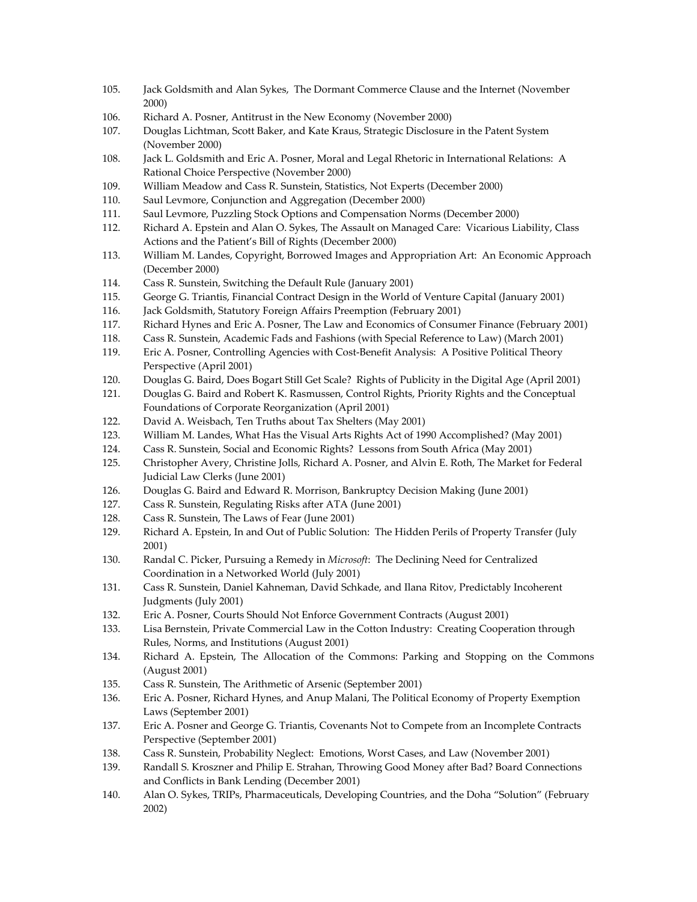- 105. Jack Goldsmith and Alan Sykes, The Dormant Commerce Clause and the Internet (November 2000)
- 106. Richard A. Posner, Antitrust in the New Economy (November 2000)
- 107. Douglas Lichtman, Scott Baker, and Kate Kraus, Strategic Disclosure in the Patent System (November 2000)
- 108. Jack L. Goldsmith and Eric A. Posner, Moral and Legal Rhetoric in International Relations: A Rational Choice Perspective (November 2000)
- 109. William Meadow and Cass R. Sunstein, Statistics, Not Experts (December 2000)
- 110. Saul Levmore, Conjunction and Aggregation (December 2000)
- 111. Saul Levmore, Puzzling Stock Options and Compensation Norms (December 2000)
- 112. Richard A. Epstein and Alan O. Sykes, The Assault on Managed Care: Vicarious Liability, Class Actions and the Patient's Bill of Rights (December 2000)
- 113. William M. Landes, Copyright, Borrowed Images and Appropriation Art: An Economic Approach (December 2000)
- 114. Cass R. Sunstein, Switching the Default Rule (January 2001)
- 115. George G. Triantis, Financial Contract Design in the World of Venture Capital (January 2001)
- 116. Jack Goldsmith, Statutory Foreign Affairs Preemption (February 2001)
- 117. Richard Hynes and Eric A. Posner, The Law and Economics of Consumer Finance (February 2001)
- 118. Cass R. Sunstein, Academic Fads and Fashions (with Special Reference to Law) (March 2001)
- 119. Eric A. Posner, Controlling Agencies with Cost-Benefit Analysis: A Positive Political Theory Perspective (April 2001)
- 120. Douglas G. Baird, Does Bogart Still Get Scale? Rights of Publicity in the Digital Age (April 2001)
- 121. Douglas G. Baird and Robert K. Rasmussen, Control Rights, Priority Rights and the Conceptual Foundations of Corporate Reorganization (April 2001)
- 122. David A. Weisbach, Ten Truths about Tax Shelters (May 2001)
- 123. William M. Landes, What Has the Visual Arts Rights Act of 1990 Accomplished? (May 2001)
- 124. Cass R. Sunstein, Social and Economic Rights? Lessons from South Africa (May 2001)
- 125. Christopher Avery, Christine Jolls, Richard A. Posner, and Alvin E. Roth, The Market for Federal Judicial Law Clerks (June 2001)
- 126. Douglas G. Baird and Edward R. Morrison, Bankruptcy Decision Making (June 2001)
- 127. Cass R. Sunstein, Regulating Risks after ATA (June 2001)
- 128. Cass R. Sunstein, The Laws of Fear (June 2001)
- 129. Richard A. Epstein, In and Out of Public Solution: The Hidden Perils of Property Transfer (July 2001)
- 130. Randal C. Picker, Pursuing a Remedy in *Microsoft*: The Declining Need for Centralized Coordination in a Networked World (July 2001)
- 131. Cass R. Sunstein, Daniel Kahneman, David Schkade, and Ilana Ritov, Predictably Incoherent Judgments (July 2001)
- 132. Eric A. Posner, Courts Should Not Enforce Government Contracts (August 2001)
- 133. Lisa Bernstein, Private Commercial Law in the Cotton Industry: Creating Cooperation through Rules, Norms, and Institutions (August 2001)
- 134. Richard A. Epstein, The Allocation of the Commons: Parking and Stopping on the Commons (August 2001)
- 135. Cass R. Sunstein, The Arithmetic of Arsenic (September 2001)
- 136. Eric A. Posner, Richard Hynes, and Anup Malani, The Political Economy of Property Exemption Laws (September 2001)
- 137. Eric A. Posner and George G. Triantis, Covenants Not to Compete from an Incomplete Contracts Perspective (September 2001)
- 138. Cass R. Sunstein, Probability Neglect: Emotions, Worst Cases, and Law (November 2001)
- 139. Randall S. Kroszner and Philip E. Strahan, Throwing Good Money after Bad? Board Connections and Conflicts in Bank Lending (December 2001)
- 140. Alan O. Sykes, TRIPs, Pharmaceuticals, Developing Countries, and the Doha "Solution" (February 2002)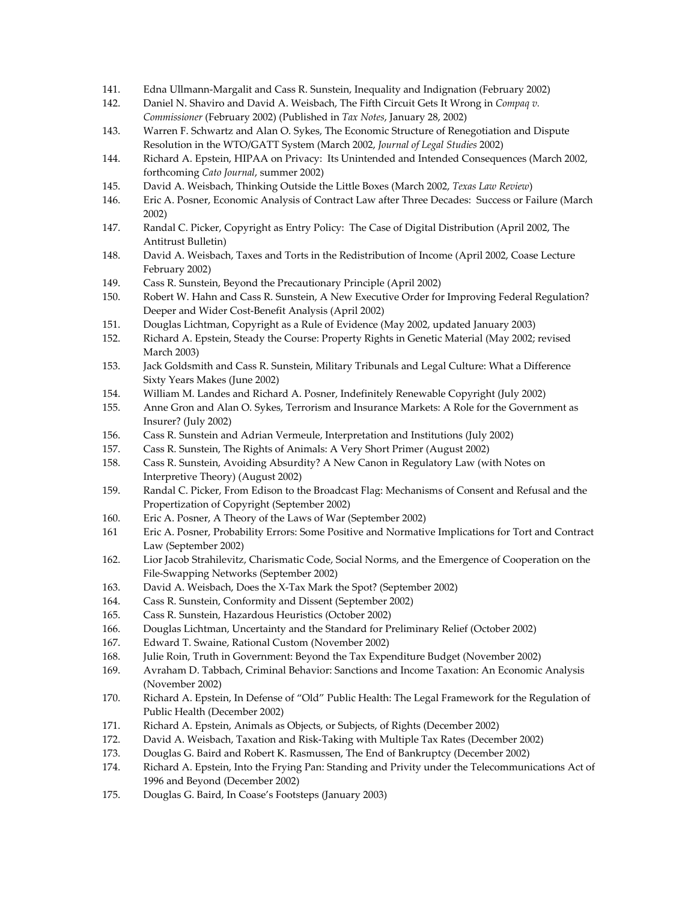- 141. Edna Ullmann-Margalit and Cass R. Sunstein, Inequality and Indignation (February 2002)
- 142. Daniel N. Shaviro and David A. Weisbach, The Fifth Circuit Gets It Wrong in *Compaq v. Commissioner* (February 2002) (Published in *Tax Notes*, January 28, 2002)
- 143. Warren F. Schwartz and Alan O. Sykes, The Economic Structure of Renegotiation and Dispute Resolution in the WTO/GATT System (March 2002, *Journal of Legal Studies* 2002)
- 144. Richard A. Epstein, HIPAA on Privacy: Its Unintended and Intended Consequences (March 2002, forthcoming *Cato Journal*, summer 2002)
- 145. David A. Weisbach, Thinking Outside the Little Boxes (March 2002, *Texas Law Review*)
- 146. Eric A. Posner, Economic Analysis of Contract Law after Three Decades: Success or Failure (March 2002)
- 147. Randal C. Picker, Copyright as Entry Policy: The Case of Digital Distribution (April 2002, The Antitrust Bulletin)
- 148. David A. Weisbach, Taxes and Torts in the Redistribution of Income (April 2002, Coase Lecture February 2002)
- 149. Cass R. Sunstein, Beyond the Precautionary Principle (April 2002)
- 150. Robert W. Hahn and Cass R. Sunstein, A New Executive Order for Improving Federal Regulation? Deeper and Wider Cost-Benefit Analysis (April 2002)
- 151. Douglas Lichtman, Copyright as a Rule of Evidence (May 2002, updated January 2003)
- 152. Richard A. Epstein, Steady the Course: Property Rights in Genetic Material (May 2002; revised March 2003)
- 153. Jack Goldsmith and Cass R. Sunstein, Military Tribunals and Legal Culture: What a Difference Sixty Years Makes (June 2002)
- 154. William M. Landes and Richard A. Posner, Indefinitely Renewable Copyright (July 2002)
- 155. Anne Gron and Alan O. Sykes, Terrorism and Insurance Markets: A Role for the Government as Insurer? (July 2002)
- 156. Cass R. Sunstein and Adrian Vermeule, Interpretation and Institutions (July 2002)
- 157. Cass R. Sunstein, The Rights of Animals: A Very Short Primer (August 2002)
- 158. Cass R. Sunstein, Avoiding Absurdity? A New Canon in Regulatory Law (with Notes on Interpretive Theory) (August 2002)
- 159. Randal C. Picker, From Edison to the Broadcast Flag: Mechanisms of Consent and Refusal and the Propertization of Copyright (September 2002)
- 160. Eric A. Posner, A Theory of the Laws of War (September 2002)
- 161 Eric A. Posner, Probability Errors: Some Positive and Normative Implications for Tort and Contract Law (September 2002)
- 162. Lior Jacob Strahilevitz, Charismatic Code, Social Norms, and the Emergence of Cooperation on the File-Swapping Networks (September 2002)
- 163. David A. Weisbach, Does the X-Tax Mark the Spot? (September 2002)
- 164. Cass R. Sunstein, Conformity and Dissent (September 2002)
- 165. Cass R. Sunstein, Hazardous Heuristics (October 2002)
- 166. Douglas Lichtman, Uncertainty and the Standard for Preliminary Relief (October 2002)
- 167. Edward T. Swaine, Rational Custom (November 2002)
- 168. Julie Roin, Truth in Government: Beyond the Tax Expenditure Budget (November 2002)
- 169. Avraham D. Tabbach, Criminal Behavior: Sanctions and Income Taxation: An Economic Analysis (November 2002)
- 170. Richard A. Epstein, In Defense of "Old" Public Health: The Legal Framework for the Regulation of Public Health (December 2002)
- 171. Richard A. Epstein, Animals as Objects, or Subjects, of Rights (December 2002)
- 172. David A. Weisbach, Taxation and Risk-Taking with Multiple Tax Rates (December 2002)
- 173. Douglas G. Baird and Robert K. Rasmussen, The End of Bankruptcy (December 2002)
- 174. Richard A. Epstein, Into the Frying Pan: Standing and Privity under the Telecommunications Act of 1996 and Beyond (December 2002)
- 175. Douglas G. Baird, In Coase's Footsteps (January 2003)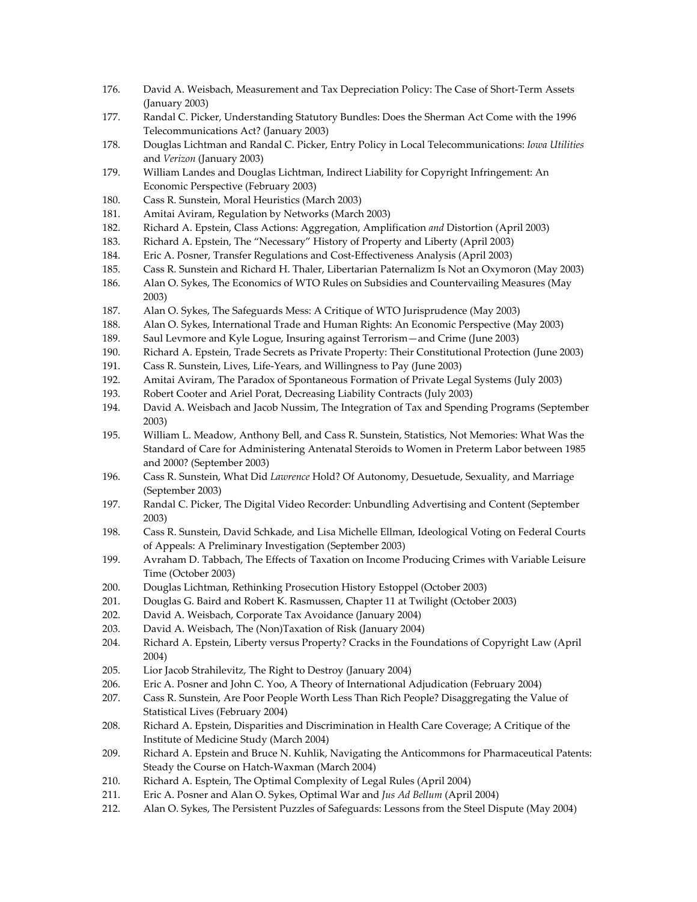- 176. David A. Weisbach, Measurement and Tax Depreciation Policy: The Case of Short-Term Assets (January 2003)
- 177. Randal C. Picker, Understanding Statutory Bundles: Does the Sherman Act Come with the 1996 Telecommunications Act? (January 2003)
- 178. Douglas Lichtman and Randal C. Picker, Entry Policy in Local Telecommunications: *Iowa Utilities* and *Verizon* (January 2003)
- 179. William Landes and Douglas Lichtman, Indirect Liability for Copyright Infringement: An Economic Perspective (February 2003)
- 180. Cass R. Sunstein, Moral Heuristics (March 2003)
- 181. Amitai Aviram, Regulation by Networks (March 2003)
- 182. Richard A. Epstein, Class Actions: Aggregation, Amplification *and* Distortion (April 2003)
- 183. Richard A. Epstein, The "Necessary" History of Property and Liberty (April 2003)
- 184. Eric A. Posner, Transfer Regulations and Cost-Effectiveness Analysis (April 2003)
- 185. Cass R. Sunstein and Richard H. Thaler, Libertarian Paternalizm Is Not an Oxymoron (May 2003)
- 186. Alan O. Sykes, The Economics of WTO Rules on Subsidies and Countervailing Measures (May 2003)
- 187. Alan O. Sykes, The Safeguards Mess: A Critique of WTO Jurisprudence (May 2003)
- 188. Alan O. Sykes, International Trade and Human Rights: An Economic Perspective (May 2003)
- 189. Saul Levmore and Kyle Logue, Insuring against Terrorism—and Crime (June 2003)
- 190. Richard A. Epstein, Trade Secrets as Private Property: Their Constitutional Protection (June 2003)
- 191. Cass R. Sunstein, Lives, Life-Years, and Willingness to Pay (June 2003)
- 192. Amitai Aviram, The Paradox of Spontaneous Formation of Private Legal Systems (July 2003)
- 193. Robert Cooter and Ariel Porat, Decreasing Liability Contracts (July 2003)
- 194. David A. Weisbach and Jacob Nussim, The Integration of Tax and Spending Programs (September 2003)
- 195. William L. Meadow, Anthony Bell, and Cass R. Sunstein, Statistics, Not Memories: What Was the Standard of Care for Administering Antenatal Steroids to Women in Preterm Labor between 1985 and 2000? (September 2003)
- 196. Cass R. Sunstein, What Did *Lawrence* Hold? Of Autonomy, Desuetude, Sexuality, and Marriage (September 2003)
- 197. Randal C. Picker, The Digital Video Recorder: Unbundling Advertising and Content (September 2003)
- 198. Cass R. Sunstein, David Schkade, and Lisa Michelle Ellman, Ideological Voting on Federal Courts of Appeals: A Preliminary Investigation (September 2003)
- 199. Avraham D. Tabbach, The Effects of Taxation on Income Producing Crimes with Variable Leisure Time (October 2003)
- 200. Douglas Lichtman, Rethinking Prosecution History Estoppel (October 2003)
- 201. Douglas G. Baird and Robert K. Rasmussen, Chapter 11 at Twilight (October 2003)
- 202. David A. Weisbach, Corporate Tax Avoidance (January 2004)
- 203. David A. Weisbach, The (Non)Taxation of Risk (January 2004)
- 204. Richard A. Epstein, Liberty versus Property? Cracks in the Foundations of Copyright Law (April 2004)
- 205. Lior Jacob Strahilevitz, The Right to Destroy (January 2004)
- 206. Eric A. Posner and John C. Yoo, A Theory of International Adjudication (February 2004)
- 207. Cass R. Sunstein, Are Poor People Worth Less Than Rich People? Disaggregating the Value of Statistical Lives (February 2004)
- 208. Richard A. Epstein, Disparities and Discrimination in Health Care Coverage; A Critique of the Institute of Medicine Study (March 2004)
- 209. Richard A. Epstein and Bruce N. Kuhlik, Navigating the Anticommons for Pharmaceutical Patents: Steady the Course on Hatch-Waxman (March 2004)
- 210. Richard A. Esptein, The Optimal Complexity of Legal Rules (April 2004)
- 211. Eric A. Posner and Alan O. Sykes, Optimal War and *Jus Ad Bellum* (April 2004)
- 212. Alan O. Sykes, The Persistent Puzzles of Safeguards: Lessons from the Steel Dispute (May 2004)